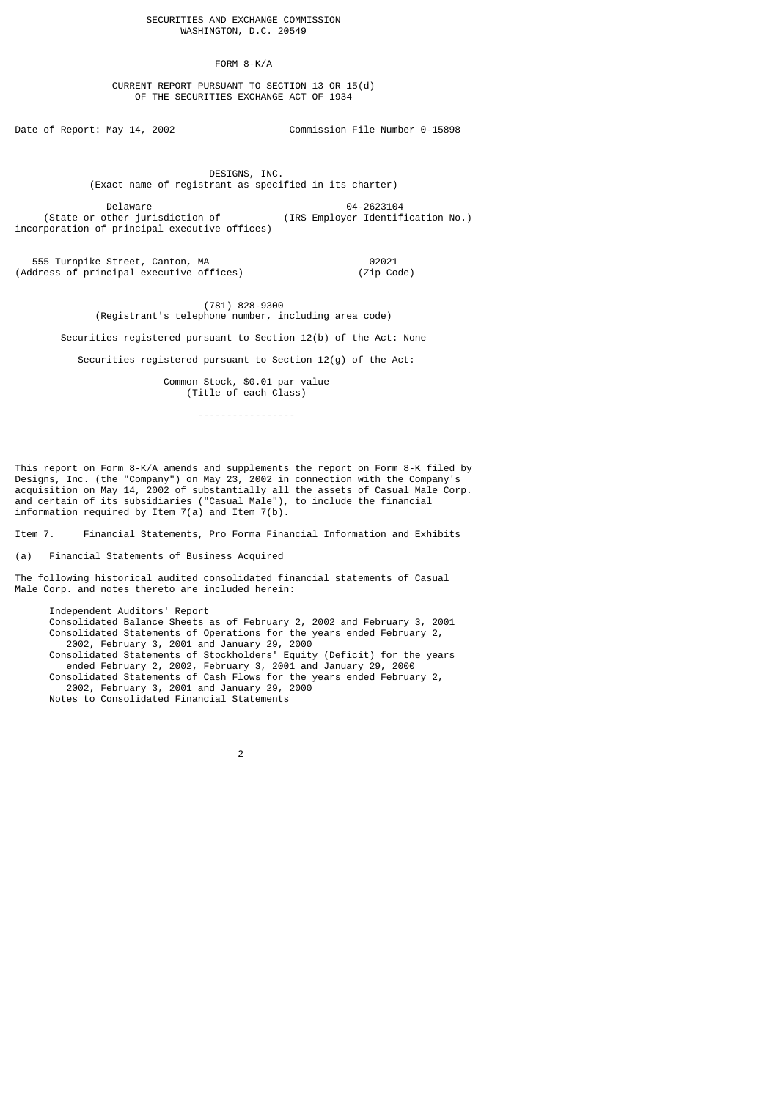FORM 8-K/A

 CURRENT REPORT PURSUANT TO SECTION 13 OR 15(d) OF THE SECURITIES EXCHANGE ACT OF 1934

Date of Report: May 14, 2002 Commission File Number 0-15898

 DESIGNS, INC. (Exact name of registrant as specified in its charter)

Delaware 04-2623104<br>Chate or other iurisdiction of (IRS Employer Identif (IRS Employer Identification No.) incorporation of principal executive offices)

 555 Turnpike Street, Canton, MA 02021 (Address of principal executive offices) (Zip Code)

> (781) 828-9300 (Registrant's telephone number, including area code)

Securities registered pursuant to Section 12(b) of the Act: None

Securities registered pursuant to Section 12(g) of the Act:

 Common Stock, \$0.01 par value (Title of each Class)

-----------------

This report on Form 8-K/A amends and supplements the report on Form 8-K filed by Designs, Inc. (the "Company") on May 23, 2002 in connection with the Company's acquisition on May 14, 2002 of substantially all the assets of Casual Male Corp. and certain of its subsidiaries ("Casual Male"), to include the financial information required by Item  $7(a)$  and Item  $7(b)$ .

Item 7. Financial Statements, Pro Forma Financial Information and Exhibits

(a) Financial Statements of Business Acquired

The following historical audited consolidated financial statements of Casual Male Corp. and notes thereto are included herein:

 Independent Auditors' Report Consolidated Balance Sheets as of February 2, 2002 and February 3, 2001 Consolidated Statements of Operations for the years ended February 2, 2002, February 3, 2001 and January 29, 2000 Consolidated Statements of Stockholders' Equity (Deficit) for the years ended February 2, 2002, February 3, 2001 and January 29, 2000 Consolidated Statements of Cash Flows for the years ended February 2, 2002, February 3, 2001 and January 29, 2000 Notes to Consolidated Financial Statements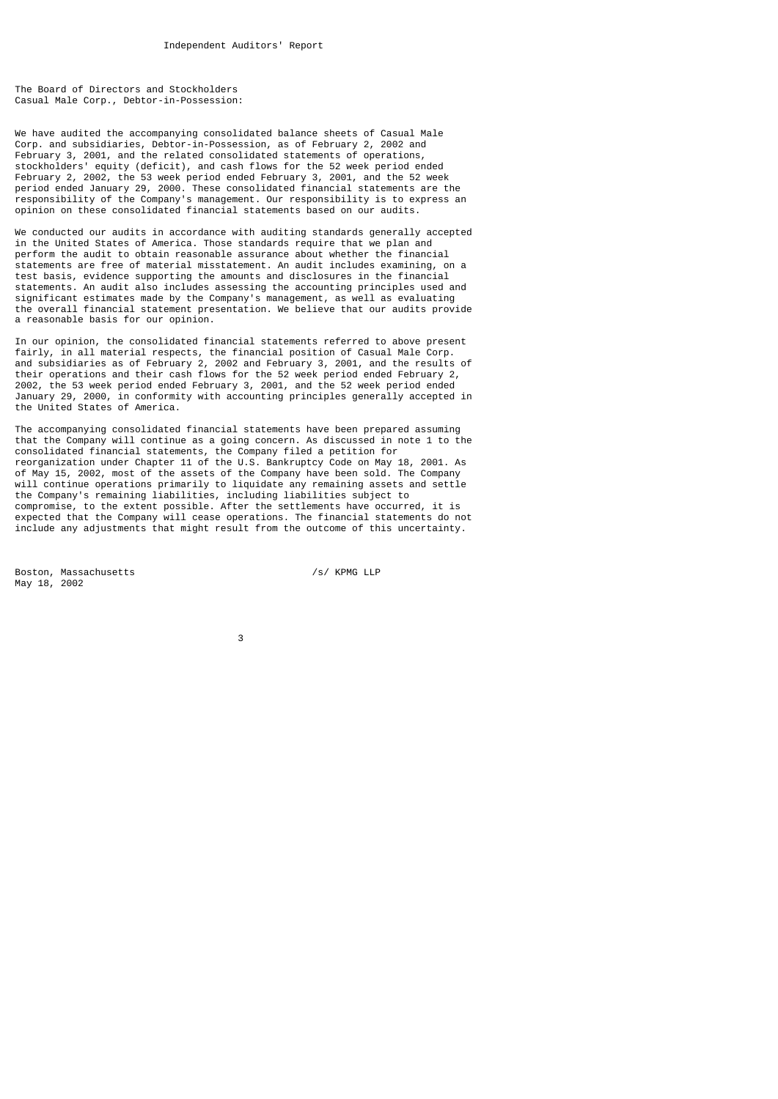The Board of Directors and Stockholders Casual Male Corp., Debtor-in-Possession:

We have audited the accompanying consolidated balance sheets of Casual Male Corp. and subsidiaries, Debtor-in-Possession, as of February 2, 2002 and February 3, 2001, and the related consolidated statements of operations, stockholders' equity (deficit), and cash flows for the 52 week period ended February 2, 2002, the 53 week period ended February 3, 2001, and the 52 week period ended January 29, 2000. These consolidated financial statements are the responsibility of the Company's management. Our responsibility is to express an opinion on these consolidated financial statements based on our audits.

We conducted our audits in accordance with auditing standards generally accepted in the United States of America. Those standards require that we plan and perform the audit to obtain reasonable assurance about whether the financial statements are free of material misstatement. An audit includes examining, on a test basis, evidence supporting the amounts and disclosures in the financial statements. An audit also includes assessing the accounting principles used and significant estimates made by the Company's management, as well as evaluating the overall financial statement presentation. We believe that our audits provide a reasonable basis for our opinion.

In our opinion, the consolidated financial statements referred to above present fairly, in all material respects, the financial position of Casual Male Corp. and subsidiaries as of February 2, 2002 and February 3, 2001, and the results of their operations and their cash flows for the 52 week period ended February 2, 2002, the 53 week period ended February 3, 2001, and the 52 week period ended January 29, 2000, in conformity with accounting principles generally accepted in the United States of America.

The accompanying consolidated financial statements have been prepared assuming that the Company will continue as a going concern. As discussed in note 1 to the consolidated financial statements, the Company filed a petition for reorganization under Chapter 11 of the U.S. Bankruptcy Code on May 18, 2001. As of May 15, 2002, most of the assets of the Company have been sold. The Company will continue operations primarily to liquidate any remaining assets and settle the Company's remaining liabilities, including liabilities subject to compromise, to the extent possible. After the settlements have occurred, it is expected that the Company will cease operations. The financial statements do not include any adjustments that might result from the outcome of this uncertainty.

Boston, Massachusetts /s/ KPMG LLP May 18, 2002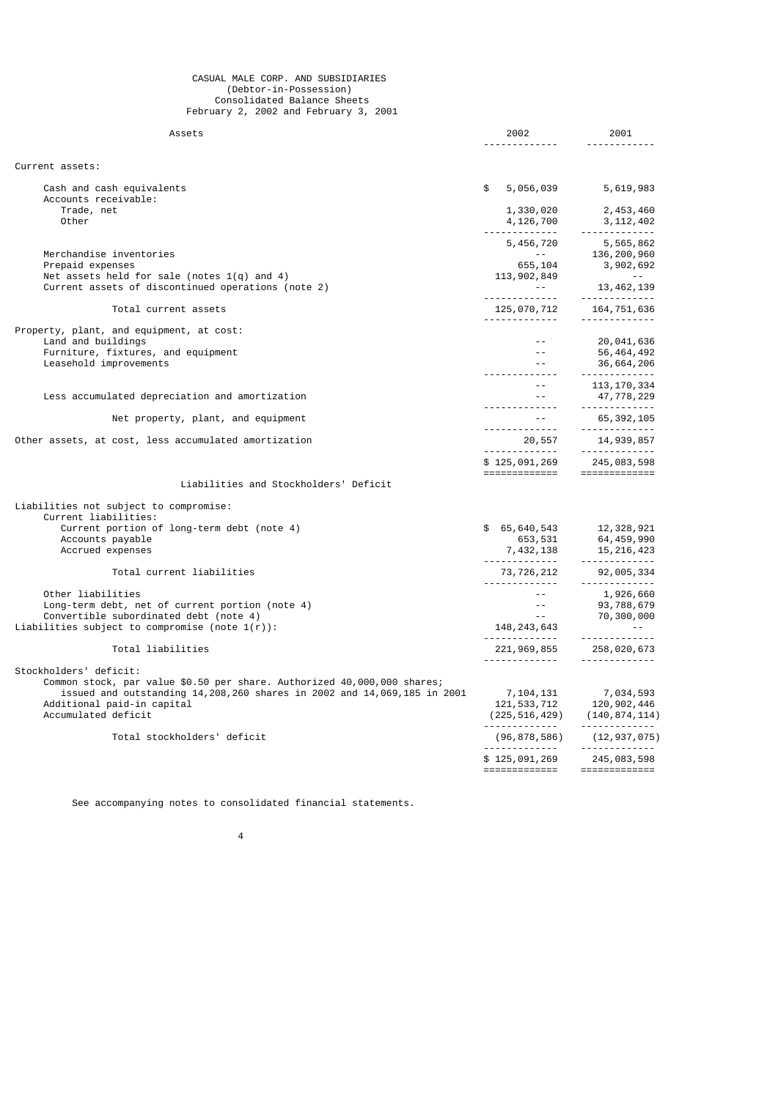#### CASUAL MALE CORP. AND SUBSIDIARIES (Debtor-in-Possession) Consolidated Balance Sheets February 2, 2002 and February 3, 2001

| Assets                                                                                                                                                                                                                            | 2002<br><u>.</u>                                                                                                                                                                                                                                                                                                                               | 2001<br><u> - - - - - - - - - - - -</u>                                                                                                |
|-----------------------------------------------------------------------------------------------------------------------------------------------------------------------------------------------------------------------------------|------------------------------------------------------------------------------------------------------------------------------------------------------------------------------------------------------------------------------------------------------------------------------------------------------------------------------------------------|----------------------------------------------------------------------------------------------------------------------------------------|
| Current assets:                                                                                                                                                                                                                   |                                                                                                                                                                                                                                                                                                                                                |                                                                                                                                        |
| Cash and cash equivalents                                                                                                                                                                                                         | \$<br>5,056,039                                                                                                                                                                                                                                                                                                                                | 5,619,983                                                                                                                              |
| Accounts receivable:<br>Trade, net<br>Other                                                                                                                                                                                       | 1,330,020<br>$4,126,700$ $3,112,402$                                                                                                                                                                                                                                                                                                           | 2,453,460                                                                                                                              |
| Merchandise inventories                                                                                                                                                                                                           |                                                                                                                                                                                                                                                                                                                                                | 5, 456, 720<br>5, 565, 862<br>55, 104<br>5, 902, 692<br>5, 902, 910                                                                    |
| Prepaid expenses<br>Net assets held for sale (notes $1(q)$ and 4)<br>Current assets of discontinued operations (note 2)                                                                                                           | 113, 902, 849<br>in Alberta<br>--------------                                                                                                                                                                                                                                                                                                  | $\mathcal{L}_{\rm{max}}$ and $\mathcal{L}_{\rm{max}}$<br>13, 462, 139<br>. <u>.</u>                                                    |
| Total current assets                                                                                                                                                                                                              |                                                                                                                                                                                                                                                                                                                                                |                                                                                                                                        |
| Property, plant, and equipment, at cost:<br>Land and buildings<br>Furniture, fixtures, and equipment<br>Leasehold improvements                                                                                                    | $\sim$ $\sim$ $ \sim$<br>$\omega = 1$<br>$\sim$ $\sim$ $ \sim$                                                                                                                                                                                                                                                                                 | 20,041,636<br>56,464,492<br>36,664,206                                                                                                 |
| Less accumulated depreciation and amortization                                                                                                                                                                                    | $\sim$ $\sim$ $-$<br>$ -$                                                                                                                                                                                                                                                                                                                      | . . <b>.</b> .<br>113, 170, 334<br>47,778,229                                                                                          |
| Net property, plant, and equipment                                                                                                                                                                                                |                                                                                                                                                                                                                                                                                                                                                |                                                                                                                                        |
| Other assets, at cost, less accumulated amortization                                                                                                                                                                              | $\begin{array}{cccc} -2 & 65,392,105 \\ -2 & -2 & -2 & -2 & -2 \\ 20,557 & 14,939,857 \\ -2 & -2 & -2 & -2 & -2 \\ 20,557 & -2 & -2 & -2 & -2 \\ 20,557 & -2 & -2 & -2 & -2 \\ 20,557 & -2 & -2 & -2 & -2 \\ 20,575 & -2 & -2 & -2 & -2 \\ 20,575 & -2 & -2 & -2 & -2 \\ 20,575 & -2 & -2 & -2 & -2 \\ 20,575 & -2 & -2 & -2 & -2 \\ 20,575 &$ |                                                                                                                                        |
|                                                                                                                                                                                                                                   | \$125,091,269 245,083,598<br>===============================                                                                                                                                                                                                                                                                                   |                                                                                                                                        |
| Liabilities and Stockholders' Deficit                                                                                                                                                                                             |                                                                                                                                                                                                                                                                                                                                                |                                                                                                                                        |
| Liabilities not subject to compromise:<br>Current liabilities:                                                                                                                                                                    |                                                                                                                                                                                                                                                                                                                                                |                                                                                                                                        |
| Current portion of long-term debt (note 4)<br>Accounts payable<br>Accrued expenses                                                                                                                                                | \$ 65,640,543 12,328,921<br>$7,432,138$<br>$7,432,138$<br>$8,531$<br>$15,216,423$<br>$15,216,423$                                                                                                                                                                                                                                              |                                                                                                                                        |
| Total current liabilities                                                                                                                                                                                                         | $73,726,212$ $92,005,334$                                                                                                                                                                                                                                                                                                                      |                                                                                                                                        |
| Other liabilities<br>Long-term debt, net of current portion (note 4)<br>Convertible subordinated debt (note 4)<br>Liabilities subject to compromise (note $1(r)$ ):                                                               | $\frac{2\pi}{\pi}$ .                                                                                                                                                                                                                                                                                                                           |                                                                                                                                        |
| Total liabilities                                                                                                                                                                                                                 |                                                                                                                                                                                                                                                                                                                                                | 221,969,855 258,020,673                                                                                                                |
| Stockholders' deficit:<br>Common stock, par value \$0.50 per share. Authorized 40,000,000 shares;<br>issued and outstanding 14,208,260 shares in 2002 and 14,069,185 in 2001<br>Additional paid-in capital<br>Accumulated deficit |                                                                                                                                                                                                                                                                                                                                                | $\begin{array}{cccc} 7,104,131 & 7,034,593 \\ 121,533,712 & 120,902,446 \\ (225,516,429) & (140,874,114) \end{array}$<br>------------- |
| Total stockholders' deficit                                                                                                                                                                                                       | . <u>.</u>                                                                                                                                                                                                                                                                                                                                     | $(96, 878, 586)$ $(12, 937, 075)$<br>-------------                                                                                     |
|                                                                                                                                                                                                                                   | \$125,091,269<br>============                                                                                                                                                                                                                                                                                                                  | 245,083,598<br>=============                                                                                                           |

See accompanying notes to consolidated financial statements.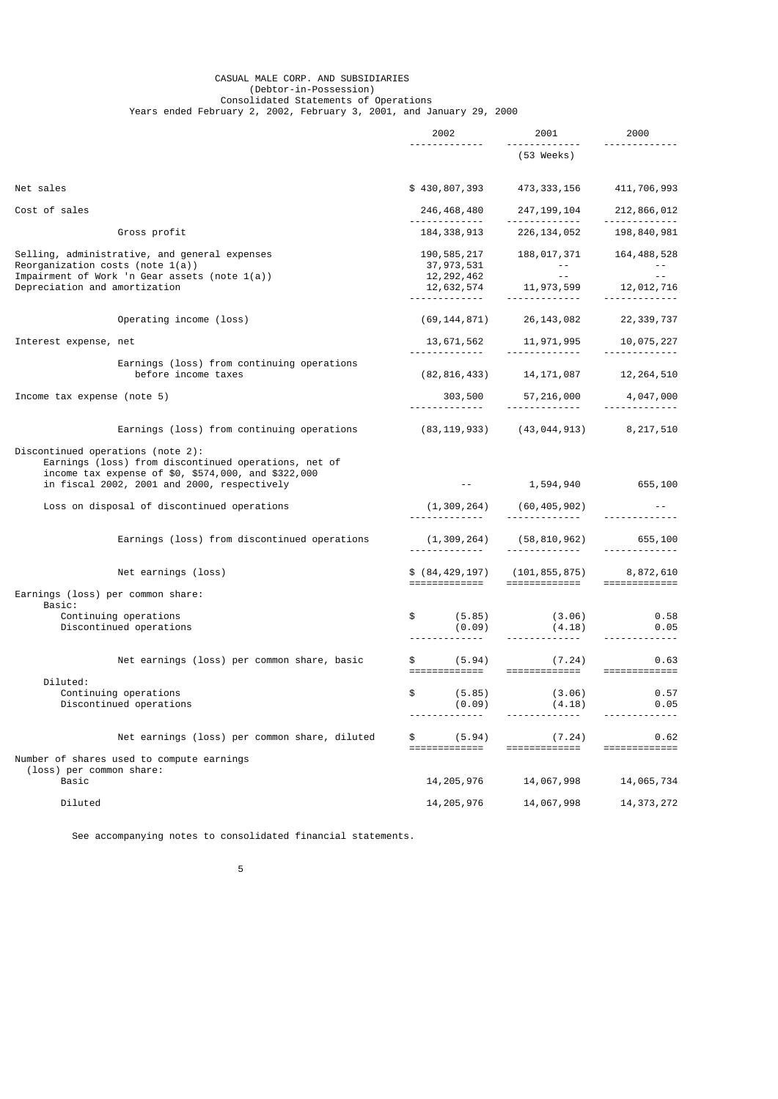#### CASUAL MALE CORP. AND SUBSIDIARIES (Debtor-in-Possession) Consolidated Statements of Operations Years ended February 2, 2002, February 3, 2001, and January 29, 2000

|                                                                                                                                                                                                 | 2002                                    | 2001                                                     | 2000                          |
|-------------------------------------------------------------------------------------------------------------------------------------------------------------------------------------------------|-----------------------------------------|----------------------------------------------------------|-------------------------------|
|                                                                                                                                                                                                 |                                         | (53 Weeks)                                               |                               |
| Net sales                                                                                                                                                                                       | \$430,807,393 473,333,156               |                                                          | 411,706,993                   |
| Cost of sales                                                                                                                                                                                   |                                         | 246,468,480 247,199,104                                  | 212,866,012                   |
| Gross profit                                                                                                                                                                                    | 184, 338, 913                           | 226,134,052                                              | 198,840,981                   |
| Selling, administrative, and general expenses<br>Reorganization costs (note $1(a)$ )<br>Impairment of Work 'n Gear assets (note 1(a))<br>Depreciation and amortization                          | 190, 585, 217<br><u>.</u> .             |                                                          | 188, 017, 371 164, 488, 528   |
| Operating income (loss)                                                                                                                                                                         |                                         | $(69, 144, 871)$ 26, 143, 082                            | 22, 339, 737                  |
| Interest expense, net                                                                                                                                                                           |                                         |                                                          |                               |
| Earnings (loss) from continuing operations<br>before income taxes                                                                                                                               |                                         | $(82, 816, 433)$ $14, 171, 087$ $12, 264, 510$           |                               |
| Income tax expense (note 5)                                                                                                                                                                     | <u>.</u>                                | $303,500$ $57,216,000$ $4,047,000$                       |                               |
| Earnings (loss) from continuing operations                                                                                                                                                      |                                         | $(83, 119, 933)$ $(43, 044, 913)$ $8, 217, 510$          |                               |
| Discontinued operations (note 2):<br>Earnings (loss) from discontinued operations, net of<br>income tax expense of \$0, \$574,000, and \$322,000<br>in fiscal 2002, 2001 and 2000, respectively |                                         |                                                          | 1,594,940 655,100             |
| Loss on disposal of discontinued operations                                                                                                                                                     |                                         |                                                          |                               |
| Earnings (loss) from discontinued operations                                                                                                                                                    |                                         | $(1, 309, 264)$ $(58, 810, 962)$ 655, 100                |                               |
| Net earnings (loss)                                                                                                                                                                             |                                         | \$ (84, 429, 197) (101, 855, 875)                        | 8,872,610                     |
| Earnings (loss) per common share:                                                                                                                                                               | =============                           | =============                                            | =============                 |
| Basic:<br>Continuing operations<br>Discontinued operations                                                                                                                                      |                                         | $$$ $(5.85)$ $(3.06)$<br>$(0.09)$ $(4.18)$               | 0.58<br>0.05                  |
| Net earnings (loss) per common share, basic                                                                                                                                                     | =============                           | $\text{\$} \qquad (5.94) \qquad (7.24)$<br>============= | 0.63<br>=============         |
| Diluted:<br>Continuing operations<br>Discontinued operations                                                                                                                                    | \$<br>(5.85)<br>(0.09)<br>------------- | (3.06)<br>(4.18)<br>-------------                        | 0.57<br>0.05<br>------------- |
| Net earnings (loss) per common share, diluted                                                                                                                                                   | (5.94)<br>\$<br>=============           | (7.24)<br>=============                                  | 0.62<br>=============         |
| Number of shares used to compute earnings<br>(loss) per common share:                                                                                                                           |                                         |                                                          |                               |
| Basic                                                                                                                                                                                           | 14, 205, 976                            | 14,067,998                                               | 14,065,734                    |
| Diluted                                                                                                                                                                                         | 14, 205, 976                            | 14,067,998                                               | 14, 373, 272                  |

See accompanying notes to consolidated financial statements.

 $\sim$  5  $\sim$  5  $\sim$  5  $\sim$  5  $\sim$  5  $\sim$  5  $\sim$  5  $\sim$  5  $\sim$  5  $\sim$  5  $\sim$  5  $\sim$  5  $\sim$  5  $\sim$  5  $\sim$  5  $\sim$  5  $\sim$  5  $\sim$  5  $\sim$  5  $\sim$  5  $\sim$  5  $\sim$  5  $\sim$  5  $\sim$  5  $\sim$  5  $\sim$  5  $\sim$  5  $\sim$  5  $\sim$  5  $\sim$  5  $\sim$  5  $\sim$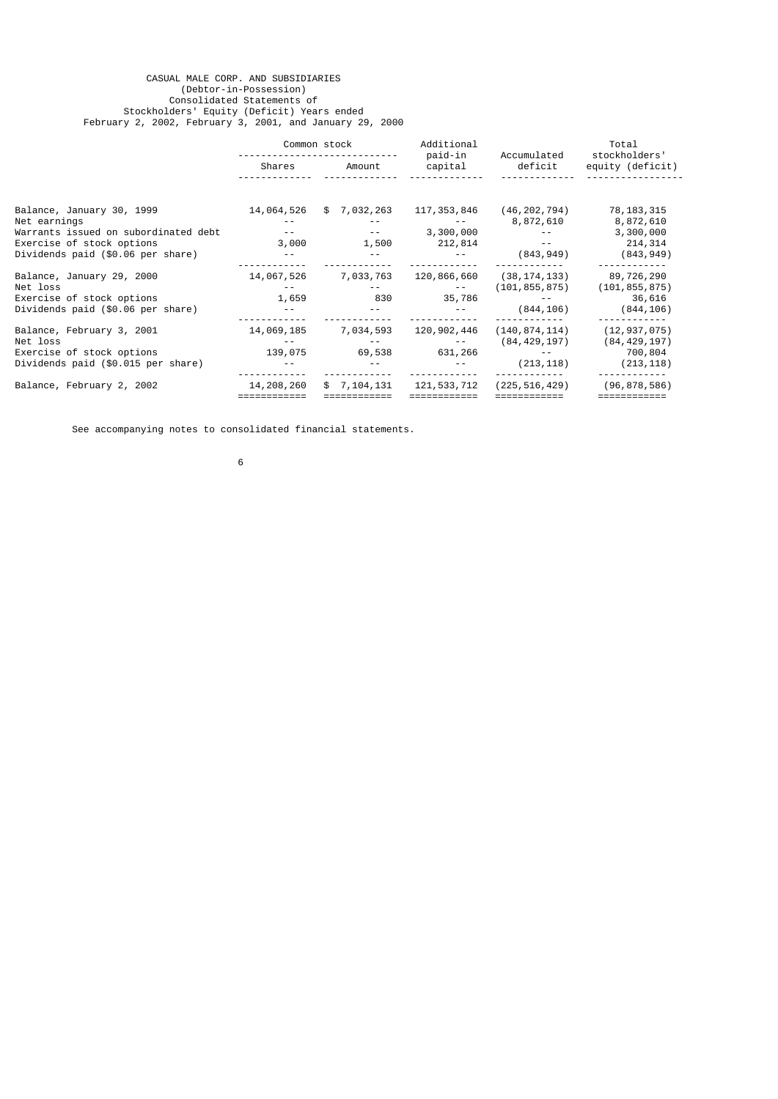### CASUAL MALE CORP. AND SUBSIDIARIES (Debtor-in-Possession) Consolidated Statements of Stockholders' Equity (Deficit) Years ended February 2, 2002, February 3, 2001, and January 29, 2000

|                                      | Common stock |                 | paid-in       |                 |                  |  | Additional | Accumulated | Total<br>stockholders' |
|--------------------------------------|--------------|-----------------|---------------|-----------------|------------------|--|------------|-------------|------------------------|
|                                      | Shares       | Amount          | capital       | deficit         | equity (deficit) |  |            |             |                        |
|                                      |              |                 |               |                 |                  |  |            |             |                        |
| Balance, January 30, 1999            | 14,064,526   | 7,032,263<br>\$ | 117, 353, 846 | (46,202,794)    | 78, 183, 315     |  |            |             |                        |
| Net earnings                         |              |                 |               | 8,872,610       | 8,872,610        |  |            |             |                        |
| Warrants issued on subordinated debt |              |                 | 3,300,000     |                 | 3,300,000        |  |            |             |                        |
| Exercise of stock options            | 3,000        | 1,500           | 212,814       |                 | 214, 314         |  |            |             |                        |
| Dividends paid (\$0.06 per share)    |              |                 |               | (843, 949)      | (843, 949)       |  |            |             |                        |
| Balance, January 29, 2000            | 14,067,526   | 7,033,763       | 120,866,660   | (38, 174, 133)  | 89,726,290       |  |            |             |                        |
| Net loss                             |              |                 |               | (101, 855, 875) | (101, 855, 875)  |  |            |             |                        |
| Exercise of stock options            | 1,659        | 830             | 35,786        |                 | 36,616           |  |            |             |                        |
| Dividends paid (\$0.06 per share)    |              |                 |               | (844, 106)      | (844, 106)       |  |            |             |                        |
| Balance, February 3, 2001            | 14,069,185   | 7,034,593       | 120,902,446   | (140, 874, 114) | (12, 937, 075)   |  |            |             |                        |
| Net loss                             |              |                 |               | (84, 429, 197)  | (84,429,197)     |  |            |             |                        |
| Exercise of stock options            | 139,075      | 69,538          | 631,266       |                 | 700,804          |  |            |             |                        |
| Dividends paid (\$0.015 per share)   |              |                 |               | (213, 118)      | (213, 118)       |  |            |             |                        |
| Balance, February 2, 2002            | 14,208,260   | \$7,104,131     | 121, 533, 712 | (225, 516, 429) | (96, 878, 586)   |  |            |             |                        |
|                                      |              |                 |               |                 |                  |  |            |             |                        |

See accompanying notes to consolidated financial statements.

 $\sim$  6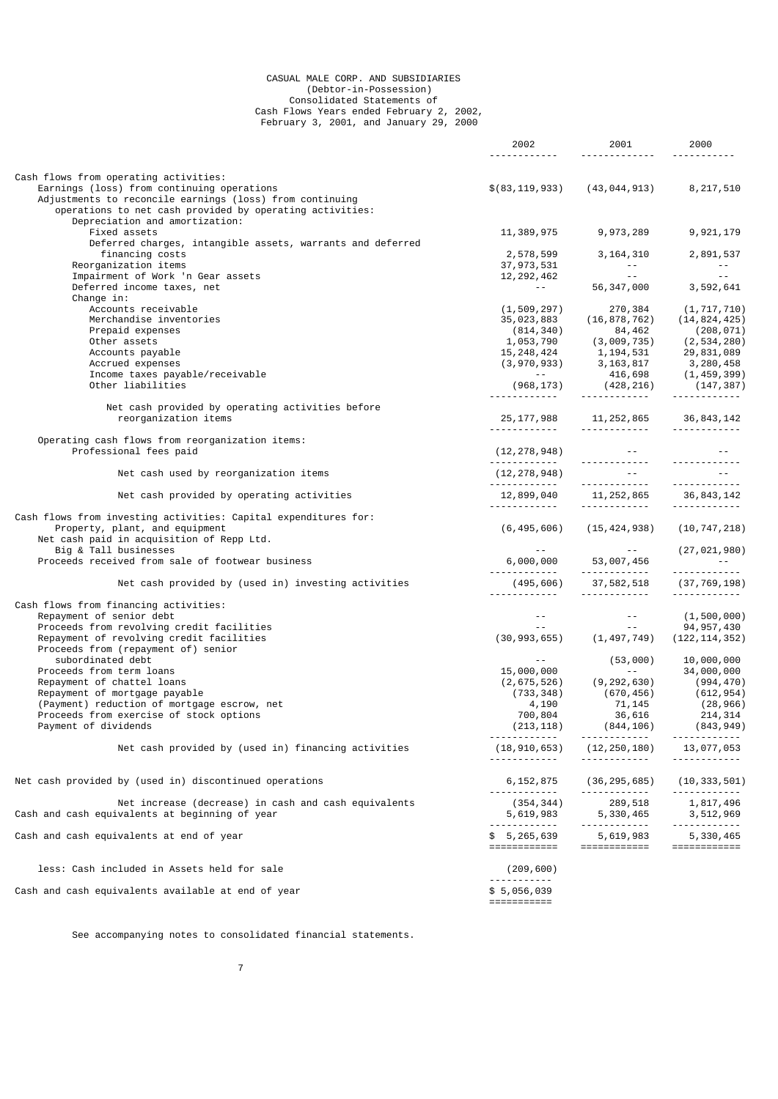#### CASUAL MALE CORP. AND SUBSIDIARIES (Debtor-in-Possession) Consolidated Statements of Cash Flows Years ended February 2, 2002, February 3, 2001, and January 29, 2000

|                                                                           | 2002                               | 2001                                                                                                                                          | 2000                                                                     |
|---------------------------------------------------------------------------|------------------------------------|-----------------------------------------------------------------------------------------------------------------------------------------------|--------------------------------------------------------------------------|
|                                                                           | <u>.</u>                           | .                                                                                                                                             | <u> - - - - - - - - - - -</u>                                            |
| Cash flows from operating activities:                                     |                                    |                                                                                                                                               |                                                                          |
| Earnings (loss) from continuing operations                                | \$(83, 119, 933)                   | (43, 044, 913)                                                                                                                                | 8,217,510                                                                |
| Adjustments to reconcile earnings (loss) from continuing                  |                                    |                                                                                                                                               |                                                                          |
| operations to net cash provided by operating activities:                  |                                    |                                                                                                                                               |                                                                          |
| Depreciation and amortization:                                            |                                    |                                                                                                                                               |                                                                          |
| Fixed assets                                                              | 11,389,975                         | 9,973,289                                                                                                                                     | 9,921,179                                                                |
| Deferred charges, intangible assets, warrants and deferred                |                                    |                                                                                                                                               |                                                                          |
| financing costs                                                           | 2,578,599                          |                                                                                                                                               | 3, 164, 310 2, 891, 537                                                  |
| Reorganization items                                                      | 2,578,531<br>37,973,531<br>202.462 | <b>Contractor</b>                                                                                                                             | $\sim$ $-$                                                               |
| Impairment of Work 'n Gear assets                                         |                                    | and the same state                                                                                                                            | $56,347,000$ 3,592,641                                                   |
| Deferred income taxes, net                                                | <b>Contract Contract</b>           |                                                                                                                                               |                                                                          |
| Change in:                                                                |                                    |                                                                                                                                               |                                                                          |
| Accounts receivable                                                       | (1, 509, 297)                      | 270,384                                                                                                                                       | (1, 717, 710)                                                            |
| Merchandise inventories                                                   | 35,023,883                         | (16, 878, 762)                                                                                                                                | (14, 824, 425)                                                           |
| Prepaid expenses                                                          | (814, 340)                         | 84,462                                                                                                                                        | (208, 071)                                                               |
| Other assets                                                              | 1,053,790                          | (3,009,735)                                                                                                                                   | (2, 534, 280)                                                            |
| Accounts payable                                                          |                                    | $\begin{array}{lllll} 15,248,424 & \quad & 1,194,531 & \quad & 29,831,089 \\ (3,970,933) & \quad & 3,163,817 & \quad & 3,280,458 \end{array}$ |                                                                          |
| Accrued expenses                                                          |                                    |                                                                                                                                               |                                                                          |
| Income taxes payable/receivable                                           | <b>Service</b>                     | 416,698                                                                                                                                       | (1, 459, 399)                                                            |
| Other liabilities                                                         |                                    | $(968, 173)$ $(428, 216)$                                                                                                                     | (147, 387)                                                               |
|                                                                           |                                    | -------------                                                                                                                                 |                                                                          |
| Net cash provided by operating activities before                          |                                    |                                                                                                                                               |                                                                          |
| reorganization items                                                      | <u>.</u>                           | 25, 177, 988 11, 252, 865 36, 843, 142<br><u> - - - - - - - - - - -</u>                                                                       | .                                                                        |
|                                                                           |                                    |                                                                                                                                               |                                                                          |
| Operating cash flows from reorganization items:<br>Professional fees paid |                                    | $(12, 278, 948)$ --                                                                                                                           |                                                                          |
|                                                                           |                                    |                                                                                                                                               |                                                                          |
| Net cash used by reorganization items                                     |                                    | $(12, 278, 948)$ --                                                                                                                           | and the state of the state of                                            |
|                                                                           |                                    |                                                                                                                                               |                                                                          |
| Net cash provided by operating activities                                 |                                    |                                                                                                                                               |                                                                          |
|                                                                           | <u> - - - - - - - - - - -</u>      |                                                                                                                                               |                                                                          |
| Cash flows from investing activities: Capital expenditures for:           |                                    |                                                                                                                                               |                                                                          |
| Property, plant, and equipment                                            |                                    | $(6, 495, 606)$ $(15, 424, 938)$ $(10, 747, 218)$                                                                                             |                                                                          |
| Net cash paid in acquisition of Repp Ltd.                                 |                                    |                                                                                                                                               |                                                                          |
| Big & Tall businesses                                                     | $\sim$ $\sim$ $ \sim$              |                                                                                                                                               | $-$ (27,021,980)                                                         |
| Proceeds received from sale of footwear business                          |                                    | 6,000,000 53,007,456                                                                                                                          |                                                                          |
|                                                                           | <u> 111111111111</u>               | <u> 11111111111</u>                                                                                                                           | ---<br>-------------                                                     |
| Net cash provided by (used in) investing activities                       |                                    | $(495, 606)$ 37, 582, 518 (37, 769, 198)                                                                                                      |                                                                          |
|                                                                           |                                    | <u> - - - - - - - - - - -</u>                                                                                                                 | <u> - - - - - - - - - - - -</u>                                          |
| Cash flows from financing activities:                                     |                                    |                                                                                                                                               |                                                                          |
| Repayment of senior debt                                                  |                                    | (1,500,000)<br>(30,993,655)<br>(30,993,655)<br>(1,497,749) (1,22,114,352)                                                                     | $\begin{array}{ccc} -2 & (1, 500, 000) \\ -3 & 94, 957, 430 \end{array}$ |
| Proceeds from revolving credit facilities                                 |                                    |                                                                                                                                               |                                                                          |
| Repayment of revolving credit facilities                                  |                                    |                                                                                                                                               |                                                                          |
| Proceeds from (repayment of) senior                                       |                                    |                                                                                                                                               |                                                                          |
| subordinated debt                                                         | $\sim$ $-$                         | (53,000)                                                                                                                                      | 10,000,000                                                               |
| Proceeds from term loans                                                  | 15,000,000                         | <b>Contractor</b>                                                                                                                             | 34,000,000                                                               |
| Repayment of chattel loans                                                | (2, 675, 526)                      | (9, 292, 630)                                                                                                                                 | (994, 470)                                                               |
| Repayment of mortgage payable                                             | (733, 348)                         | (670, 456)                                                                                                                                    | (612, 954)                                                               |
| (Payment) reduction of mortgage escrow, net                               | 4,190                              | 71, 145                                                                                                                                       | (28, 966)                                                                |
| Proceeds from exercise of stock options                                   | 700,804                            | 36,616                                                                                                                                        | 214,314                                                                  |
| Payment of dividends                                                      | (213, 118)                         | (844, 106)                                                                                                                                    | (843, 949)                                                               |
|                                                                           |                                    |                                                                                                                                               |                                                                          |
| Net cash provided by (used in) financing activities                       | (18, 910, 653)<br>.                | (12,250,180) 13,077,053<br>-------------                                                                                                      |                                                                          |
|                                                                           |                                    |                                                                                                                                               |                                                                          |
| Net cash provided by (used in) discontinued operations                    | 6,152,875                          | (36,295,685)                                                                                                                                  |                                                                          |
|                                                                           |                                    |                                                                                                                                               | (10,333,501)                                                             |
| Net increase (decrease) in cash and cash equivalents                      | (354,344)                          | 289,518                                                                                                                                       | 1,817,496                                                                |
| Cash and cash equivalents at beginning of year                            | 5,619,983                          | 5,330,465                                                                                                                                     | 3,512,969                                                                |
|                                                                           | -------------                      | -------------                                                                                                                                 | <u> - - - - - - - - - - -</u>                                            |
| Cash and cash equivalents at end of year                                  | \$ 5,265,639                       | 5,619,983                                                                                                                                     | 5,330,465                                                                |
|                                                                           | ============                       | ============                                                                                                                                  | ============                                                             |
|                                                                           |                                    |                                                                                                                                               |                                                                          |
| less: Cash included in Assets held for sale                               | (209, 600)                         |                                                                                                                                               |                                                                          |
|                                                                           |                                    |                                                                                                                                               |                                                                          |
| Cash and cash equivalents available at end of year                        | \$5,056,039                        |                                                                                                                                               |                                                                          |
|                                                                           | ===========                        |                                                                                                                                               |                                                                          |

See accompanying notes to consolidated financial statements.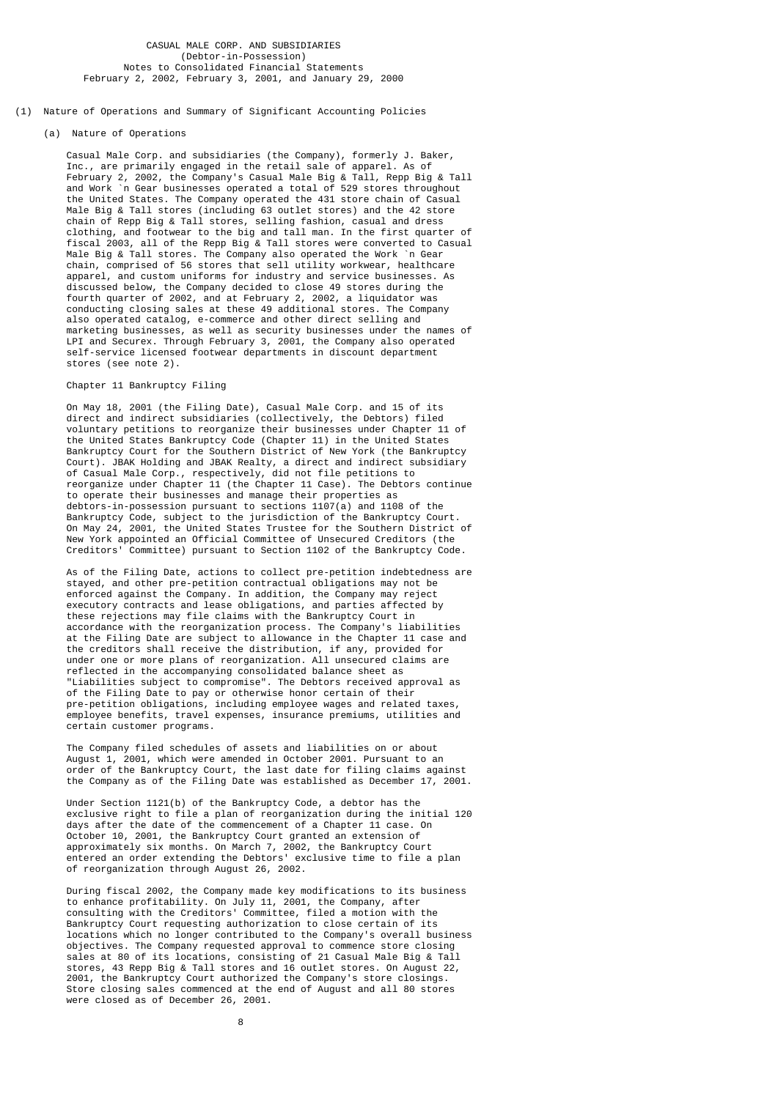#### CASUAL MALE CORP. AND SUBSIDIARIES (Debtor-in-Possession) Notes to Consolidated Financial Statements February 2, 2002, February 3, 2001, and January 29, 2000

(1) Nature of Operations and Summary of Significant Accounting Policies

#### (a) Nature of Operations

 Casual Male Corp. and subsidiaries (the Company), formerly J. Baker, Inc., are primarily engaged in the retail sale of apparel. As of February 2, 2002, the Company's Casual Male Big & Tall, Repp Big & Tall and Work `n Gear businesses operated a total of 529 stores throughout the United States. The Company operated the 431 store chain of Casual Male Big & Tall stores (including 63 outlet stores) and the 42 store chain of Repp Big & Tall stores, selling fashion, casual and dress clothing, and footwear to the big and tall man. In the first quarter of fiscal 2003, all of the Repp Big & Tall stores were converted to Casual Male Big & Tall stores. The Company also operated the Work `n Gear chain, comprised of 56 stores that sell utility workwear, healthcare apparel, and custom uniforms for industry and service businesses. As discussed below, the Company decided to close 49 stores during the fourth quarter of 2002, and at February 2, 2002, a liquidator was conducting closing sales at these 49 additional stores. The Company also operated catalog, e-commerce and other direct selling and marketing businesses, as well as security businesses under the names of LPI and Securex. Through February 3, 2001, the Company also operated self-service licensed footwear departments in discount department stores (see note 2).

### Chapter 11 Bankruptcy Filing

 On May 18, 2001 (the Filing Date), Casual Male Corp. and 15 of its direct and indirect subsidiaries (collectively, the Debtors) filed voluntary petitions to reorganize their businesses under Chapter 11 of the United States Bankruptcy Code (Chapter 11) in the United States Bankruptcy Court for the Southern District of New York (the Bankruptcy Court). JBAK Holding and JBAK Realty, a direct and indirect subsidiary of Casual Male Corp., respectively, did not file petitions to reorganize under Chapter 11 (the Chapter 11 Case). The Debtors continue to operate their businesses and manage their properties as debtors-in-possession pursuant to sections 1107(a) and 1108 of the Bankruptcy Code, subject to the jurisdiction of the Bankruptcy Court. On May 24, 2001, the United States Trustee for the Southern District of New York appointed an Official Committee of Unsecured Creditors (the Creditors' Committee) pursuant to Section 1102 of the Bankruptcy Code.

 As of the Filing Date, actions to collect pre-petition indebtedness are stayed, and other pre-petition contractual obligations may not be enforced against the Company. In addition, the Company may reject executory contracts and lease obligations, and parties affected by these rejections may file claims with the Bankruptcy Court in accordance with the reorganization process. The Company's liabilities at the Filing Date are subject to allowance in the Chapter 11 case and the creditors shall receive the distribution, if any, provided for under one or more plans of reorganization. All unsecured claims are reflected in the accompanying consolidated balance sheet as "Liabilities subject to compromise". The Debtors received approval as of the Filing Date to pay or otherwise honor certain of their pre-petition obligations, including employee wages and related taxes, employee benefits, travel expenses, insurance premiums, utilities and certain customer programs.

> The Company filed schedules of assets and liabilities on or about August 1, 2001, which were amended in October 2001. Pursuant to an order of the Bankruptcy Court, the last date for filing claims against the Company as of the Filing Date was established as December 17, 2001.

> Under Section 1121(b) of the Bankruptcy Code, a debtor has the exclusive right to file a plan of reorganization during the initial 120 days after the date of the commencement of a Chapter 11 case. On October 10, 2001, the Bankruptcy Court granted an extension of approximately six months. On March 7, 2002, the Bankruptcy Court entered an order extending the Debtors' exclusive time to file a plan of reorganization through August 26, 2002.

 During fiscal 2002, the Company made key modifications to its business to enhance profitability. On July 11, 2001, the Company, after consulting with the Creditors' Committee, filed a motion with the Bankruptcy Court requesting authorization to close certain of its locations which no longer contributed to the Company's overall business objectives. The Company requested approval to commence store closing sales at 80 of its locations, consisting of 21 Casual Male Big & Tall stores, 43 Repp Big & Tall stores and 16 outlet stores. On August 22, 2001, the Bankruptcy Court authorized the Company's store closings. Store closing sales commenced at the end of August and all 80 stores were closed as of December 26, 2001.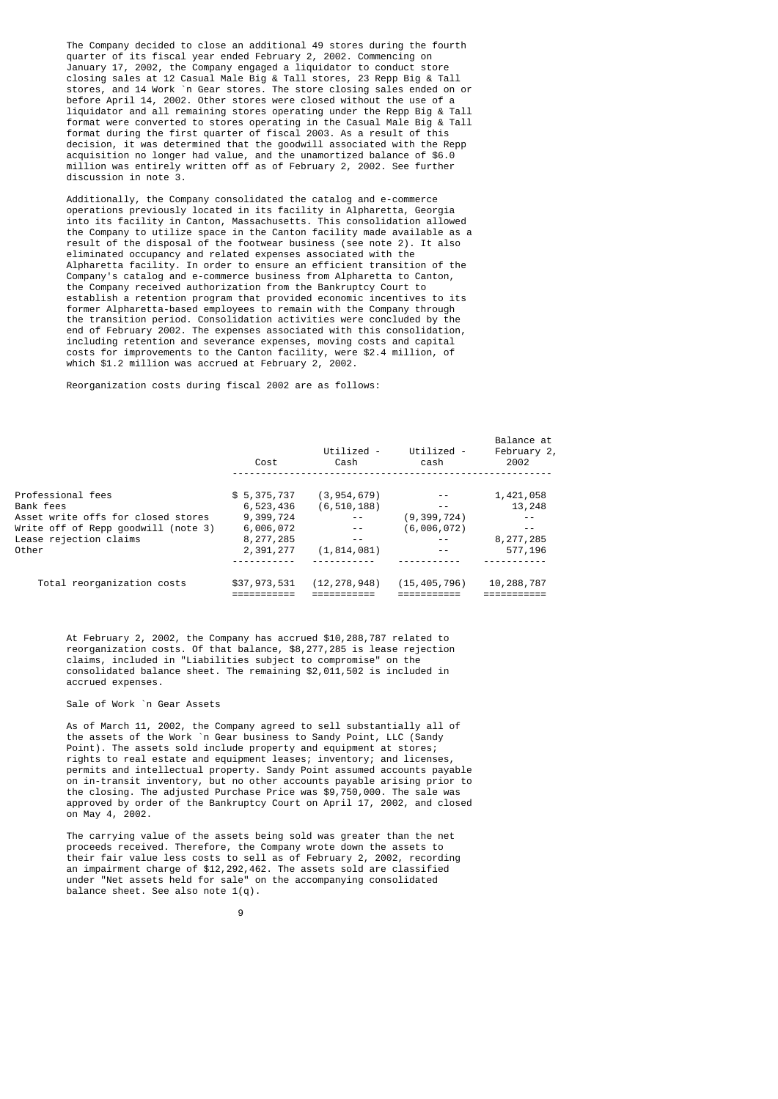The Company decided to close an additional 49 stores during the fourth quarter of its fiscal year ended February 2, 2002. Commencing on January 17, 2002, the Company engaged a liquidator to conduct store closing sales at 12 Casual Male Big & Tall stores, 23 Repp Big & Tall stores, and 14 Work `n Gear stores. The store closing sales ended on or before April 14, 2002. Other stores were closed without the use of a liquidator and all remaining stores operating under the Repp Big & Tall format were converted to stores operating in the Casual Male Big & Tall format during the first quarter of fiscal 2003. As a result of this decision, it was determined that the goodwill associated with the Repp acquisition no longer had value, and the unamortized balance of \$6.0 million was entirely written off as of February 2, 2002. See further discussion in note 3.

 Additionally, the Company consolidated the catalog and e-commerce operations previously located in its facility in Alpharetta, Georgia into its facility in Canton, Massachusetts. This consolidation allowed the Company to utilize space in the Canton facility made available as a result of the disposal of the footwear business (see note 2). It also eliminated occupancy and related expenses associated with the Alpharetta facility. In order to ensure an efficient transition of the Company's catalog and e-commerce business from Alpharetta to Canton, the Company received authorization from the Bankruptcy Court to establish a retention program that provided economic incentives to its former Alpharetta-based employees to remain with the Company through the transition period. Consolidation activities were concluded by the end of February 2002. The expenses associated with this consolidation, including retention and severance expenses, moving costs and capital costs for improvements to the Canton facility, were \$2.4 million, of which \$1.2 million was accrued at February 2, 2002.

Reorganization costs during fiscal 2002 are as follows:

|                                     | Cost         | Utilized -<br>Cash | Utilized -<br>cash | Balance at<br>February 2,<br>2002 |  |
|-------------------------------------|--------------|--------------------|--------------------|-----------------------------------|--|
| Professional fees                   | \$5,375,737  | (3, 954, 679)      |                    | 1,421,058                         |  |
| Bank fees                           | 6,523,436    | (6, 510, 188)      | $ -$               | 13,248                            |  |
| Asset write offs for closed stores  | 9,399,724    |                    | (9, 399, 724)      |                                   |  |
| Write off of Repp qoodwill (note 3) | 6,006,072    |                    | (6,006,072)        | $ -$                              |  |
| Lease rejection claims              | 8,277,285    |                    | $ -$               | 8,277,285                         |  |
| Other                               | 2,391,277    | (1, 814, 081)      | $ -$               | 577,196                           |  |
|                                     |              |                    |                    |                                   |  |
| Total reorganization costs          | \$37,973,531 | (12, 278, 948)     | (15, 405, 796)     | 10,288,787                        |  |
|                                     |              |                    |                    |                                   |  |

 At February 2, 2002, the Company has accrued \$10,288,787 related to reorganization costs. Of that balance, \$8,277,285 is lease rejection claims, included in "Liabilities subject to compromise" on the consolidated balance sheet. The remaining \$2,011,502 is included in accrued expenses.

### Sale of Work `n Gear Assets

 As of March 11, 2002, the Company agreed to sell substantially all of the assets of the Work `n Gear business to Sandy Point, LLC (Sandy Point). The assets sold include property and equipment at stores; rights to real estate and equipment leases; inventory; and licenses, permits and intellectual property. Sandy Point assumed accounts payable on in-transit inventory, but no other accounts payable arising prior to the closing. The adjusted Purchase Price was \$9,750,000. The sale was approved by order of the Bankruptcy Court on April 17, 2002, and closed on May 4, 2002.

 The carrying value of the assets being sold was greater than the net proceeds received. Therefore, the Company wrote down the assets to their fair value less costs to sell as of February 2, 2002, recording an impairment charge of \$12,292,462. The assets sold are classified under "Net assets held for sale" on the accompanying consolidated balance sheet. See also note  $1(q)$ .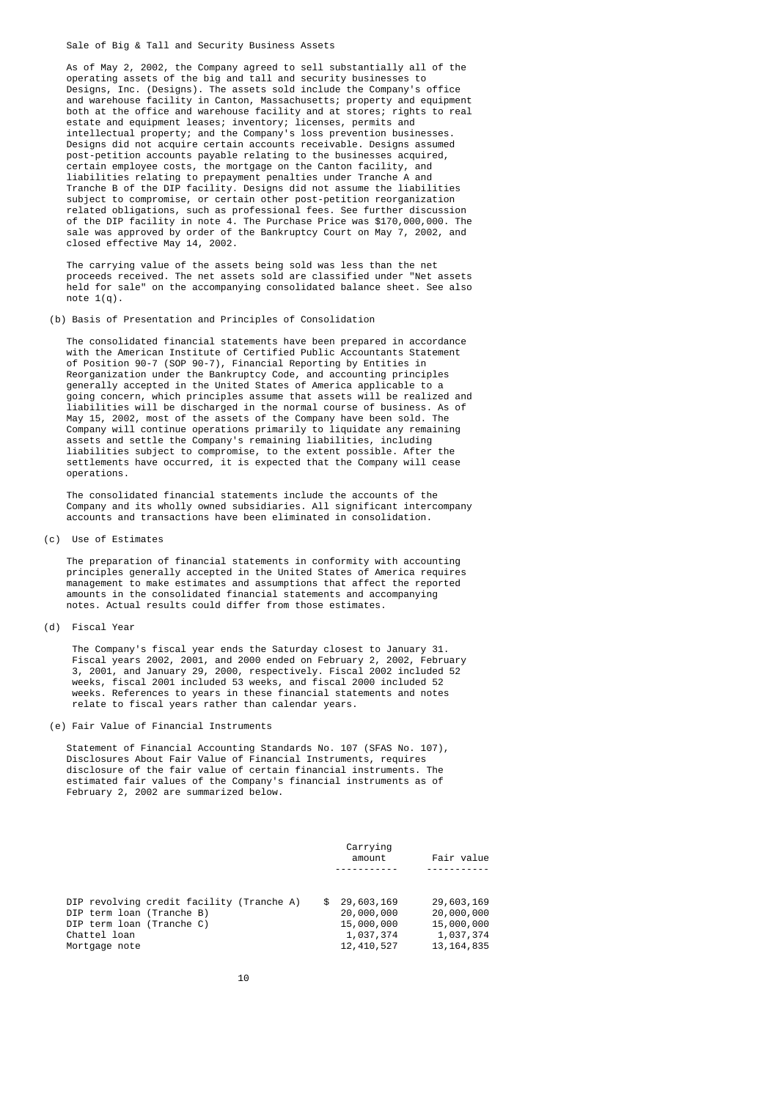Sale of Big & Tall and Security Business Assets

 As of May 2, 2002, the Company agreed to sell substantially all of the operating assets of the big and tall and security businesses to Designs, Inc. (Designs). The assets sold include the Company's office and warehouse facility in Canton, Massachusetts; property and equipment both at the office and warehouse facility and at stores; rights to real estate and equipment leases; inventory; licenses, permits and intellectual property; and the Company's loss prevention businesses. Designs did not acquire certain accounts receivable. Designs assumed post-petition accounts payable relating to the businesses acquired, certain employee costs, the mortgage on the Canton facility, and liabilities relating to prepayment penalties under Tranche A and Tranche B of the DIP facility. Designs did not assume the liabilities subject to compromise, or certain other post-petition reorganization related obligations, such as professional fees. See further discussion of the DIP facility in note 4. The Purchase Price was \$170,000,000. The sale was approved by order of the Bankruptcy Court on May 7, 2002, and closed effective May 14, 2002.

 The carrying value of the assets being sold was less than the net proceeds received. The net assets sold are classified under "Net assets held for sale" on the accompanying consolidated balance sheet. See also note  $1(a)$ .

### (b) Basis of Presentation and Principles of Consolidation

 The consolidated financial statements have been prepared in accordance with the American Institute of Certified Public Accountants Statement of Position 90-7 (SOP 90-7), Financial Reporting by Entities in Reorganization under the Bankruptcy Code, and accounting principles generally accepted in the United States of America applicable to a going concern, which principles assume that assets will be realized and diabilities will be discharged in the normal course of business. As of May 15, 2002, most of the assets of the Company have been sold. The Company will continue operations primarily to liquidate any remaining assets and settle the Company's remaining liabilities, including liabilities subject to compromise, to the extent possible. After the settlements have occurred, it is expected that the Company will cease operations.

> The consolidated financial statements include the accounts of the Company and its wholly owned subsidiaries. All significant intercompany accounts and transactions have been eliminated in consolidation.

### (c) Use of Estimates

 The preparation of financial statements in conformity with accounting principles generally accepted in the United States of America requires management to make estimates and assumptions that affect the reported amounts in the consolidated financial statements and accompanying notes. Actual results could differ from those estimates.

### (d) Fiscal Year

 The Company's fiscal year ends the Saturday closest to January 31. Fiscal years 2002, 2001, and 2000 ended on February 2, 2002, February 3, 2001, and January 29, 2000, respectively. Fiscal 2002 included 52 weeks, fiscal 2001 included 53 weeks, and fiscal 2000 included 52 weeks. References to years in these financial statements and notes relate to fiscal years rather than calendar years.

### (e) Fair Value of Financial Instruments

 Statement of Financial Accounting Standards No. 107 (SFAS No. 107), Disclosures About Fair Value of Financial Instruments, requires disclosure of the fair value of certain financial instruments. The estimated fair values of the Company's financial instruments as of February 2, 2002 are summarized below.

| Carrying<br>Fair value<br>amount |              |
|----------------------------------|--------------|
|                                  |              |
| 29,603,169<br>\$.                | 29,603,169   |
| 20,000,000                       | 20,000,000   |
| 15,000,000                       | 15,000,000   |
| 1,037,374                        | 1,037,374    |
| 12, 410, 527                     | 13, 164, 835 |
|                                  |              |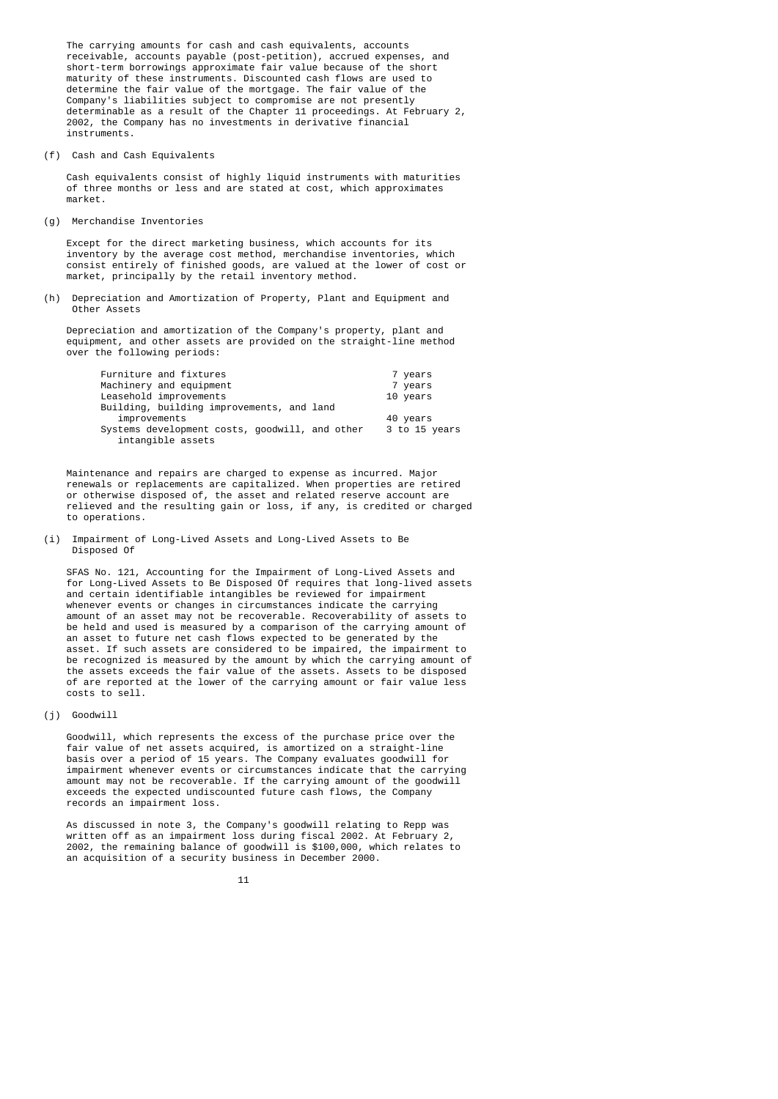The carrying amounts for cash and cash equivalents, accounts receivable, accounts payable (post-petition), accrued expenses, and short-term borrowings approximate fair value because of the short maturity of these instruments. Discounted cash flows are used to determine the fair value of the mortgage. The fair value of the Company's liabilities subject to compromise are not presently determinable as a result of the Chapter 11 proceedings. At February 2, 2002, the Company has no investments in derivative financial instruments.

(f) Cash and Cash Equivalents

 Cash equivalents consist of highly liquid instruments with maturities of three months or less and are stated at cost, which approximates market.

(g) Merchandise Inventories

 Except for the direct marketing business, which accounts for its inventory by the average cost method, merchandise inventories, which consist entirely of finished goods, are valued at the lower of cost or market, principally by the retail inventory method.

 (h) Depreciation and Amortization of Property, Plant and Equipment and Other Assets

 Depreciation and amortization of the Company's property, plant and equipment, and other assets are provided on the straight-line method over the following periods:

| Furniture and fixtures                                              | 7 years       |
|---------------------------------------------------------------------|---------------|
| Machinery and equipment                                             | 7 years       |
| Leasehold improvements                                              | 10 years      |
| Building, building improvements, and land                           |               |
| improvements                                                        | 40 years      |
| Systems development costs, goodwill, and other<br>intangible assets | 3 to 15 years |

 Maintenance and repairs are charged to expense as incurred. Major renewals or replacements are capitalized. When properties are retired or otherwise disposed of, the asset and related reserve account are relieved and the resulting gain or loss, if any, is credited or charged to operations.

 (i) Impairment of Long-Lived Assets and Long-Lived Assets to Be Disposed Of

 SFAS No. 121, Accounting for the Impairment of Long-Lived Assets and for Long-Lived Assets to Be Disposed Of requires that long-lived assets and certain identifiable intangibles be reviewed for impairment whenever events or changes in circumstances indicate the carrying amount of an asset may not be recoverable. Recoverability of assets to be held and used is measured by a comparison of the carrying amount of an asset to future net cash flows expected to be generated by the asset. If such assets are considered to be impaired, the impairment to be recognized is measured by the amount by which the carrying amount of the assets exceeds the fair value of the assets. Assets to be disposed of are reported at the lower of the carrying amount or fair value less costs to sell.

(j) Goodwill

 Goodwill, which represents the excess of the purchase price over the fair value of net assets acquired, is amortized on a straight-line basis over a period of 15 years. The Company evaluates goodwill for impairment whenever events or circumstances indicate that the carrying amount may not be recoverable. If the carrying amount of the goodwill exceeds the expected undiscounted future cash flows, the Company records an impairment loss.

> As discussed in note 3, the Company's goodwill relating to Repp was written off as an impairment loss during fiscal 2002. At February 2, 2002, the remaining balance of goodwill is \$100,000, which relates to an acquisition of a security business in December 2000.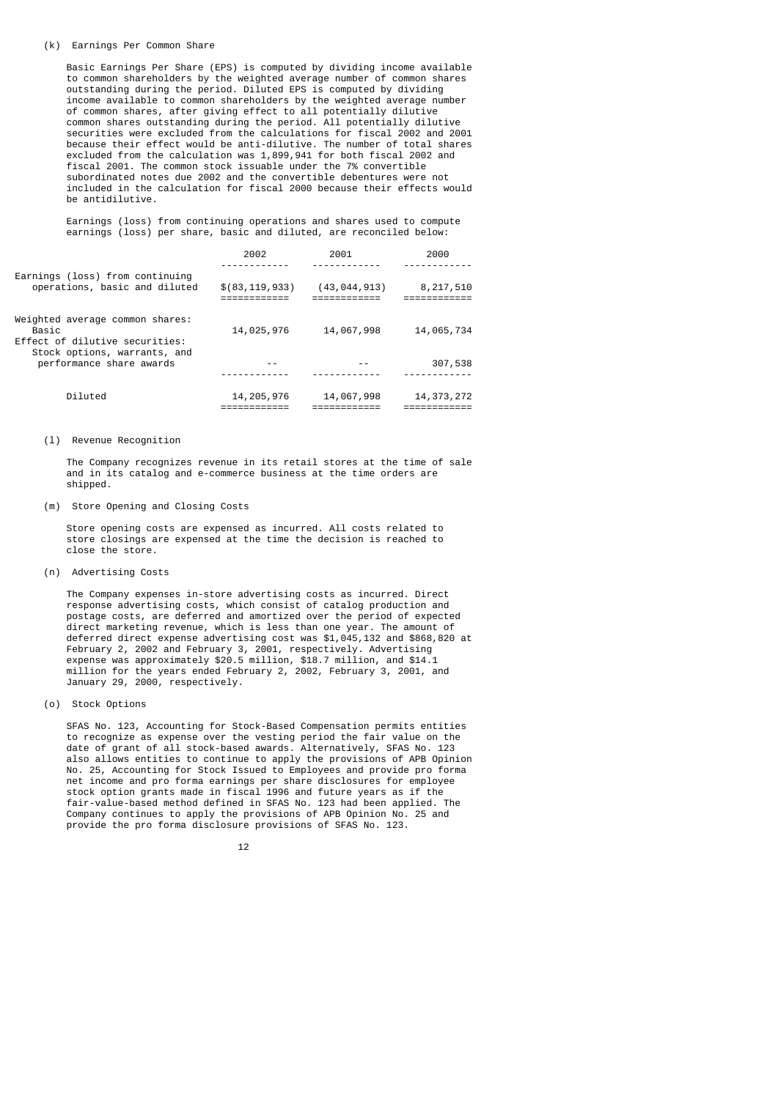#### (k) Earnings Per Common Share

 Basic Earnings Per Share (EPS) is computed by dividing income available to common shareholders by the weighted average number of common shares outstanding during the period. Diluted EPS is computed by dividing income available to common shareholders by the weighted average number of common shares, after giving effect to all potentially dilutive common shares outstanding during the period. All potentially dilutive securities were excluded from the calculations for fiscal 2002 and 2001 because their effect would be anti-dilutive. The number of total shares excluded from the calculation was 1,899,941 for both fiscal 2002 and fiscal 2001. The common stock issuable under the 7% convertible subordinated notes due 2002 and the convertible debentures were not included in the calculation for fiscal 2000 because their effects would be antidilutive.

> Earnings (loss) from continuing operations and shares used to compute earnings (loss) per share, basic and diluted, are reconciled below:

|                                                                            | 2002             | 2001           | 2000         |
|----------------------------------------------------------------------------|------------------|----------------|--------------|
|                                                                            |                  |                |              |
| Earnings (loss) from continuing<br>operations, basic and diluted           | \$(83, 119, 933) | (43, 044, 913) | 8,217,510    |
| Weighted average common shares:<br>Basic<br>Effect of dilutive securities: | 14,025,976       | 14,067,998     | 14,065,734   |
| Stock options, warrants, and<br>performance share awards                   |                  |                | 307,538      |
| Diluted                                                                    | 14, 205, 976     | 14,067,998     | 14, 373, 272 |

#### (l) Revenue Recognition

 The Company recognizes revenue in its retail stores at the time of sale and in its catalog and e-commerce business at the time orders are shipped.

(m) Store Opening and Closing Costs

 Store opening costs are expensed as incurred. All costs related to store closings are expensed at the time the decision is reached to close the store.

(n) Advertising Costs

 The Company expenses in-store advertising costs as incurred. Direct response advertising costs, which consist of catalog production and postage costs, are deferred and amortized over the period of expected direct marketing revenue, which is less than one year. The amount of deferred direct expense advertising cost was \$1,045,132 and \$868,820 at February 2, 2002 and February 3, 2001, respectively. Advertising expense was approximately \$20.5 million, \$18.7 million, and \$14.1 million for the years ended February 2, 2002, February 3, 2001, and January 29, 2000, respectively.

(o) Stock Options

 SFAS No. 123, Accounting for Stock-Based Compensation permits entities to recognize as expense over the vesting period the fair value on the date of grant of all stock-based awards. Alternatively, SFAS No. 123 also allows entities to continue to apply the provisions of APB Opinion No. 25, Accounting for Stock Issued to Employees and provide pro forma net income and pro forma earnings per share disclosures for employee stock option grants made in fiscal 1996 and future years as if the fair-value-based method defined in SFAS No. 123 had been applied. The Company continues to apply the provisions of APB Opinion No. 25 and provide the pro forma disclosure provisions of SFAS No. 123.

12 and 12 and 12 and 12 and 12 and 12 and 12 and 12 and 12 and 12 and 12 and 12 and 12 and 12 and 12 and 12 an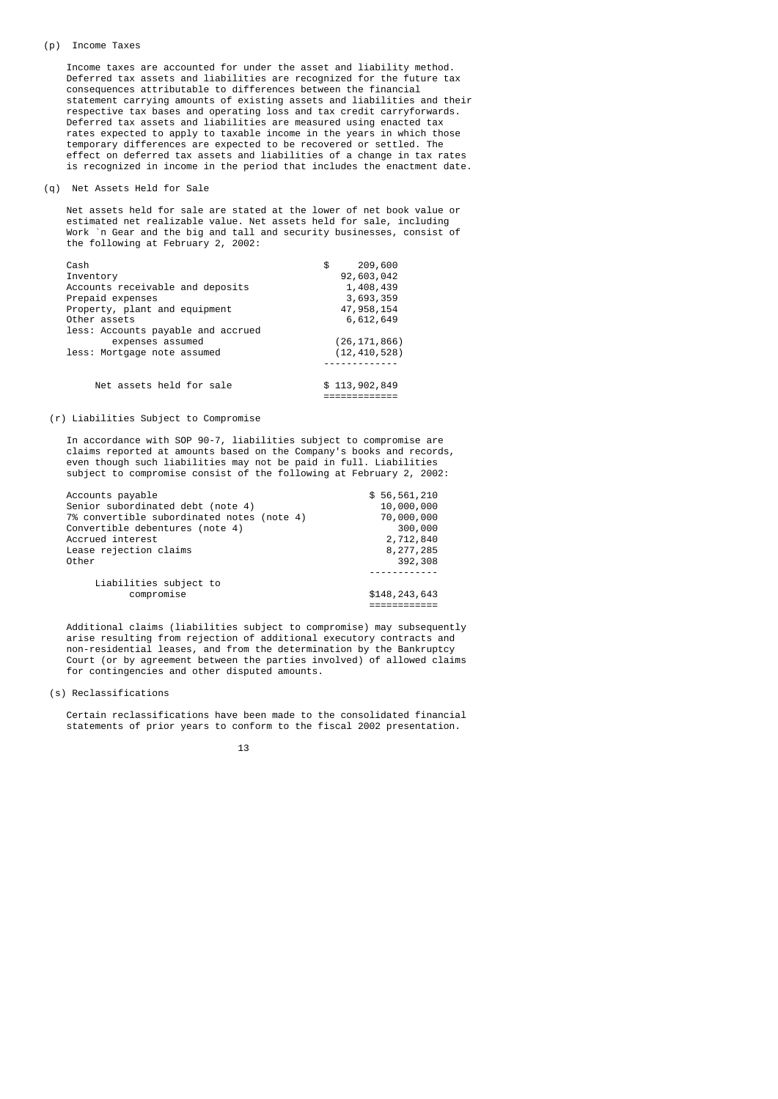#### (p) Income Taxes

 Income taxes are accounted for under the asset and liability method. Deferred tax assets and liabilities are recognized for the future tax consequences attributable to differences between the financial statement carrying amounts of existing assets and liabilities and their respective tax bases and operating loss and tax credit carryforwards. Deferred tax assets and liabilities are measured using enacted tax rates expected to apply to taxable income in the years in which those temporary differences are expected to be recovered or settled. The effect on deferred tax assets and liabilities of a change in tax rates is recognized in income in the period that includes the enactment date.

### (q) Net Assets Held for Sale

 Net assets held for sale are stated at the lower of net book value or estimated net realizable value. Net assets held for sale, including Work `n Gear and the big and tall and security businesses, consist of the following at February 2, 2002:

| Cash                               | 209,600<br>\$  |
|------------------------------------|----------------|
| Inventory                          | 92,603,042     |
| Accounts receivable and deposits   | 1,408,439      |
| Prepaid expenses                   | 3,693,359      |
| Property, plant and equipment      | 47, 958, 154   |
| Other assets                       | 6,612,649      |
| less: Accounts payable and accrued |                |
| expenses assumed                   | (26, 171, 866) |
| less: Mortgage note assumed        | (12, 410, 528) |
|                                    |                |
| Net assets held for sale           | \$113,902,849  |
|                                    |                |

### (r) Liabilities Subject to Compromise

 In accordance with SOP 90-7, liabilities subject to compromise are claims reported at amounts based on the Company's books and records, even though such liabilities may not be paid in full. Liabilities subject to compromise consist of the following at February 2, 2002:

| Accounts payable                           | \$56,561,210    |
|--------------------------------------------|-----------------|
| Senior subordinated debt (note 4)          | 10,000,000      |
| 7% convertible subordinated notes (note 4) | 70,000,000      |
| Convertible debentures (note 4)            | 300,000         |
| Accrued interest                           | 2,712,840       |
| Lease rejection claims                     | 8,277,285       |
| Other                                      | 392,308         |
| Liabilities subject to<br>compromise       | \$148, 243, 643 |

 Additional claims (liabilities subject to compromise) may subsequently arise resulting from rejection of additional executory contracts and non-residential leases, and from the determination by the Bankruptcy Court (or by agreement between the parties involved) of allowed claims for contingencies and other disputed amounts.

### (s) Reclassifications

 Certain reclassifications have been made to the consolidated financial statements of prior years to conform to the fiscal 2002 presentation.

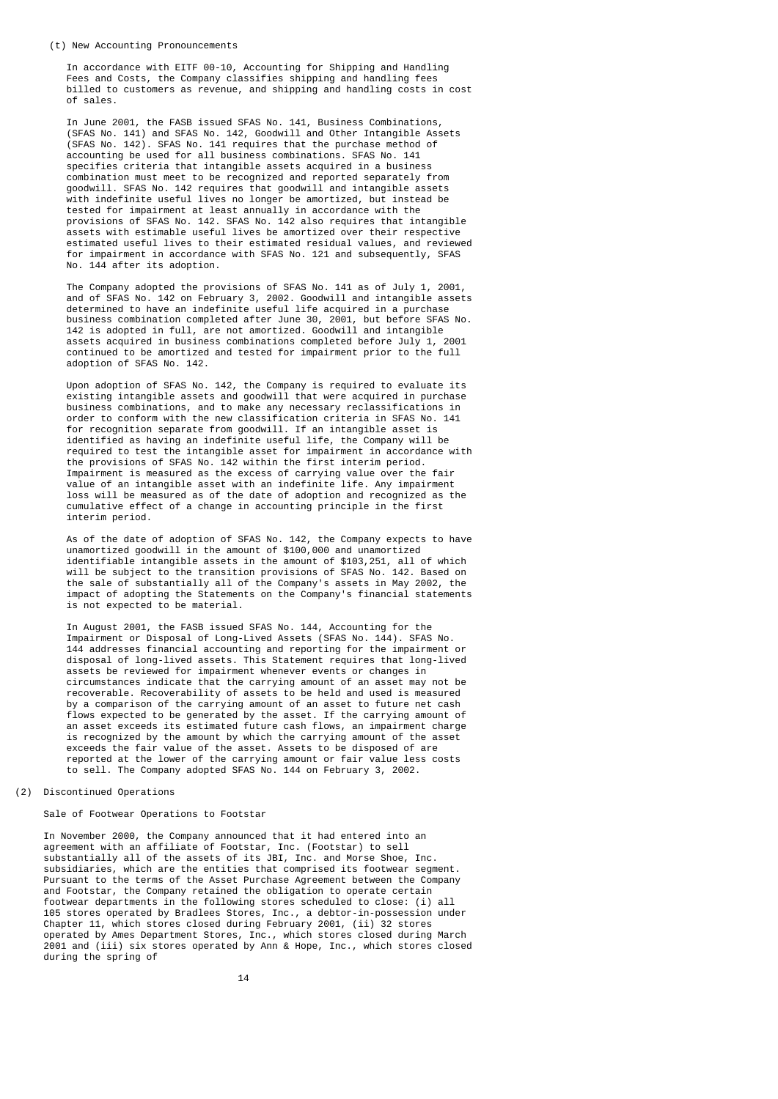In accordance with EITF 00-10, Accounting for Shipping and Handling Fees and Costs, the Company classifies shipping and handling fees billed to customers as revenue, and shipping and handling costs in cost of sales.

 In June 2001, the FASB issued SFAS No. 141, Business Combinations, (SFAS No. 141) and SFAS No. 142, Goodwill and Other Intangible Assets (SFAS No. 142). SFAS No. 141 requires that the purchase method of accounting be used for all business combinations. SFAS No. 141 specifies criteria that intangible assets acquired in a business combination must meet to be recognized and reported separately from goodwill. SFAS No. 142 requires that goodwill and intangible assets with indefinite useful lives no longer be amortized, but instead be tested for impairment at least annually in accordance with the provisions of SFAS No. 142. SFAS No. 142 also requires that intangible assets with estimable useful lives be amortized over their respective estimated useful lives to their estimated residual values, and reviewed for impairment in accordance with SFAS No. 121 and subsequently, SFAS No. 144 after its adoption.

 The Company adopted the provisions of SFAS No. 141 as of July 1, 2001, and of SFAS No. 142 on February 3, 2002. Goodwill and intangible assets determined to have an indefinite useful life acquired in a purchase business combination completed after June 30, 2001, but before SFAS No. 142 is adopted in full, are not amortized. Goodwill and intangible assets acquired in business combinations completed before July 1, 2001 continued to be amortized and tested for impairment prior to the full adoption of SFAS No. 142.

 Upon adoption of SFAS No. 142, the Company is required to evaluate its existing intangible assets and goodwill that were acquired in purchase business combinations, and to make any necessary reclassifications in order to conform with the new classification criteria in SFAS No. 141 for recognition separate from goodwill. If an intangible asset is identified as having an indefinite useful life, the Company will be required to test the intangible asset for impairment in accordance with the provisions of SFAS No. 142 within the first interim period. Impairment is measured as the excess of carrying value over the fair value of an intangible asset with an indefinite life. Any impairment loss will be measured as of the date of adoption and recognized as the cumulative effect of a change in accounting principle in the first interim period.

 As of the date of adoption of SFAS No. 142, the Company expects to have unamortized goodwill in the amount of \$100,000 and unamortized identifiable intangible assets in the amount of \$103,251, all of which will be subject to the transition provisions of SFAS No. 142. Based on the sale of substantially all of the Company's assets in May 2002, the impact of adopting the Statements on the Company's financial statements is not expected to be material.

 In August 2001, the FASB issued SFAS No. 144, Accounting for the Impairment or Disposal of Long-Lived Assets (SFAS No. 144). SFAS No. 144 addresses financial accounting and reporting for the impairment or disposal of long-lived assets. This Statement requires that long-lived assets be reviewed for impairment whenever events or changes in circumstances indicate that the carrying amount of an asset may not be recoverable. Recoverability of assets to be held and used is measured by a comparison of the carrying amount of an asset to future net cash flows expected to be generated by the asset. If the carrying amount of an asset exceeds its estimated future cash flows, an impairment charge is recognized by the amount by which the carrying amount of the asset exceeds the fair value of the asset. Assets to be disposed of are reported at the lower of the carrying amount or fair value less costs to sell. The Company adopted SFAS No. 144 on February 3, 2002.

### (2) Discontinued Operations

### Sale of Footwear Operations to Footstar

 In November 2000, the Company announced that it had entered into an agreement with an affiliate of Footstar, Inc. (Footstar) to sell substantially all of the assets of its JBI, Inc. and Morse Shoe, Inc. subsidiaries, which are the entities that comprised its footwear segment. Pursuant to the terms of the Asset Purchase Agreement between the Company and Footstar, the Company retained the obligation to operate certain footwear departments in the following stores scheduled to close: (i) all 105 stores operated by Bradlees Stores, Inc., a debtor-in-possession under Chapter 11, which stores closed during February 2001, (ii) 32 stores operated by Ames Department Stores, Inc., which stores closed during March 2001 and (iii) six stores operated by Ann & Hope, Inc., which stores closed during the spring of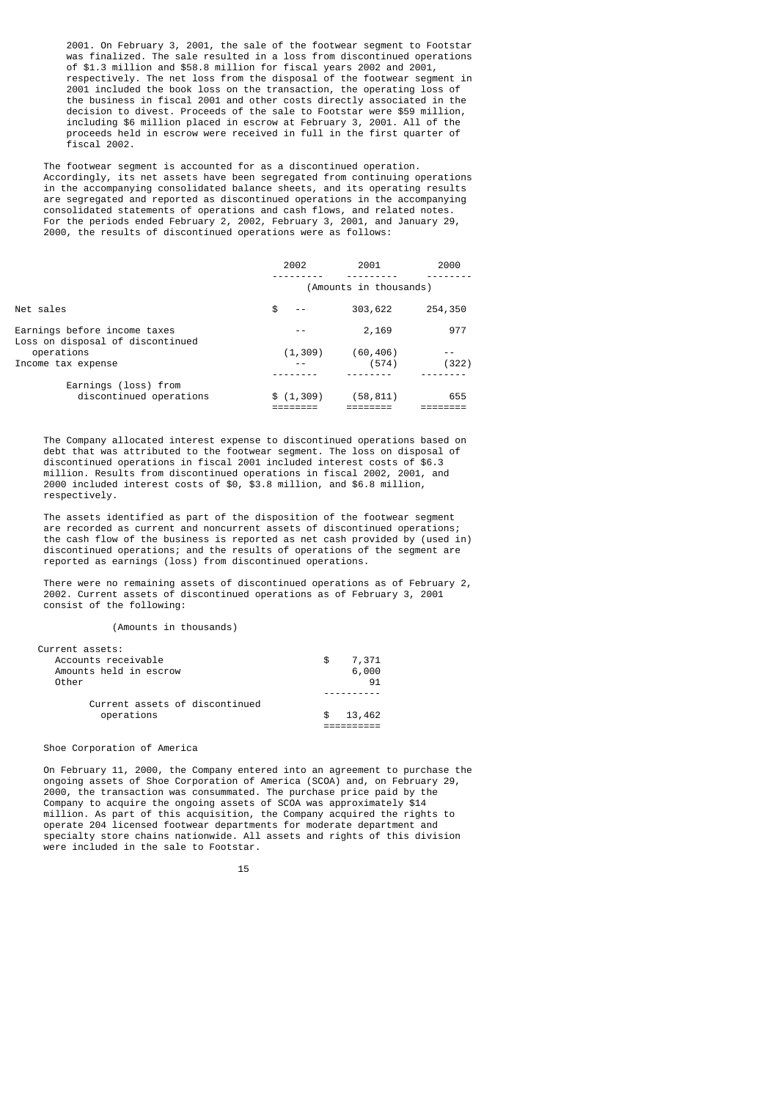2001. On February 3, 2001, the sale of the footwear segment to Footstar was finalized. The sale resulted in a loss from discontinued operations of \$1.3 million and \$58.8 million for fiscal years 2002 and 2001, respectively. The net loss from the disposal of the footwear segment in 2001 included the book loss on the transaction, the operating loss of the business in fiscal 2001 and other costs directly associated in the decision to divest. Proceeds of the sale to Footstar were \$59 million, including \$6 million placed in escrow at February 3, 2001. All of the proceeds held in escrow were received in full in the first quarter of fiscal 2002.

 The footwear segment is accounted for as a discontinued operation. Accordingly, its net assets have been segregated from continuing operations in the accompanying consolidated balance sheets, and its operating results are segregated and reported as discontinued operations in the accompanying consolidated statements of operations and cash flows, and related notes. For the periods ended February 2, 2002, February 3, 2001, and January 29, 2000, the results of discontinued operations were as follows:

|                                                                  | 2002       | 2001                   | 2000    |
|------------------------------------------------------------------|------------|------------------------|---------|
|                                                                  |            | (Amounts in thousands) |         |
| Net sales                                                        | \$         | 303,622                | 254,350 |
| Earnings before income taxes<br>Loss on disposal of discontinued |            | 2,169                  | 977     |
| operations                                                       | (1, 309)   | (60, 406)              |         |
| Income tax expense                                               | $ -$       | (574)                  | (322)   |
|                                                                  |            |                        |         |
| Earnings (loss) from<br>discontinued operations                  | \$(1, 309) | (58,811)               | 655     |

 The Company allocated interest expense to discontinued operations based on debt that was attributed to the footwear segment. The loss on disposal of discontinued operations in fiscal 2001 included interest costs of \$6.3 million. Results from discontinued operations in fiscal 2002, 2001, and 2000 included interest costs of \$0, \$3.8 million, and \$6.8 million, respectively.

 The assets identified as part of the disposition of the footwear segment are recorded as current and noncurrent assets of discontinued operations; the cash flow of the business is reported as net cash provided by (used in) discontinued operations; and the results of operations of the segment are reported as earnings (loss) from discontinued operations.

 There were no remaining assets of discontinued operations as of February 2, 2002. Current assets of discontinued operations as of February 3, 2001 consist of the following:

(Amounts in thousands)

| Current assets of discontinued<br>operations                              | 13,462                    |
|---------------------------------------------------------------------------|---------------------------|
| Current assets:<br>Accounts receivable<br>Amounts held in escrow<br>Other | 7,371<br>S<br>6,000<br>91 |

### Shoe Corporation of America

 On February 11, 2000, the Company entered into an agreement to purchase the ongoing assets of Shoe Corporation of America (SCOA) and, on February 29, 2000, the transaction was consummated. The purchase price paid by the Company to acquire the ongoing assets of SCOA was approximately \$14 million. As part of this acquisition, the Company acquired the rights to operate 204 licensed footwear departments for moderate department and specialty store chains nationwide. All assets and rights of this division were included in the sale to Footstar.

15 and 15 and 15 and 15 and 15 and 15 and 15 and 15 and 15 and 15 and 15 and 15 and 15 and 15 and 15 and 15 an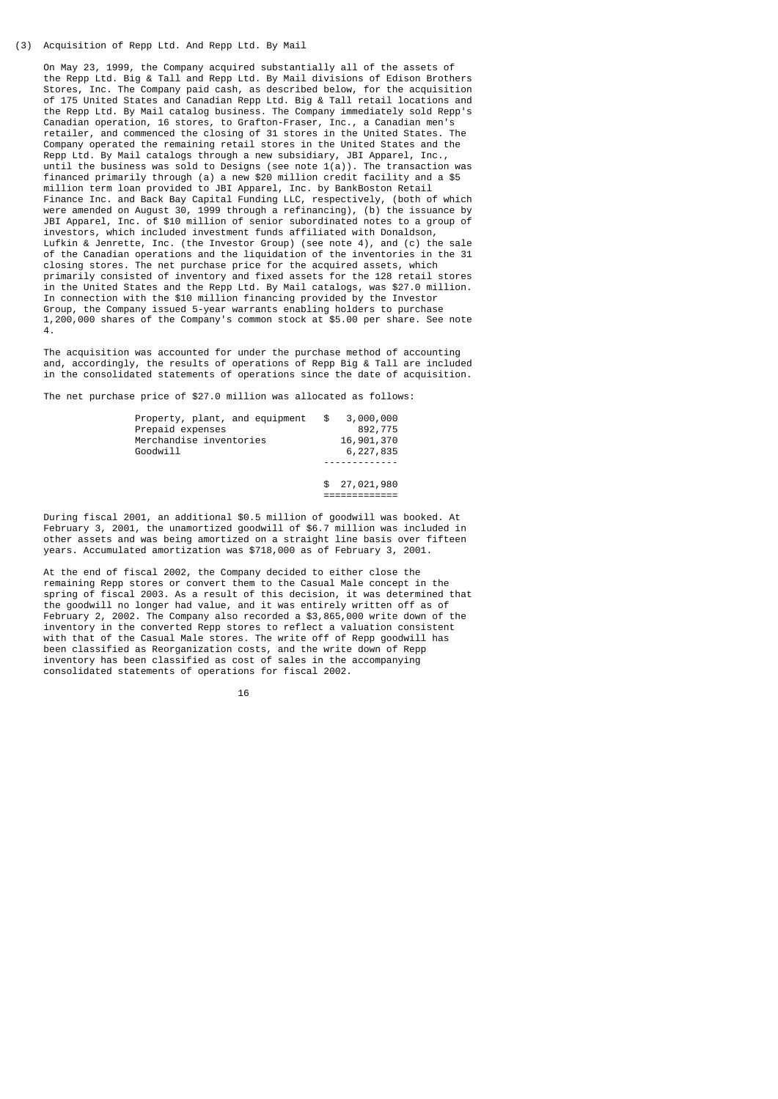#### (3) Acquisition of Repp Ltd. And Repp Ltd. By Mail

 On May 23, 1999, the Company acquired substantially all of the assets of the Repp Ltd. Big & Tall and Repp Ltd. By Mail divisions of Edison Brothers Stores, Inc. The Company paid cash, as described below, for the acquisition of 175 United States and Canadian Repp Ltd. Big & Tall retail locations and the Repp Ltd. By Mail catalog business. The Company immediately sold Repp's Canadian operation, 16 stores, to Grafton-Fraser, Inc., a Canadian men's retailer, and commenced the closing of 31 stores in the United States. The Company operated the remaining retail stores in the United States and the Repp Ltd. By Mail catalogs through a new subsidiary, JBI Apparel, Inc., until the business was sold to Designs (see note 1(a)). The transaction was financed primarily through (a) a new \$20 million credit facility and a \$5 million term loan provided to JBI Apparel, Inc. by BankBoston Retail Finance Inc. and Back Bay Capital Funding LLC, respectively, (both of which were amended on August 30, 1999 through a refinancing), (b) the issuance by JBI Apparel, Inc. of \$10 million of senior subordinated notes to a group of investors, which included investment funds affiliated with Donaldson, Lufkin & Jenrette, Inc. (the Investor Group) (see note 4), and (c) the sale of the Canadian operations and the liquidation of the inventories in the 31 closing stores. The net purchase price for the acquired assets, which primarily consisted of inventory and fixed assets for the 128 retail stores in the United States and the Repp Ltd. By Mail catalogs, was \$27.0 million. In connection with the \$10 million financing provided by the Investor Group, the Company issued 5-year warrants enabling holders to purchase 1,200,000 shares of the Company's common stock at \$5.00 per share. See note 4.

 The acquisition was accounted for under the purchase method of accounting and, accordingly, the results of operations of Repp Big & Tall are included in the consolidated statements of operations since the date of acquisition.

The net purchase price of \$27.0 million was allocated as follows:

| Property, plant, and equipment<br>Prepaid expenses<br>Merchandise inventories<br>Goodwill | $\mathfrak{S}$ | 3,000,000<br>892,775<br>16,901,370<br>6,227,835 |
|-------------------------------------------------------------------------------------------|----------------|-------------------------------------------------|
|                                                                                           |                |                                                 |
|                                                                                           |                | \$27,021,980                                    |

=============

 During fiscal 2001, an additional \$0.5 million of goodwill was booked. At February 3, 2001, the unamortized goodwill of \$6.7 million was included in other assets and was being amortized on a straight line basis over fifteen years. Accumulated amortization was \$718,000 as of February 3, 2001.

 At the end of fiscal 2002, the Company decided to either close the remaining Repp stores or convert them to the Casual Male concept in the spring of fiscal 2003. As a result of this decision, it was determined that the goodwill no longer had value, and it was entirely written off as of February 2, 2002. The Company also recorded a \$3,865,000 write down of the inventory in the converted Repp stores to reflect a valuation consistent with that of the Casual Male stores. The write off of Repp goodwill has been classified as Reorganization costs, and the write down of Repp inventory has been classified as cost of sales in the accompanying consolidated statements of operations for fiscal 2002.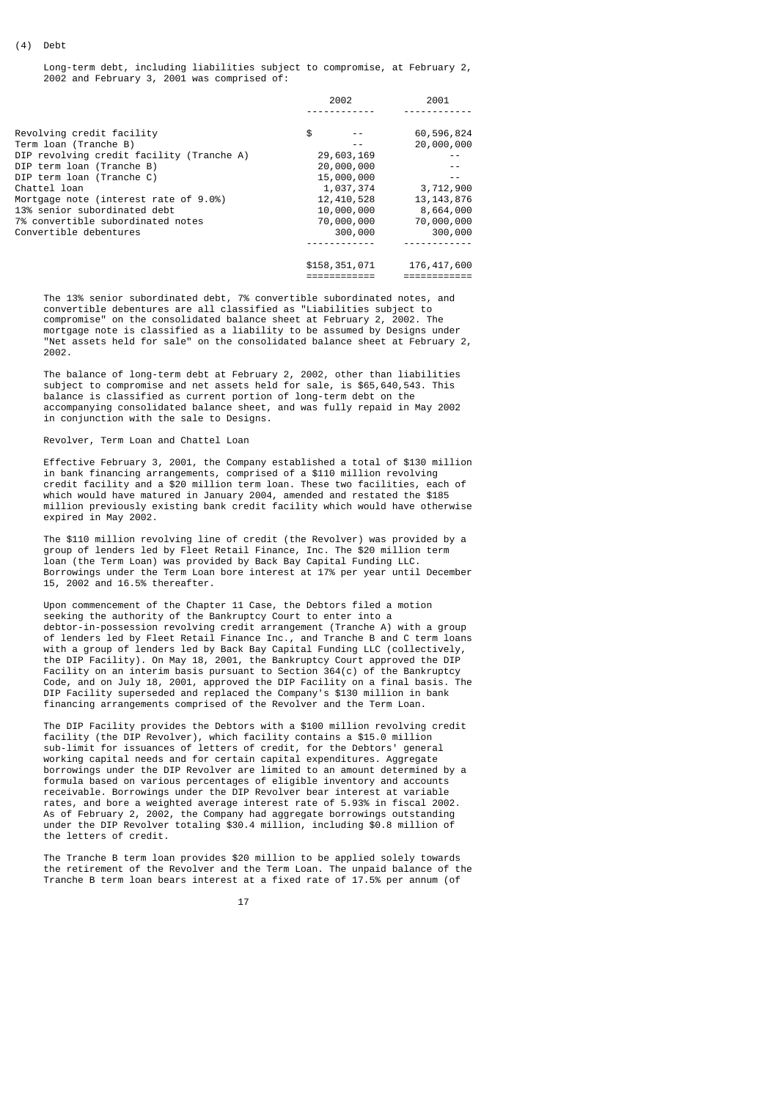Long-term debt, including liabilities subject to compromise, at February 2, 2002 and February 3, 2001 was comprised of:

| 2002          | 2001          |
|---------------|---------------|
|               |               |
| \$            | 60,596,824    |
|               | 20,000,000    |
| 29,603,169    | - -           |
| 20,000,000    |               |
| 15,000,000    |               |
| 1,037,374     | 3,712,900     |
| 12,410,528    | 13, 143, 876  |
| 10,000,000    | 8,664,000     |
| 70,000,000    | 70,000,000    |
| 300,000       | 300,000       |
|               |               |
| \$158,351,071 | 176, 417, 600 |
|               |               |
|               |               |

 The 13% senior subordinated debt, 7% convertible subordinated notes, and convertible debentures are all classified as "Liabilities subject to compromise" on the consolidated balance sheet at February 2, 2002. The mortgage note is classified as a liability to be assumed by Designs under "Net assets held for sale" on the consolidated balance sheet at February 2, 2002.

 The balance of long-term debt at February 2, 2002, other than liabilities subject to compromise and net assets held for sale, is \$65,640,543. This balance is classified as current portion of long-term debt on the accompanying consolidated balance sheet, and was fully repaid in May 2002 in conjunction with the sale to Designs.

#### Revolver, Term Loan and Chattel Loan

 Effective February 3, 2001, the Company established a total of \$130 million in bank financing arrangements, comprised of a \$110 million revolving credit facility and a \$20 million term loan. These two facilities, each of which would have matured in January 2004, amended and restated the \$185 million previously existing bank credit facility which would have otherwise expired in May 2002.

 The \$110 million revolving line of credit (the Revolver) was provided by a group of lenders led by Fleet Retail Finance, Inc. The \$20 million term loan (the Term Loan) was provided by Back Bay Capital Funding LLC. Borrowings under the Term Loan bore interest at 17% per year until December 15, 2002 and 16.5% thereafter.

 Upon commencement of the Chapter 11 Case, the Debtors filed a motion seeking the authority of the Bankruptcy Court to enter into a debtor-in-possession revolving credit arrangement (Tranche A) with a group of lenders led by Fleet Retail Finance Inc., and Tranche B and C term loans with a group of lenders led by Back Bay Capital Funding LLC (collectively, the DIP Facility). On May 18, 2001, the Bankruptcy Court approved the DIP Facility on an interim basis pursuant to Section 364(c) of the Bankruptcy Code, and on July 18, 2001, approved the DIP Facility on a final basis. The DIP Facility superseded and replaced the Company's \$130 million in bank financing arrangements comprised of the Revolver and the Term Loan.

 The DIP Facility provides the Debtors with a \$100 million revolving credit facility (the DIP Revolver), which facility contains a \$15.0 million sub-limit for issuances of letters of credit, for the Debtors' general working capital needs and for certain capital expenditures. Aggregate borrowings under the DIP Revolver are limited to an amount determined by a formula based on various percentages of eligible inventory and accounts receivable. Borrowings under the DIP Revolver bear interest at variable rates, and bore a weighted average interest rate of 5.93% in fiscal 2002. As of February 2, 2002, the Company had aggregate borrowings outstanding under the DIP Revolver totaling \$30.4 million, including \$0.8 million of the letters of credit.

 The Tranche B term loan provides \$20 million to be applied solely towards the retirement of the Revolver and the Term Loan. The unpaid balance of the Tranche B term loan bears interest at a fixed rate of 17.5% per annum (of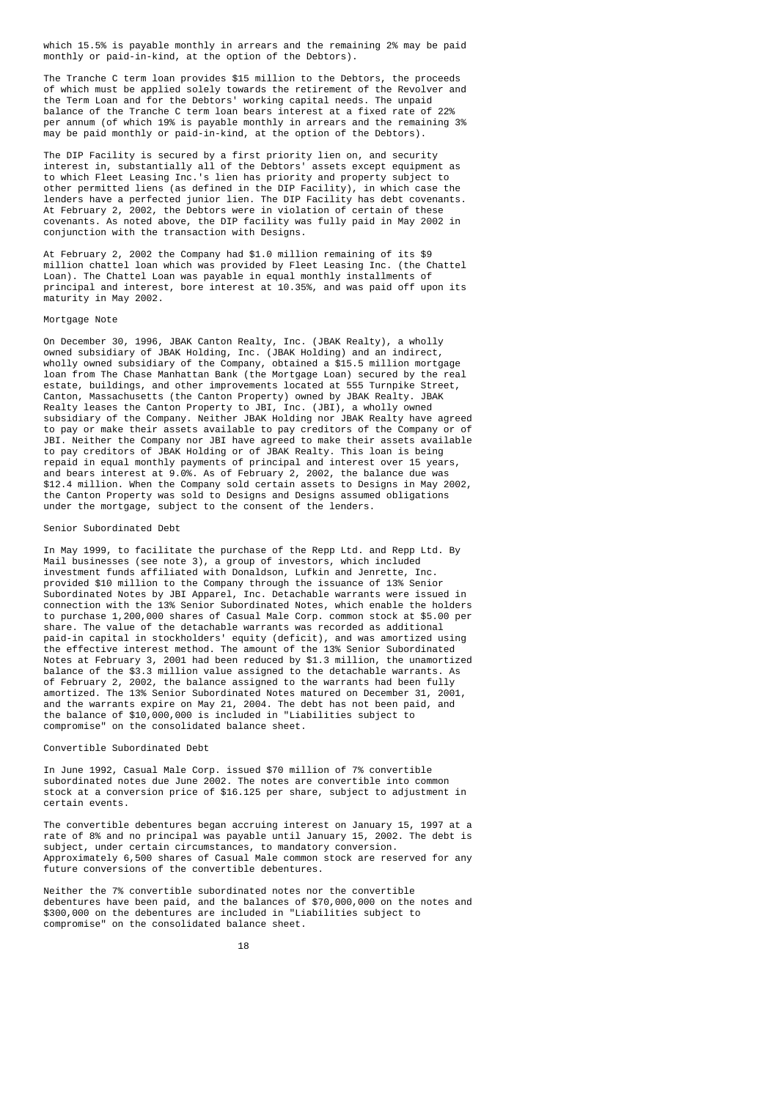which 15.5% is payable monthly in arrears and the remaining 2% may be paid monthly or paid-in-kind, at the option of the Debtors).

 The Tranche C term loan provides \$15 million to the Debtors, the proceeds of which must be applied solely towards the retirement of the Revolver and the Term Loan and for the Debtors' working capital needs. The unpaid balance of the Tranche C term loan bears interest at a fixed rate of 22% per annum (of which 19% is payable monthly in arrears and the remaining 3% may be paid monthly or paid-in-kind, at the option of the Debtors).

 The DIP Facility is secured by a first priority lien on, and security interest in, substantially all of the Debtors' assets except equipment as to which Fleet Leasing Inc.'s lien has priority and property subject to other permitted liens (as defined in the DIP Facility), in which case the lenders have a perfected junior lien. The DIP Facility has debt covenants. At February 2, 2002, the Debtors were in violation of certain of these covenants. As noted above, the DIP facility was fully paid in May 2002 in conjunction with the transaction with Designs.

 At February 2, 2002 the Company had \$1.0 million remaining of its \$9 million chattel loan which was provided by Fleet Leasing Inc. (the Chattel Loan). The Chattel Loan was payable in equal monthly installments of principal and interest, bore interest at 10.35%, and was paid off upon its maturity in May 2002.

### Mortgage Note

 On December 30, 1996, JBAK Canton Realty, Inc. (JBAK Realty), a wholly owned subsidiary of JBAK Holding, Inc. (JBAK Holding) and an indirect, wholly owned subsidiary of the Company, obtained a \$15.5 million mortgage loan from The Chase Manhattan Bank (the Mortgage Loan) secured by the real estate, buildings, and other improvements located at 555 Turnpike Street, Canton, Massachusetts (the Canton Property) owned by JBAK Realty. JBAK Realty leases the Canton Property to JBI, Inc. (JBI), a wholly owned subsidiary of the Company. Neither JBAK Holding nor JBAK Realty have agreed to pay or make their assets available to pay creditors of the Company or of JBI. Neither the Company nor JBI have agreed to make their assets available to pay creditors of JBAK Holding or of JBAK Realty. This loan is being repaid in equal monthly payments of principal and interest over 15 years, and bears interest at 9.0%. As of February 2, 2002, the balance due was \$12.4 million. When the Company sold certain assets to Designs in May 2002, the Canton Property was sold to Designs and Designs assumed obligations under the mortgage, subject to the consent of the lenders.

#### Senior Subordinated Debt

 In May 1999, to facilitate the purchase of the Repp Ltd. and Repp Ltd. By Mail businesses (see note 3), a group of investors, which included investment funds affiliated with Donaldson, Lufkin and Jenrette, Inc. provided \$10 million to the Company through the issuance of 13% Senior Subordinated Notes by JBI Apparel, Inc. Detachable warrants were issued in connection with the 13% Senior Subordinated Notes, which enable the holders to purchase 1,200,000 shares of Casual Male Corp. common stock at \$5.00 per share. The value of the detachable warrants was recorded as additional paid-in capital in stockholders' equity (deficit), and was amortized using the effective interest method. The amount of the 13% Senior Subordinated Notes at February 3, 2001 had been reduced by \$1.3 million, the unamortized balance of the \$3.3 million value assigned to the detachable warrants. As of February 2, 2002, the balance assigned to the warrants had been fully amortized. The 13% Senior Subordinated Notes matured on December 31, 2001, and the warrants expire on May 21, 2004. The debt has not been paid, and the balance of \$10,000,000 is included in "Liabilities subject to compromise" on the consolidated balance sheet.

#### Convertible Subordinated Debt

 In June 1992, Casual Male Corp. issued \$70 million of 7% convertible subordinated notes due June 2002. The notes are convertible into common stock at a conversion price of \$16.125 per share, subject to adjustment in certain events.

 The convertible debentures began accruing interest on January 15, 1997 at a rate of 8% and no principal was payable until January 15, 2002. The debt is subject, under certain circumstances, to mandatory conversion. Approximately 6,500 shares of Casual Male common stock are reserved for any future conversions of the convertible debentures.

 Neither the 7% convertible subordinated notes nor the convertible debentures have been paid, and the balances of \$70,000,000 on the notes and \$300,000 on the debentures are included in "Liabilities subject to compromise" on the consolidated balance sheet.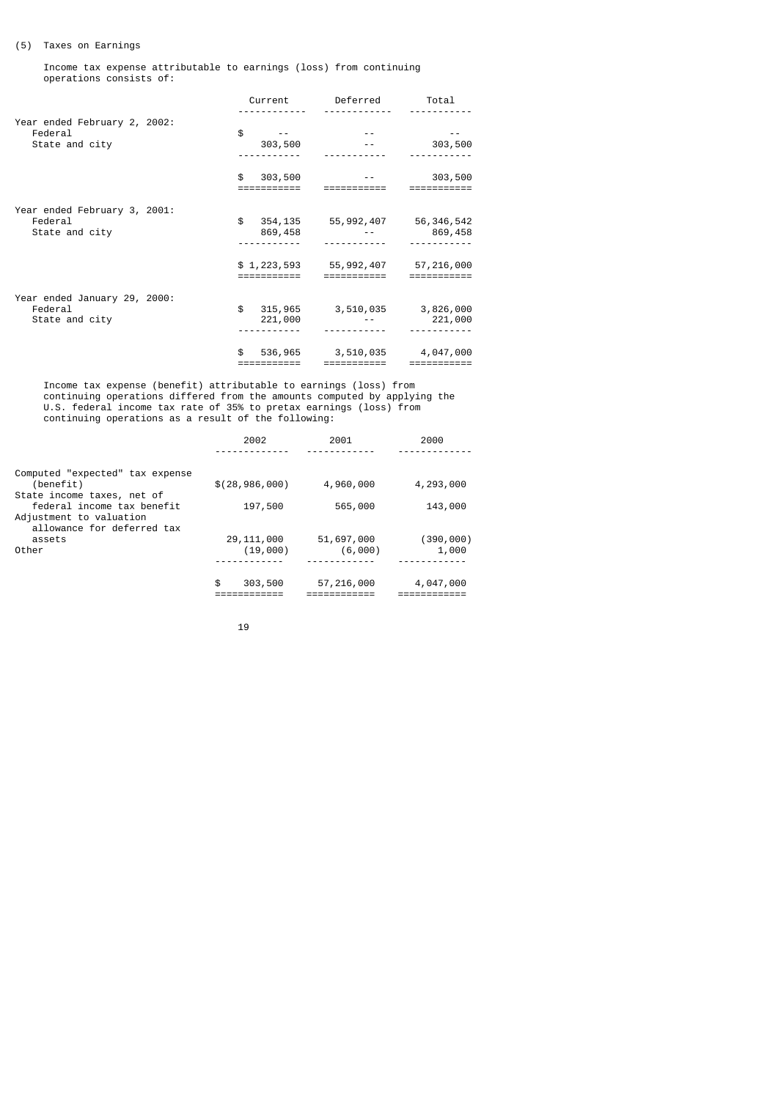## (5) Taxes on Earnings

 Income tax expense attributable to earnings (loss) from continuing operations consists of:

|                                                           | Current                       | Deferred                                              | Total                    |
|-----------------------------------------------------------|-------------------------------|-------------------------------------------------------|--------------------------|
|                                                           |                               |                                                       |                          |
| Year ended February 2, 2002:<br>Federal<br>State and city | \$<br>303,500                 |                                                       | 303,500                  |
|                                                           |                               |                                                       |                          |
|                                                           | 303,500<br>\$<br>=========    |                                                       | 303,500                  |
| Year ended February 3, 2001:<br>Federal                   | \$                            | 354, 135 55, 992, 407 56, 346, 542                    |                          |
| State and city                                            | 869,458                       |                                                       | 869,458                  |
|                                                           |                               |                                                       |                          |
|                                                           | ==========                    | $$1,223,593$ $$5,992,407$ $$7,216,000$<br>=========== | ========                 |
| Year ended January 29, 2000:                              |                               |                                                       |                          |
| Federal<br>State and city                                 | \$<br>221,000                 | 315,965 3,510,035 3,826,000                           | 221,000                  |
|                                                           |                               |                                                       |                          |
|                                                           | 536,965<br>\$.<br>:========== | 3,510,035<br>===========                              | 4,047,000<br>=========== |

 Income tax expense (benefit) attributable to earnings (loss) from continuing operations differed from the amounts computed by applying the U.S. federal income tax rate of 35% to pretax earnings (loss) from continuing operations as a result of the following:

|                                 | 2002             | 2001       | 2000      |
|---------------------------------|------------------|------------|-----------|
|                                 |                  |            |           |
| Computed "expected" tax expense |                  |            |           |
| (benefit)                       | \$(28, 986, 000) | 4,960,000  | 4,293,000 |
| State income taxes, net of      |                  |            |           |
| federal income tax benefit      | 197,500          | 565,000    | 143,000   |
| Adjustment to valuation         |                  |            |           |
| allowance for deferred tax      |                  |            |           |
| assets                          | 29, 111, 000     | 51,697,000 | (390,000) |
| Other                           | (19,000)         | (6,000)    | 1,000     |
|                                 |                  |            |           |
|                                 | \$<br>303,500    | 57,216,000 | 4,047,000 |
|                                 |                  |            |           |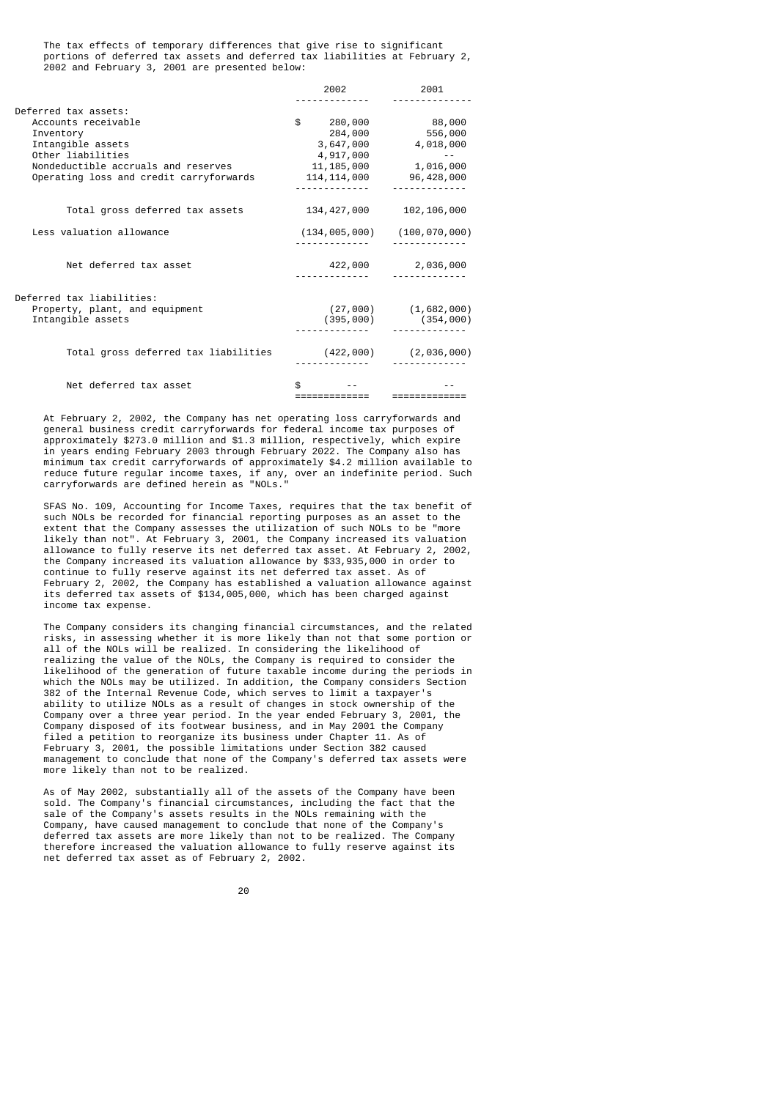The tax effects of temporary differences that give rise to significant portions of deferred tax assets and deferred tax liabilities at February 2, 2002 and February 3, 2001 are presented below:

|                                         | 2002        | 2001                                |
|-----------------------------------------|-------------|-------------------------------------|
| Deferred tax assets:                    |             |                                     |
| Accounts receivable                     |             | $$280,000$ 88,000                   |
| Inventory                               | 284,000     | 556,000                             |
| Intangible assets                       | 3,647,000   | 4,018,000                           |
| Other liabilities                       | 4,917,000   |                                     |
| Nondeductible accruals and reserves     |             | 11, 185, 000 1, 016, 000            |
| Operating loss and credit carryforwards |             | 114, 114, 000 96, 428, 000          |
| Total gross deferred tax assets         | 134,427,000 | 102, 106, 000                       |
| Less valuation allowance                |             | $(134, 005, 000)$ $(100, 070, 000)$ |
| Net deferred tax asset                  | 422,000     | 2,036,000                           |
| Deferred tax liabilities:               |             |                                     |
| Property, plant, and equipment          |             | $(27,000)$ $(1,682,000)$            |
| Intangible assets                       |             | $(395,000)$ $(354,000)$             |
|                                         |             |                                     |
| Total gross deferred tax liabilities    |             | $(422,000)$ $(2,036,000)$           |
|                                         |             |                                     |
| Net deferred tax asset                  |             |                                     |
|                                         |             |                                     |

 At February 2, 2002, the Company has net operating loss carryforwards and general business credit carryforwards for federal income tax purposes of approximately \$273.0 million and \$1.3 million, respectively, which expire in years ending February 2003 through February 2022. The Company also has minimum tax credit carryforwards of approximately \$4.2 million available to reduce future regular income taxes, if any, over an indefinite period. Such carryforwards are defined herein as "NOLs."

 SFAS No. 109, Accounting for Income Taxes, requires that the tax benefit of such NOLs be recorded for financial reporting purposes as an asset to the extent that the Company assesses the utilization of such NOLs to be "more likely than not". At February 3, 2001, the Company increased its valuation allowance to fully reserve its net deferred tax asset. At February 2, 2002, the Company increased its valuation allowance by \$33,935,000 in order to continue to fully reserve against its net deferred tax asset. As of February 2, 2002, the Company has established a valuation allowance against its deferred tax assets of \$134,005,000, which has been charged against income tax expense.

 The Company considers its changing financial circumstances, and the related risks, in assessing whether it is more likely than not that some portion or all of the NOLs will be realized. In considering the likelihood of realizing the value of the NOLs, the Company is required to consider the likelihood of the generation of future taxable income during the periods in which the NOLs may be utilized. In addition, the Company considers Section 382 of the Internal Revenue Code, which serves to limit a taxpayer's ability to utilize NOLs as a result of changes in stock ownership of the Company over a three year period. In the year ended February 3, 2001, the Company disposed of its footwear business, and in May 2001 the Company filed a petition to reorganize its business under Chapter 11. As of February 3, 2001, the possible limitations under Section 382 caused management to conclude that none of the Company's deferred tax assets were more likely than not to be realized.

 As of May 2002, substantially all of the assets of the Company have been sold. The Company's financial circumstances, including the fact that the sale of the Company's assets results in the NOLs remaining with the Company, have caused management to conclude that none of the Company's deferred tax assets are more likely than not to be realized. The Company therefore increased the valuation allowance to fully reserve against its net deferred tax asset as of February 2, 2002.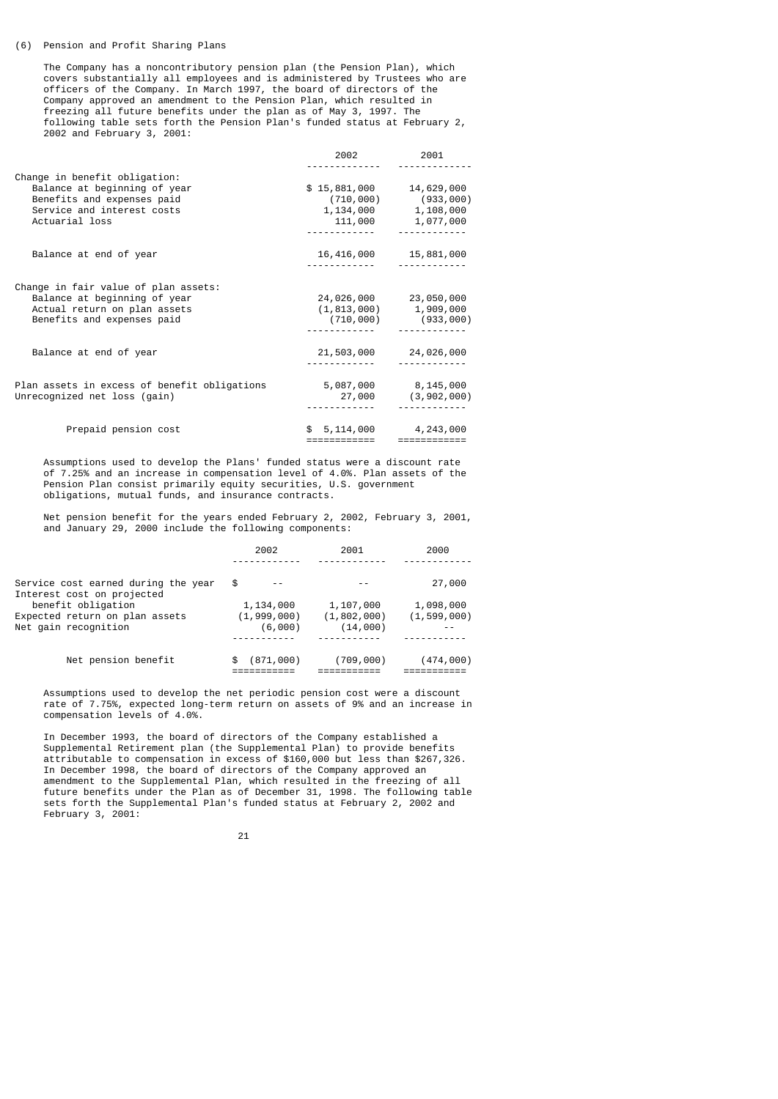#### (6) Pension and Profit Sharing Plans

 The Company has a noncontributory pension plan (the Pension Plan), which covers substantially all employees and is administered by Trustees who are officers of the Company. In March 1997, the board of directors of the Company approved an amendment to the Pension Plan, which resulted in freezing all future benefits under the plan as of May 3, 1997. The following table sets forth the Pension Plan's funded status at February 2, 2002 and February 3, 2001:

|                                                                                                                                             | 2002                          | 2001                                                                          |
|---------------------------------------------------------------------------------------------------------------------------------------------|-------------------------------|-------------------------------------------------------------------------------|
| Change in benefit obligation:<br>Balance at beginning of year<br>Benefits and expenses paid<br>Service and interest costs<br>Actuarial loss | $$15,881,000$ $14,629,000$    | $(710,000)$ (933,000)<br>1, 134, 000 1, 108, 000<br>111,000 1,077,000         |
| Balance at end of year                                                                                                                      |                               | 16,416,000 15,881,000                                                         |
| Change in fair value of plan assets:<br>Balance at beginning of year<br>Actual return on plan assets<br>Benefits and expenses paid          |                               | 24,026,000 23,050,000<br>$(1, 813, 000)$ 1, 909, 000<br>$(710,000)$ (933,000) |
| Balance at end of year                                                                                                                      |                               | 21,503,000 24,026,000                                                         |
| Plan assets in excess of benefit obligations<br>Unrecognized net loss (gain)                                                                |                               | 5,087,000 8,145,000<br>27,000 (3,902,000)                                     |
| Prepaid pension cost                                                                                                                        | \$5, 114, 000<br>============ | 4,243,000<br>============                                                     |

 Assumptions used to develop the Plans' funded status were a discount rate of 7.25% and an increase in compensation level of 4.0%. Plan assets of the Pension Plan consist primarily equity securities, U.S. government obligations, mutual funds, and insurance contracts.

 Net pension benefit for the years ended February 2, 2002, February 3, 2001, and January 29, 2000 include the following components:

|                                                                   | 2002            | 2001          | 2000          |
|-------------------------------------------------------------------|-----------------|---------------|---------------|
|                                                                   |                 |               |               |
| Service cost earned during the year<br>Interest cost on projected | \$              |               | 27,000        |
| benefit obligation                                                | 1,134,000       | 1,107,000     | 1,098,000     |
| Expected return on plan assets                                    | (1, 999, 000)   | (1, 802, 000) | (1, 599, 000) |
| Net qain recognition                                              | (6,000)         | (14,000)      |               |
|                                                                   |                 |               |               |
| Net pension benefit                                               | (871,000)<br>æ. | (709, 000)    | (474,000)     |

 Assumptions used to develop the net periodic pension cost were a discount rate of 7.75%, expected long-term return on assets of 9% and an increase in compensation levels of 4.0%.

 In December 1993, the board of directors of the Company established a Supplemental Retirement plan (the Supplemental Plan) to provide benefits attributable to compensation in excess of \$160,000 but less than \$267,326. In December 1998, the board of directors of the Company approved an amendment to the Supplemental Plan, which resulted in the freezing of all future benefits under the Plan as of December 31, 1998. The following table sets forth the Supplemental Plan's funded status at February 2, 2002 and February 3, 2001:

 <sup>21</sup>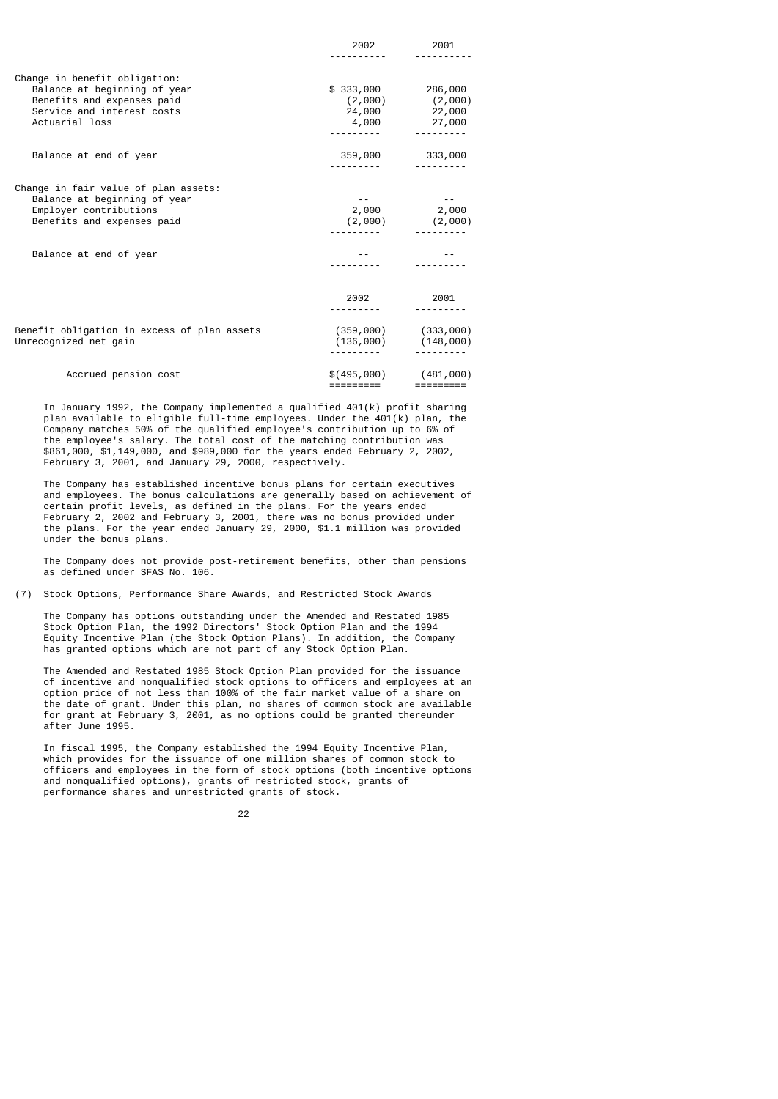|                                                                                                                                             | 2002                        | 2001                                                         |
|---------------------------------------------------------------------------------------------------------------------------------------------|-----------------------------|--------------------------------------------------------------|
|                                                                                                                                             |                             |                                                              |
| Change in benefit obligation:<br>Balance at beginning of year<br>Benefits and expenses paid<br>Service and interest costs<br>Actuarial loss | \$333,000 286,000<br>24,000 | $(2,000)$ $(2,000)$<br>22,000<br>4,000 27,000<br>___________ |
| Balance at end of year                                                                                                                      |                             | 359,000 333,000                                              |
| Change in fair value of plan assets:<br>Balance at beginning of year<br>Employer contributions<br>Benefits and expenses paid                |                             | 2,000 2,000<br>$(2,000)$ $(2,000)$                           |
| Balance at end of year                                                                                                                      |                             |                                                              |
|                                                                                                                                             | 2002                        | 2001                                                         |
| Benefit obligation in excess of plan assets<br>Unrecognized net gain                                                                        |                             | $(359,000)$ $(333,000)$<br>$(136,000)$ $(148,000)$           |
| Accrued pension cost                                                                                                                        | =========                   | $$(495,000)$ (481,000)                                       |

 In January 1992, the Company implemented a qualified 401(k) profit sharing plan available to eligible full-time employees. Under the 401(k) plan, the Company matches 50% of the qualified employee's contribution up to 6% of the employee's salary. The total cost of the matching contribution was \$861,000, \$1,149,000, and \$989,000 for the years ended February 2, 2002, February 3, 2001, and January 29, 2000, respectively.

 The Company has established incentive bonus plans for certain executives and employees. The bonus calculations are generally based on achievement of certain profit levels, as defined in the plans. For the years ended February 2, 2002 and February 3, 2001, there was no bonus provided under the plans. For the year ended January 29, 2000, \$1.1 million was provided under the bonus plans.

 The Company does not provide post-retirement benefits, other than pensions as defined under SFAS No. 106.

(7) Stock Options, Performance Share Awards, and Restricted Stock Awards

 The Company has options outstanding under the Amended and Restated 1985 Stock Option Plan, the 1992 Directors' Stock Option Plan and the 1994 Equity Incentive Plan (the Stock Option Plans). In addition, the Company has granted options which are not part of any Stock Option Plan.

 The Amended and Restated 1985 Stock Option Plan provided for the issuance of incentive and nonqualified stock options to officers and employees at an option price of not less than 100% of the fair market value of a share on the date of grant. Under this plan, no shares of common stock are available for grant at February 3, 2001, as no options could be granted thereunder after June 1995.

 In fiscal 1995, the Company established the 1994 Equity Incentive Plan, which provides for the issuance of one million shares of common stock to officers and employees in the form of stock options (both incentive options and nonqualified options), grants of restricted stock, grants of performance shares and unrestricted grants of stock.

<u>22</u>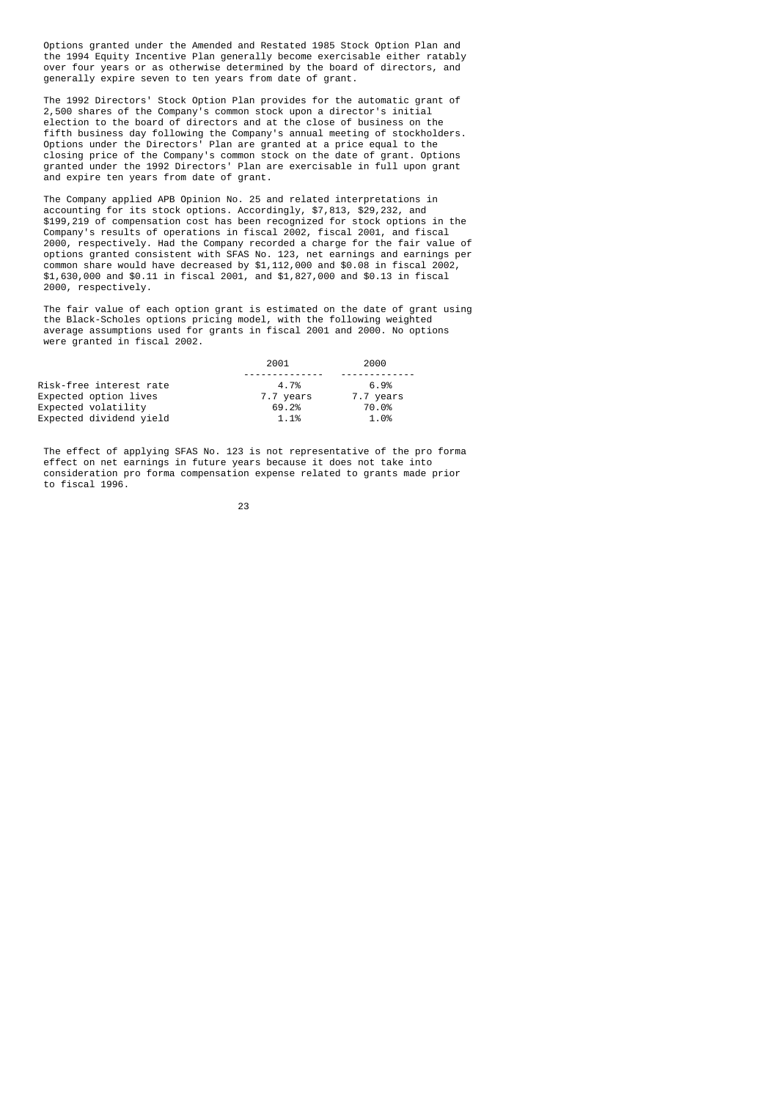Options granted under the Amended and Restated 1985 Stock Option Plan and the 1994 Equity Incentive Plan generally become exercisable either ratably over four years or as otherwise determined by the board of directors, and generally expire seven to ten years from date of grant.

 The 1992 Directors' Stock Option Plan provides for the automatic grant of 2,500 shares of the Company's common stock upon a director's initial election to the board of directors and at the close of business on the fifth business day following the Company's annual meeting of stockholders. Options under the Directors' Plan are granted at a price equal to the closing price of the Company's common stock on the date of grant. Options granted under the 1992 Directors' Plan are exercisable in full upon grant and expire ten years from date of grant.

 The Company applied APB Opinion No. 25 and related interpretations in accounting for its stock options. Accordingly, \$7,813, \$29,232, and \$199,219 of compensation cost has been recognized for stock options in the Company's results of operations in fiscal 2002, fiscal 2001, and fiscal 2000, respectively. Had the Company recorded a charge for the fair value of options granted consistent with SFAS No. 123, net earnings and earnings per common share would have decreased by \$1,112,000 and \$0.08 in fiscal 2002, \$1,630,000 and \$0.11 in fiscal 2001, and \$1,827,000 and \$0.13 in fiscal 2000, respectively.

 The fair value of each option grant is estimated on the date of grant using the Black-Scholes options pricing model, with the following weighted average assumptions used for grants in fiscal 2001 and 2000. No options were granted in fiscal 2002.

|                         | 2001      | 2000      |
|-------------------------|-----------|-----------|
|                         |           |           |
| Risk-free interest rate | 4.7%      | 6.9%      |
| Expected option lives   | 7.7 years | 7.7 years |
| Expected volatility     | 69.2%     | 70.0%     |
| Expected dividend yield | 1.1%      | 1.0%      |

 The effect of applying SFAS No. 123 is not representative of the pro forma effect on net earnings in future years because it does not take into consideration pro forma compensation expense related to grants made prior to fiscal 1996.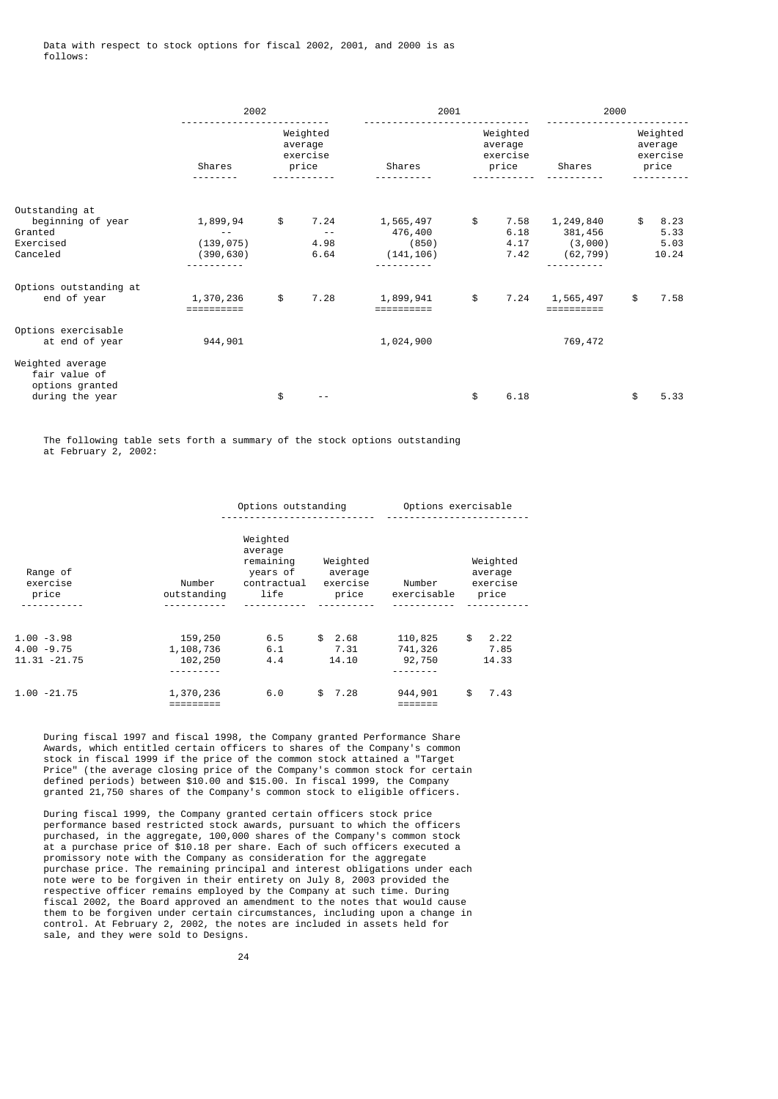|                                                                         | 2002                                          |                                          | 2001                                        |                                          | 2000                                        |                                          |
|-------------------------------------------------------------------------|-----------------------------------------------|------------------------------------------|---------------------------------------------|------------------------------------------|---------------------------------------------|------------------------------------------|
|                                                                         | Shares                                        | Weighted<br>average<br>exercise<br>price | Shares                                      | Weighted<br>average<br>exercise<br>price | Shares                                      | Weighted<br>average<br>exercise<br>price |
| Outstanding at<br>beginning of year<br>Granted<br>Exercised<br>Canceled | 1,899,94<br>$- -$<br>(139, 075)<br>(390, 630) | \$<br>7.24<br>$ -$<br>4.98<br>6.64       | 1,565,497<br>476,400<br>(850)<br>(141, 106) | \$<br>7.58<br>6.18<br>4.17<br>7.42       | 1,249,840<br>381,456<br>(3,000)<br>(62,799) | \$<br>8.23<br>5.33<br>5.03<br>10.24      |
| Options outstanding at<br>end of year                                   | 1,370,236<br>==========                       | \$<br>7.28                               | 1,899,941<br>==========                     | \$                                       | 7.24 1,565,497<br>==========                | \$<br>7.58                               |
| Options exercisable<br>at end of year<br>Weighted average               | 944,901                                       |                                          | 1,024,900                                   |                                          | 769,472                                     |                                          |
| fair value of<br>options granted<br>during the year                     |                                               | \$                                       |                                             | \$<br>6.18                               |                                             | \$<br>5.33                               |

 The following table sets forth a summary of the stock options outstanding at February 2, 2002:

|                                          |                                 | Options outstanding                                                 |                                          | Options exercisable          |                                          |  |
|------------------------------------------|---------------------------------|---------------------------------------------------------------------|------------------------------------------|------------------------------|------------------------------------------|--|
| Range of<br>exercise<br>price            | Number<br>outstanding           | Weighted<br>average<br>remaining<br>years of<br>contractual<br>life | Weighted<br>average<br>exercise<br>price | Number<br>exercisable        | Weighted<br>average<br>exercise<br>price |  |
|                                          |                                 |                                                                     |                                          |                              |                                          |  |
| 1.00 -3.98<br>4.00 -9.75<br>11.31 -21.75 | 159,250<br>1,108,736<br>102,250 | 6.5<br>6.1<br>4.4                                                   | 2.68<br>\$<br>7.31<br>14.10              | 110,825<br>741,326<br>92,750 | \$<br>2.22<br>7.85<br>14.33              |  |
| 1.00 -21.75                              | 1,370,236                       | 6.0                                                                 | 7.28<br>\$                               | 944,901                      | \$<br>7.43                               |  |

 During fiscal 1997 and fiscal 1998, the Company granted Performance Share Awards, which entitled certain officers to shares of the Company's common stock in fiscal 1999 if the price of the common stock attained a "Target Price" (the average closing price of the Company's common stock for certain defined periods) between \$10.00 and \$15.00. In fiscal 1999, the Company granted 21,750 shares of the Company's common stock to eligible officers.

 During fiscal 1999, the Company granted certain officers stock price performance based restricted stock awards, pursuant to which the officers purchased, in the aggregate, 100,000 shares of the Company's common stock at a purchase price of \$10.18 per share. Each of such officers executed a promissory note with the Company as consideration for the aggregate purchase price. The remaining principal and interest obligations under each note were to be forgiven in their entirety on July 8, 2003 provided the respective officer remains employed by the Company at such time. During fiscal 2002, the Board approved an amendment to the notes that would cause them to be forgiven under certain circumstances, including upon a change in control. At February 2, 2002, the notes are included in assets held for sale, and they were sold to Designs.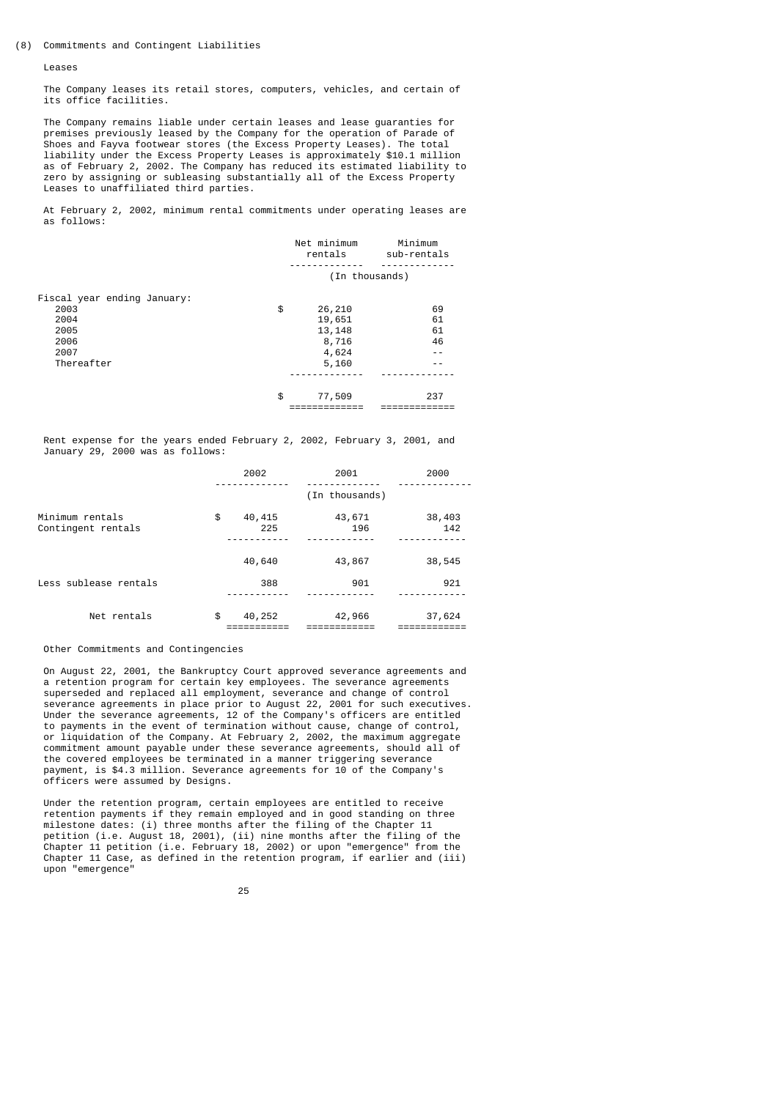Leases

 The Company leases its retail stores, computers, vehicles, and certain of its office facilities.

 The Company remains liable under certain leases and lease guaranties for premises previously leased by the Company for the operation of Parade of Shoes and Fayva footwear stores (the Excess Property Leases). The total liability under the Excess Property Leases is approximately \$10.1 million as of February 2, 2002. The Company has reduced its estimated liability to zero by assigning or subleasing substantially all of the Excess Property Leases to unaffiliated third parties.

 At February 2, 2002, minimum rental commitments under operating leases are as follows:

|                             | Net minimum<br>rentals | Minimum<br>sub-rentals |
|-----------------------------|------------------------|------------------------|
|                             | (In thousands)         |                        |
| Fiscal year ending January: |                        |                        |
| 2003                        | \$<br>26,210           | 69                     |
| 2004                        | 19,651                 | 61                     |
| 2005                        | 13, 148                | 61                     |
| 2006                        | 8,716                  | 46                     |
| 2007                        | 4,624                  |                        |
| Thereafter                  | 5,160                  |                        |
|                             |                        |                        |
|                             | \$<br>77,509           | 237                    |
|                             |                        |                        |

 Rent expense for the years ended February 2, 2002, February 3, 2001, and January 29, 2000 was as follows:

|                                       | 2002                | 2001           | 2000          |
|---------------------------------------|---------------------|----------------|---------------|
|                                       |                     | (In thousands) |               |
| Minimum rentals<br>Contingent rentals | \$<br>40,415<br>225 | 43,671<br>196  | 38,403<br>142 |
|                                       | 40,640              | 43,867         | 38,545        |
| Less sublease rentals                 | 388                 | 901            | 921           |
| Net rentals                           | \$<br>40,252        | 42,966         | 37,624        |

Other Commitments and Contingencies

 On August 22, 2001, the Bankruptcy Court approved severance agreements and a retention program for certain key employees. The severance agreements superseded and replaced all employment, severance and change of control severance agreements in place prior to August 22, 2001 for such executives. Under the severance agreements, 12 of the Company's officers are entitled to payments in the event of termination without cause, change of control, or liquidation of the Company. At February 2, 2002, the maximum aggregate commitment amount payable under these severance agreements, should all of the covered employees be terminated in a manner triggering severance payment, is \$4.3 million. Severance agreements for 10 of the Company's officers were assumed by Designs.

 Under the retention program, certain employees are entitled to receive retention payments if they remain employed and in good standing on three milestone dates: (i) three months after the filing of the Chapter 11 petition (i.e. August 18, 2001), (ii) nine months after the filing of the Chapter 11 petition (i.e. February 18, 2002) or upon "emergence" from the Chapter 11 Case, as defined in the retention program, if earlier and (iii) upon "emergence"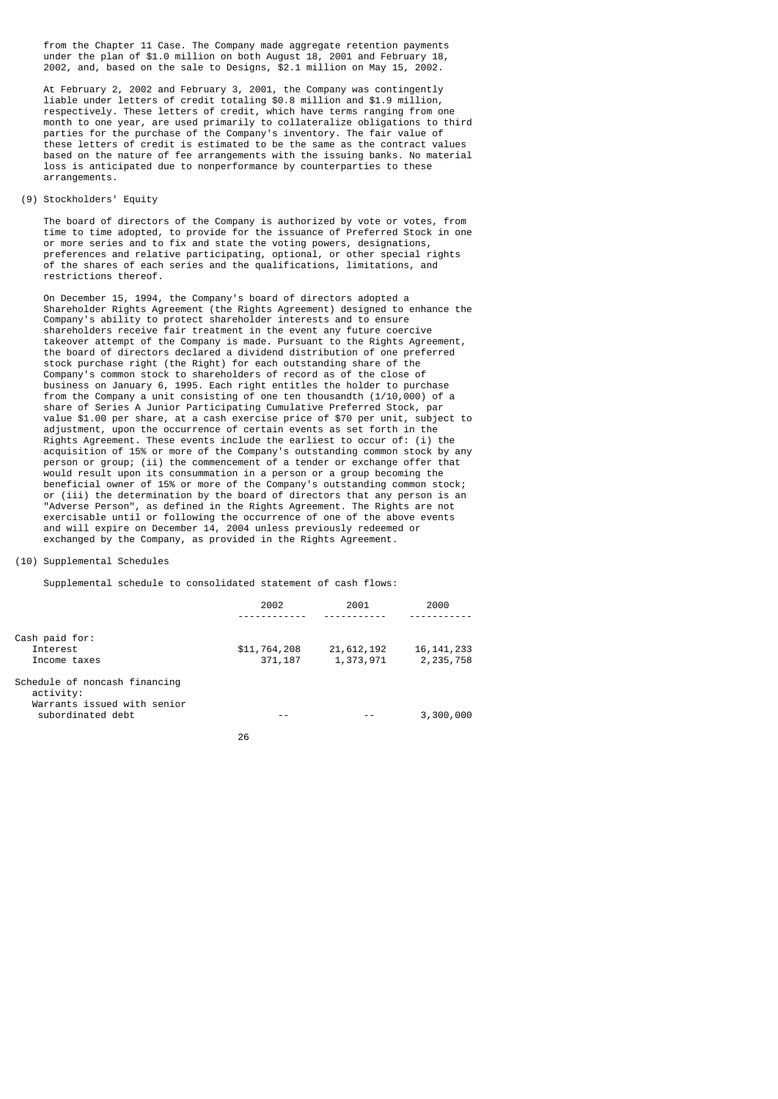from the Chapter 11 Case. The Company made aggregate retention payments under the plan of \$1.0 million on both August 18, 2001 and February 18, 2002, and, based on the sale to Designs, \$2.1 million on May 15, 2002.

 At February 2, 2002 and February 3, 2001, the Company was contingently liable under letters of credit totaling \$0.8 million and \$1.9 million, respectively. These letters of credit, which have terms ranging from one month to one year, are used primarily to collateralize obligations to third parties for the purchase of the Company's inventory. The fair value of these letters of credit is estimated to be the same as the contract values based on the nature of fee arrangements with the issuing banks. No material loss is anticipated due to nonperformance by counterparties to these arrangements.

### (9) Stockholders' Equity

 The board of directors of the Company is authorized by vote or votes, from time to time adopted, to provide for the issuance of Preferred Stock in one or more series and to fix and state the voting powers, designations, preferences and relative participating, optional, or other special rights of the shares of each series and the qualifications, limitations, and restrictions thereof.

 On December 15, 1994, the Company's board of directors adopted a Shareholder Rights Agreement (the Rights Agreement) designed to enhance the Company's ability to protect shareholder interests and to ensure shareholders receive fair treatment in the event any future coercive takeover attempt of the Company is made. Pursuant to the Rights Agreement, the board of directors declared a dividend distribution of one preferred stock purchase right (the Right) for each outstanding share of the Company's common stock to shareholders of record as of the close of business on January 6, 1995. Each right entitles the holder to purchase from the Company a unit consisting of one ten thousandth (1/10,000) of a share of Series A Junior Participating Cumulative Preferred Stock, par value \$1.00 per share, at a cash exercise price of \$70 per unit, subject to adjustment, upon the occurrence of certain events as set forth in the Rights Agreement. These events include the earliest to occur of: (i) the acquisition of 15% or more of the Company's outstanding common stock by any person or group; (ii) the commencement of a tender or exchange offer that would result upon its consummation in a person or a group becoming the beneficial owner of 15% or more of the Company's outstanding common stock; or (iii) the determination by the board of directors that any person is an "Adverse Person", as defined in the Rights Agreement. The Rights are not exercisable until or following the occurrence of one of the above events and will expire on December 14, 2004 unless previously redeemed or exchanged by the Company, as provided in the Rights Agreement.

### (10) Supplemental Schedules

Supplemental schedule to consolidated statement of cash flows:

|                                                                                                | 2002                     | 2001                      | 2000                      |
|------------------------------------------------------------------------------------------------|--------------------------|---------------------------|---------------------------|
|                                                                                                |                          |                           |                           |
| Cash paid for:<br>Interest<br>Income taxes                                                     | \$11,764,208<br>371, 187 | 21, 612, 192<br>1,373,971 | 16, 141, 233<br>2,235,758 |
| Schedule of noncash financing<br>activity:<br>Warrants issued with senior<br>subordinated debt |                          |                           | 3,300,000                 |
|                                                                                                | 26                       |                           |                           |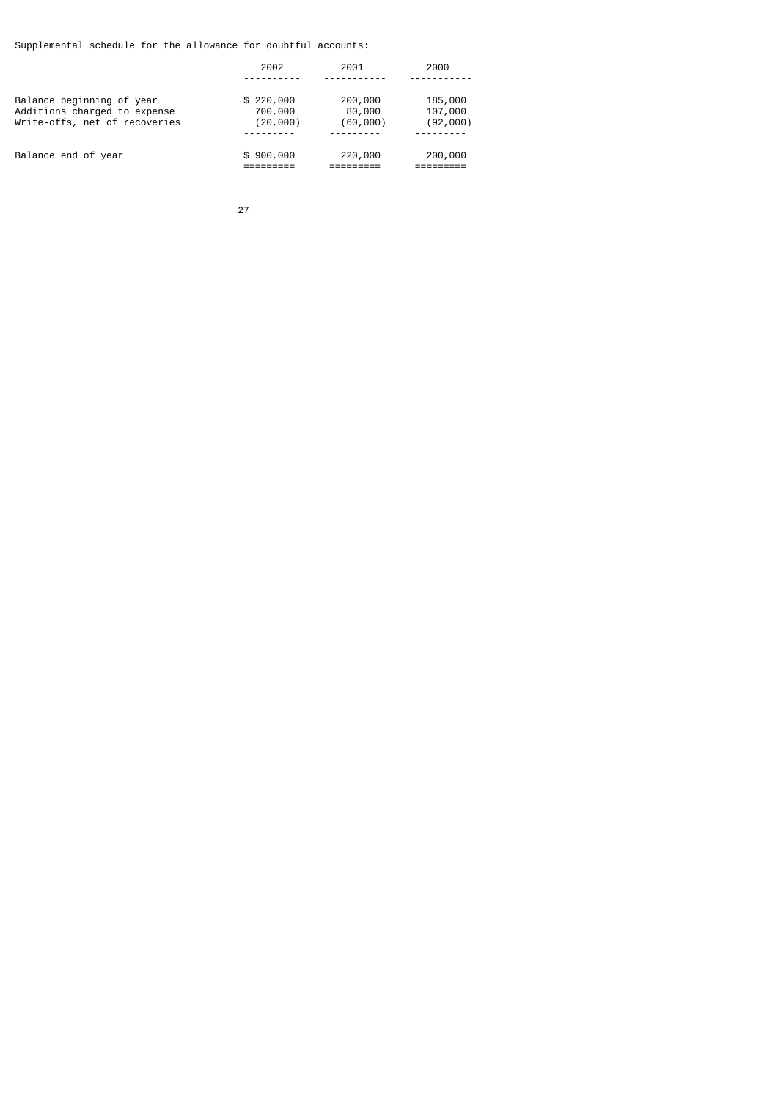Supplemental schedule for the allowance for doubtful accounts:

|                                                                                            | 2002                             | 2001                          | 2000                           |
|--------------------------------------------------------------------------------------------|----------------------------------|-------------------------------|--------------------------------|
| Balance beginning of year<br>Additions charged to expense<br>Write-offs, net of recoveries | \$220,000<br>700,000<br>(20,000) | 200,000<br>80,000<br>(60,000) | 185,000<br>107,000<br>(92,000) |
| Balance end of year                                                                        | \$900,000                        | 220,000                       | 200,000                        |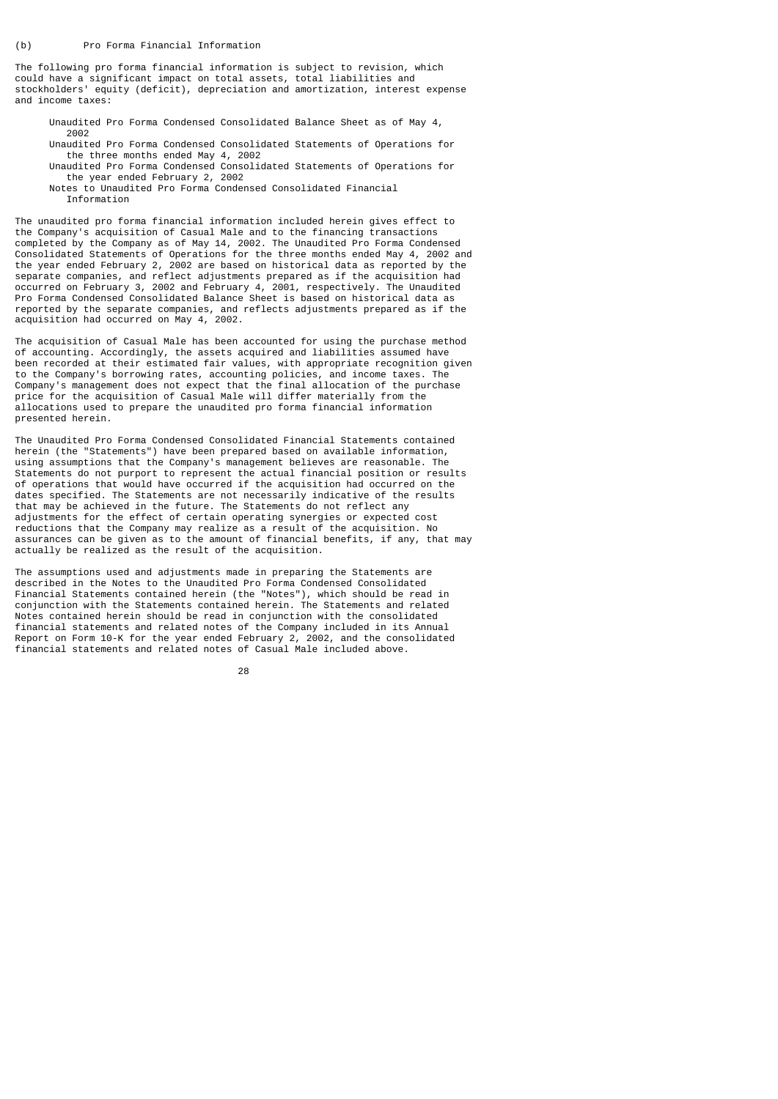The following pro forma financial information is subject to revision, which could have a significant impact on total assets, total liabilities and stockholders' equity (deficit), depreciation and amortization, interest expense and income taxes:

 Unaudited Pro Forma Condensed Consolidated Balance Sheet as of May 4, 2002

 Unaudited Pro Forma Condensed Consolidated Statements of Operations for the three months ended May 4, 2002

- Unaudited Pro Forma Condensed Consolidated Statements of Operations for the year ended February 2, 2002
	- Notes to Unaudited Pro Forma Condensed Consolidated Financial Information

The unaudited pro forma financial information included herein gives effect to the Company's acquisition of Casual Male and to the financing transactions completed by the Company as of May 14, 2002. The Unaudited Pro Forma Condensed Consolidated Statements of Operations for the three months ended May 4, 2002 and the year ended February 2, 2002 are based on historical data as reported by the separate companies, and reflect adjustments prepared as if the acquisition had occurred on February 3, 2002 and February 4, 2001, respectively. The Unaudited Pro Forma Condensed Consolidated Balance Sheet is based on historical data as reported by the separate companies, and reflects adjustments prepared as if the acquisition had occurred on May 4, 2002.

The acquisition of Casual Male has been accounted for using the purchase method of accounting. Accordingly, the assets acquired and liabilities assumed have been recorded at their estimated fair values, with appropriate recognition given to the Company's borrowing rates, accounting policies, and income taxes. The Company's management does not expect that the final allocation of the purchase price for the acquisition of Casual Male will differ materially from the allocations used to prepare the unaudited pro forma financial information presented herein.

The Unaudited Pro Forma Condensed Consolidated Financial Statements contained herein (the "Statements") have been prepared based on available information, using assumptions that the Company's management believes are reasonable. The Statements do not purport to represent the actual financial position or results of operations that would have occurred if the acquisition had occurred on the dates specified. The Statements are not necessarily indicative of the results that may be achieved in the future. The Statements do not reflect any adjustments for the effect of certain operating synergies or expected cost reductions that the Company may realize as a result of the acquisition. No assurances can be given as to the amount of financial benefits, if any, that may actually be realized as the result of the acquisition.

The assumptions used and adjustments made in preparing the Statements are described in the Notes to the Unaudited Pro Forma Condensed Consolidated Financial Statements contained herein (the "Notes"), which should be read in conjunction with the Statements contained herein. The Statements and related Notes contained herein should be read in conjunction with the consolidated financial statements and related notes of the Company included in its Annual Report on Form 10-K for the year ended February 2, 2002, and the consolidated financial statements and related notes of Casual Male included above.

<u>28 and 28 and 28 and 28 and 28 and 28 and 28 and 28 and 28 and 28 and 28 and 28 and 28 and 28 and 28 and 28 a</u>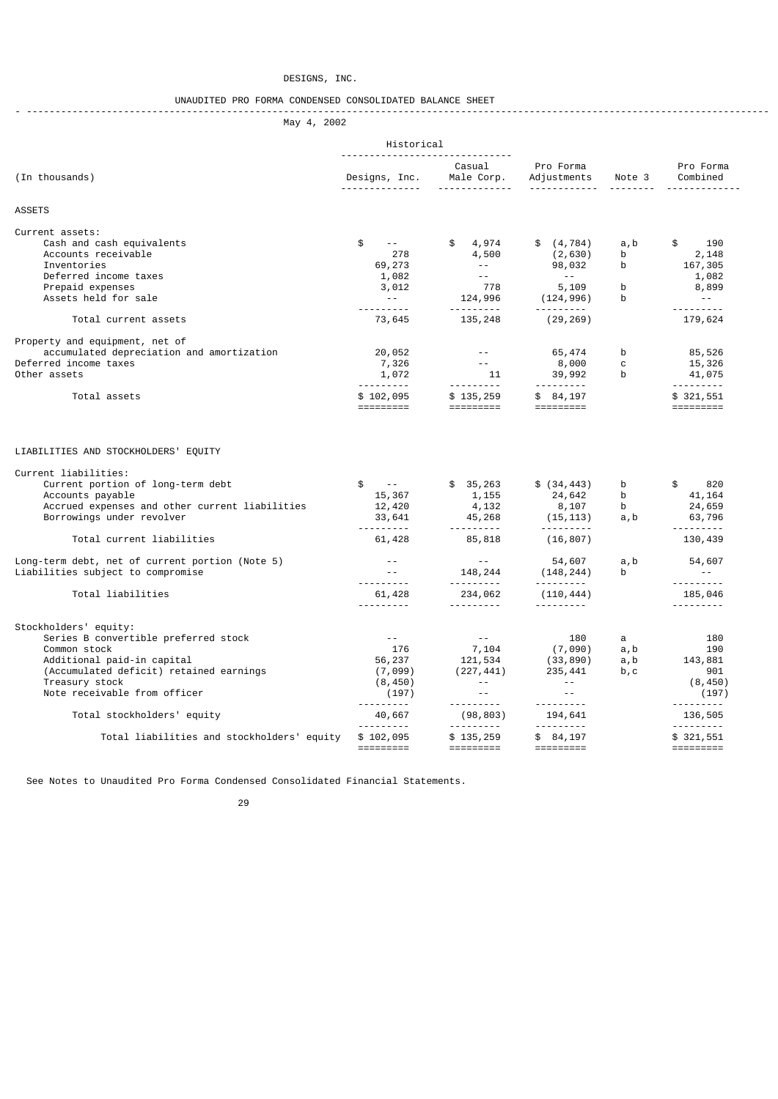## DESIGNS, INC.

### UNAUDITED PRO FORMA CONDENSED CONSOLIDATED BALANCE SHEET - ----------------------------------------------------------------------------------------------------------------------------------

May 4, 2002

|                                                                                                                                                                                                          | Historical                                                                                                        |                                                                                                                                  |                                                                                                    |                                                                                                                                                                                                                                                  |                                                                                                                                                                                                                                     |  |
|----------------------------------------------------------------------------------------------------------------------------------------------------------------------------------------------------------|-------------------------------------------------------------------------------------------------------------------|----------------------------------------------------------------------------------------------------------------------------------|----------------------------------------------------------------------------------------------------|--------------------------------------------------------------------------------------------------------------------------------------------------------------------------------------------------------------------------------------------------|-------------------------------------------------------------------------------------------------------------------------------------------------------------------------------------------------------------------------------------|--|
| (In thousands)                                                                                                                                                                                           | <u>.</u>                                                                                                          | Casual<br>Designs, Inc. Male Corp.<br><u> - - - - - - - - - - - - -</u>                                                          | Pro Forma<br>Adjustments Note 3                                                                    |                                                                                                                                                                                                                                                  | Pro Forma<br>Combined                                                                                                                                                                                                               |  |
| <b>ASSETS</b>                                                                                                                                                                                            |                                                                                                                   |                                                                                                                                  |                                                                                                    |                                                                                                                                                                                                                                                  |                                                                                                                                                                                                                                     |  |
| Current assets:<br>Cash and cash equivalents<br>Accounts receivable<br>Inventories<br>Deferred income taxes<br>Prepaid expenses<br>Assets held for sale                                                  | \$<br><b>Contractor</b><br>278<br>69,273<br>1,082<br>3,012<br><b>Contract Contract</b><br><u> - - - - - - - -</u> | \$ 4,974<br>4,500<br>$\alpha$ , and $\alpha$ , and $\alpha$<br>$\omega = 1$ .<br>778<br>124,996                                  | \$ (4, 784)<br>(2,630)<br>98,032<br><b>State State</b><br>5,109<br>(124, 996)<br><u> 222222220</u> | a, b<br>b<br>b<br>b<br><sub>b</sub>                                                                                                                                                                                                              | \$<br>190<br>2,148<br>167,305<br>1,082<br>8,899<br>$\sim 100$<br><u> - - - - - - - - -</u>                                                                                                                                          |  |
| Total current assets                                                                                                                                                                                     | 73,645                                                                                                            | 135,248                                                                                                                          | (29, 269)                                                                                          |                                                                                                                                                                                                                                                  | 179,624                                                                                                                                                                                                                             |  |
| Property and equipment, net of<br>accumulated depreciation and amortization<br>Deferred income taxes<br>Other assets<br>Total assets                                                                     | 20,052<br>7,326<br>1,072<br>----------<br>\$102,095<br>=========                                                  | <b>Contractor</b><br>$\alpha$ , and $\alpha$ , and $\alpha$<br>$\frac{11}{1}$<br>$$135,259$<br>==========                        | 65,474<br>8,000 11<br>39,992<br>\$84,197<br>$=$ =========                                          | b b<br>$\mathbf{C}$                                                                                                                                                                                                                              | 85,526<br>15,326<br>b<br>$41,0/5$<br>$+1/5$<br>$+321,551$<br>$+1/5$<br>$+1/5$<br>$+1/5$<br>$+1/5$<br>$+1/5$<br>$+1/5$<br>$+1/5$<br>$+1/5$<br>$+1/5$<br>$+1/5$<br>$+1/5$<br>$+1/5$<br>$+1/5$<br>$+1/5$<br>$+1/5$<br>$+1/5$<br>$+1/5$ |  |
| LIABILITIES AND STOCKHOLDERS' EQUITY<br>Current liabilities:                                                                                                                                             |                                                                                                                   |                                                                                                                                  |                                                                                                    |                                                                                                                                                                                                                                                  |                                                                                                                                                                                                                                     |  |
| Current portion of long-term debt<br>Accounts payable<br>Accrued expenses and other current liabilities<br>Borrowings under revolver                                                                     | <b>Service State</b><br>\$<br>15,367<br>12,420<br>33,641                                                          | \$35,263<br>1,155<br>4,132<br>$45,268$ (15,113)<br><u> - - - - - - - - -</u>                                                     | \$ (34, 443)<br>24,642<br>8,107                                                                    | b<br>b and the set of the set of the set of the set of the set of the set of the set of the set of the set of the set of the set of the set of the set of the set of the set of the set of the set of the set of the set of the set<br>b<br>a, b | 820<br>\$<br>41, 164<br>24,659<br>63,796                                                                                                                                                                                            |  |
| Total current liabilities                                                                                                                                                                                | <u> - - - - - - - - -</u><br>61,428                                                                               | 85,818                                                                                                                           | (16, 807)                                                                                          |                                                                                                                                                                                                                                                  | 130,439                                                                                                                                                                                                                             |  |
| Long-term debt, net of current portion (Note 5)<br>Liabilities subject to compromise                                                                                                                     | $\sim 10^{-11}$<br>$\sim 10^{-10}$<br><u> - - - - - - - -</u>                                                     | <b>Contractor</b><br>148,244<br><u> - - - - - - - - -</u>                                                                        | 54,607<br>(148, 244)<br><u> - - - - - - - - -</u>                                                  | a, b<br>b                                                                                                                                                                                                                                        | 54,607<br>$\sim 100$<br><u> - - - - - - - -</u>                                                                                                                                                                                     |  |
| Total liabilities                                                                                                                                                                                        | 61,428<br><u> - - - - - - - -</u>                                                                                 | 234,062<br><u>.</u>                                                                                                              | (110, 444)                                                                                         |                                                                                                                                                                                                                                                  | 185,046<br><u> - - - - - - - -</u>                                                                                                                                                                                                  |  |
| Stockholders' equity:<br>Series B convertible preferred stock<br>Common stock<br>Additional paid-in capital<br>(Accumulated deficit) retained earnings<br>Treasury stock<br>Note receivable from officer | $\sim 10^{-11}$<br>176<br>56,237<br>(7,099)<br>(8, 450)<br>(197)<br><u>.</u> .                                    | $\sim$ $ \sim$ $-$<br>7,104<br>121,534<br>(227, 441)<br>and the second state<br>$\omega_{\rm{max}}$<br><u> - - - - - - - - -</u> | 180<br>(7,090)<br>(33,890)<br>235,441<br><b>Contractor</b><br>$\sim$ $\sim$                        | a<br>a, b<br>a, b<br>b, c                                                                                                                                                                                                                        | 180<br>190<br>143,881<br>901<br>(8, 450)<br>(197)                                                                                                                                                                                   |  |
| Total stockholders' equity                                                                                                                                                                               | 40,667<br><u>.</u>                                                                                                | (98, 803)<br><u> - - - - - - - - -</u>                                                                                           | 194,641                                                                                            |                                                                                                                                                                                                                                                  | 136,505<br><u> - - - - - - - -</u>                                                                                                                                                                                                  |  |
| Total liabilities and stockholders' equity                                                                                                                                                               | \$102,095                                                                                                         | \$135,259<br>=========                                                                                                           | \$84,197                                                                                           |                                                                                                                                                                                                                                                  | \$321,551                                                                                                                                                                                                                           |  |

See Notes to Unaudited Pro Forma Condensed Consolidated Financial Statements.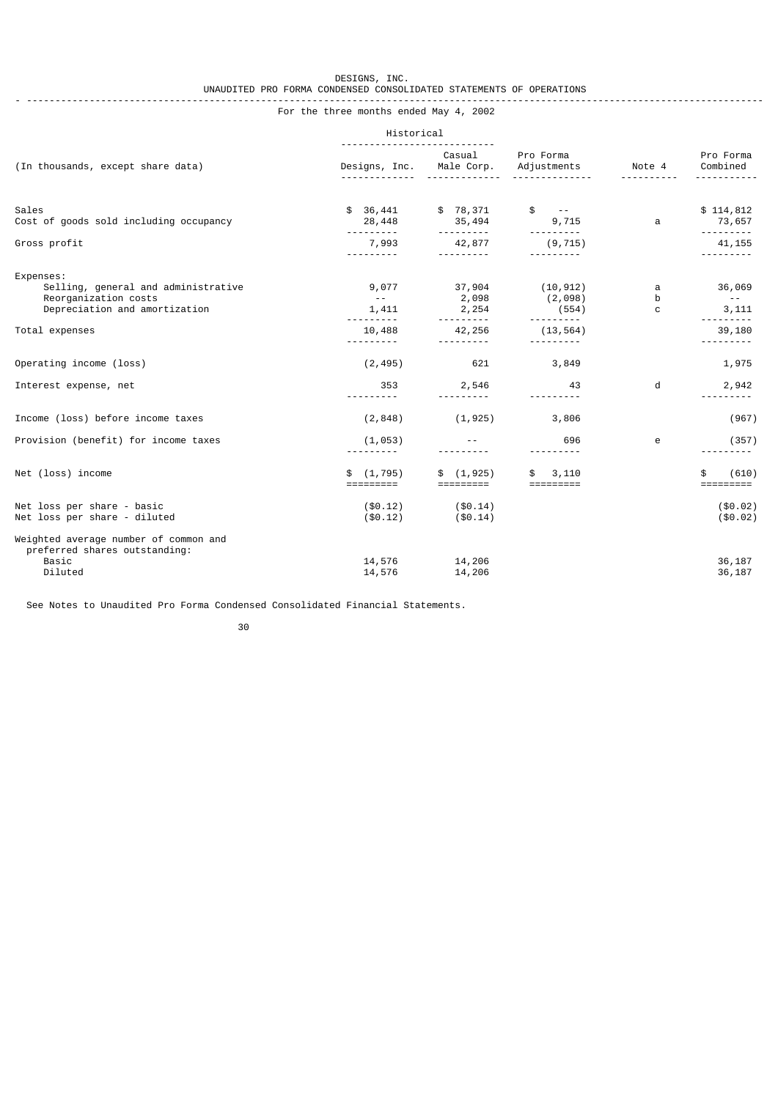#### $DESIGNS, \quad INC.$  UNAUDITED PRO FORMA CONDENSED CONSOLIDATED STATEMENTS OF OPERATIONS - ---------------------------------------------------------------------------------------------------------------------------------

For the three months ended May 4, 2002

|                                                                                                           | Historical                               |                                                  |                                        |             |                                |
|-----------------------------------------------------------------------------------------------------------|------------------------------------------|--------------------------------------------------|----------------------------------------|-------------|--------------------------------|
| (In thousands, except share data)                                                                         | Designs, Inc.                            | Casual<br>Male Corp.                             | Pro Forma<br>Adjustments               | Note 4      | Pro Forma<br>Combined          |
| Sales<br>Cost of goods sold including occupancy                                                           | \$36,441<br>28,448                       | \$78,371<br>35,494                               | $\frac{1}{2}$ - -<br>9,715             | a           | \$114,812<br>73,657            |
| Gross profit                                                                                              | <u>.</u><br>7,993                        | <u> - - - - - - - - -</u><br>42,877<br>--------- | <u>.</u><br>(9, 715)                   |             | <u>.</u><br>41, 155            |
| Expenses:<br>Selling, general and administrative<br>Reorganization costs<br>Depreciation and amortization | 9,077<br>$\sim$ $ \sim$ $ \sim$<br>1,411 | 37,904<br>2,098<br>2,254                         | (10, 912)<br>(2,098)<br>(554)          | a<br>b<br>C | 36,069<br>$\sim$ $ -$<br>3,111 |
| Total expenses                                                                                            | .<br>10,488<br>.                         | <u> - - - - - - - - -</u><br>42,256<br><u>.</u>  | <u> - - - - - - - - -</u><br>(13, 564) |             | .<br>39,180<br>---------       |
| Operating income (loss)                                                                                   | (2, 495)                                 | 621                                              | 3,849                                  |             | 1,975                          |
| Interest expense, net                                                                                     | 353<br>---------                         | 2,546                                            | 43                                     | d           | 2,942                          |
| Income (loss) before income taxes                                                                         | (2, 848)                                 | (1, 925)                                         | 3,806                                  |             | (967)                          |
| Provision (benefit) for income taxes                                                                      | (1, 053)                                 |                                                  | 696<br>.                               | e           | (357)                          |
| Net (loss) income                                                                                         | (1, 795)<br>\$                           | \$(1, 925)                                       | 3,110                                  |             | (610)<br>\$<br>=========       |
| Net loss per share - basic<br>Net loss per share - diluted                                                | $(\$0.12)$<br>$(\$0.12)$                 | ( \$0.14)<br>( \$0.14)                           |                                        |             | ( \$0.02)<br>(\$0.02)          |
| Weighted average number of common and<br>preferred shares outstanding:<br>Basic<br>Diluted                | 14,576<br>14,576                         | 14,206<br>14,206                                 |                                        |             | 36,187<br>36,187               |

See Notes to Unaudited Pro Forma Condensed Consolidated Financial Statements.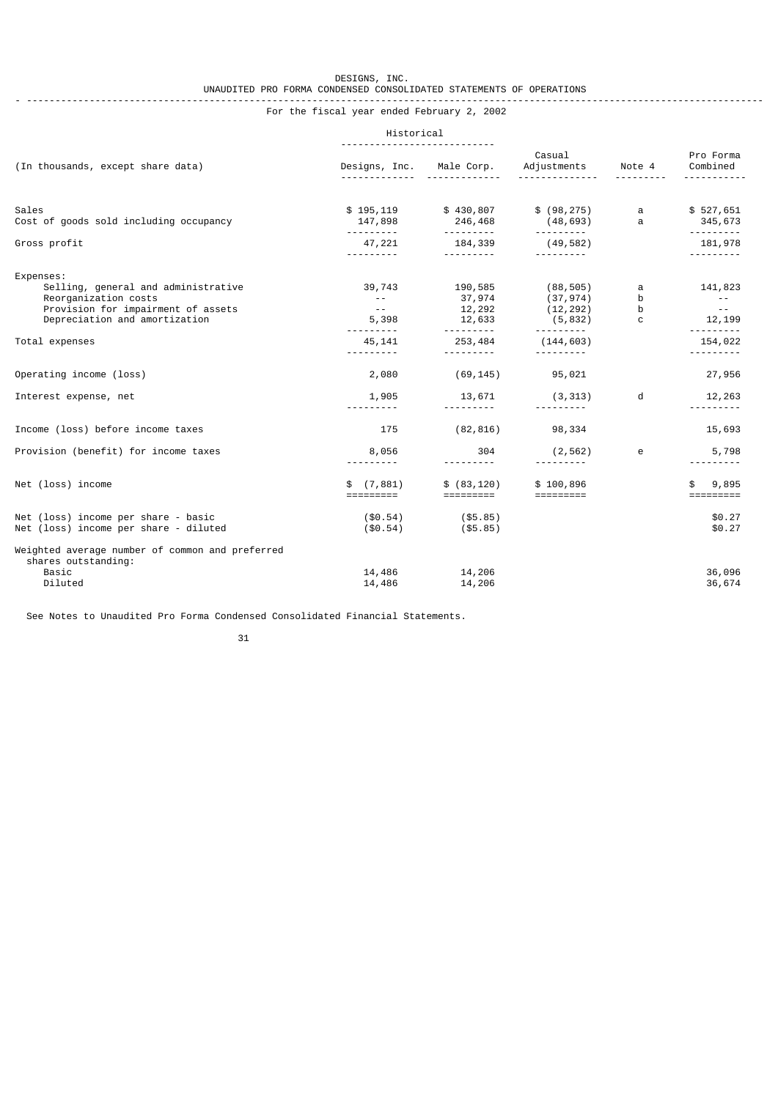#### $DESIGNS, \quad INC.$  UNAUDITED PRO FORMA CONDENSED CONSOLIDATED STATEMENTS OF OPERATIONS - ---------------------------------------------------------------------------------------------------------------------------------

# For the fiscal year ended February 2, 2002

## Historical

| (In thousands, except share data)                                                                                                               | Designs, Inc.                                                  | Male Corp.                                         | Casual<br>Adjustments                                                                                                                                                                                                                                                                                                                                                                                                                                                                             | Note 4                     | Pro Forma<br>Combined                                             |
|-------------------------------------------------------------------------------------------------------------------------------------------------|----------------------------------------------------------------|----------------------------------------------------|---------------------------------------------------------------------------------------------------------------------------------------------------------------------------------------------------------------------------------------------------------------------------------------------------------------------------------------------------------------------------------------------------------------------------------------------------------------------------------------------------|----------------------------|-------------------------------------------------------------------|
| Sales<br>Cost of goods sold including occupancy                                                                                                 | \$195,119<br>147,898                                           | \$430,807<br>246,468                               | \$ (98, 275)<br>(48, 693)                                                                                                                                                                                                                                                                                                                                                                                                                                                                         | $\mathbf{a}$<br>a          | \$527,651<br>345,673                                              |
| Gross profit                                                                                                                                    | <u>.</u> .<br>47,221<br><u>.</u>                               | 184,339<br><u> - - - - - - - -</u>                 | <u> - - - - - - - - -</u><br>(49, 582)<br>---------                                                                                                                                                                                                                                                                                                                                                                                                                                               |                            | <u> - - - - - - - -</u><br>181,978<br>.                           |
| Expenses:<br>Selling, general and administrative<br>Reorganization costs<br>Provision for impairment of assets<br>Depreciation and amortization | 39,743<br>$\sim$ $ -$<br>$\sim$ 100 $\sim$ 100 $\sim$<br>5,398 | 190,585<br>37,974<br>12,292<br>12,633              | (88, 505)<br>(37, 974)<br>(12,292)<br>(5, 832)                                                                                                                                                                                                                                                                                                                                                                                                                                                    | a<br>b<br>b<br>$\mathbf C$ | 141,823<br>$\sim 100$ m $^{-1}$<br>$\sim 100$ m $^{-1}$<br>12,199 |
| Total expenses                                                                                                                                  | <u>.</u> .<br>45,141<br><u>.</u> .                             | <u> - - - - - - - - -</u><br>253,484<br>---------- | ----------<br>(144, 603)<br>----------                                                                                                                                                                                                                                                                                                                                                                                                                                                            |                            | <u>.</u><br>154,022<br>---------                                  |
| Operating income (loss)                                                                                                                         | 2,080                                                          | (69, 145)                                          | 95,021                                                                                                                                                                                                                                                                                                                                                                                                                                                                                            |                            | 27,956                                                            |
| Interest expense, net                                                                                                                           | 1,905<br><u> - - - - - - - - -</u>                             | 13,671<br><u>.</u> .                               | (3, 313)                                                                                                                                                                                                                                                                                                                                                                                                                                                                                          | d                          | 12,263<br><u>.</u>                                                |
| Income (loss) before income taxes                                                                                                               | 175                                                            | (82, 816)                                          | 98,334                                                                                                                                                                                                                                                                                                                                                                                                                                                                                            |                            | 15,693                                                            |
| Provision (benefit) for income taxes                                                                                                            | 8,056                                                          | 304<br>.                                           | (2, 562)                                                                                                                                                                                                                                                                                                                                                                                                                                                                                          | e                          | 5,798                                                             |
| Net (loss) income                                                                                                                               | \$(7,881)<br>$=$ $=$ $=$ $=$ $=$ $=$ $=$ $=$ $=$               | \$ (83, 120)<br>=========                          | \$100,896<br>$\begin{array}{cccccc} \multicolumn{2}{c}{} & \multicolumn{2}{c}{} & \multicolumn{2}{c}{} & \multicolumn{2}{c}{} & \multicolumn{2}{c}{} & \multicolumn{2}{c}{} & \multicolumn{2}{c}{} & \multicolumn{2}{c}{} & \multicolumn{2}{c}{} & \multicolumn{2}{c}{} & \multicolumn{2}{c}{} & \multicolumn{2}{c}{} & \multicolumn{2}{c}{} & \multicolumn{2}{c}{} & \multicolumn{2}{c}{} & \multicolumn{2}{c}{} & \multicolumn{2}{c}{} & \multicolumn{2}{c}{} & \multicolumn{2}{c}{} & \multic$ |                            | 9,895<br>=========                                                |
| Net (loss) income per share - basic<br>Net (loss) income per share - diluted                                                                    | $(\$0.54)$<br>$(\$0.54)$                                       | $(\$5.85)$<br>( \$5.85)                            |                                                                                                                                                                                                                                                                                                                                                                                                                                                                                                   |                            | \$0.27<br>\$0.27                                                  |
| Weighted average number of common and preferred<br>shares outstanding:<br>Basic<br>Diluted                                                      | 14,486<br>14,486                                               | 14,206<br>14,206                                   |                                                                                                                                                                                                                                                                                                                                                                                                                                                                                                   |                            | 36,096<br>36,674                                                  |

See Notes to Unaudited Pro Forma Condensed Consolidated Financial Statements.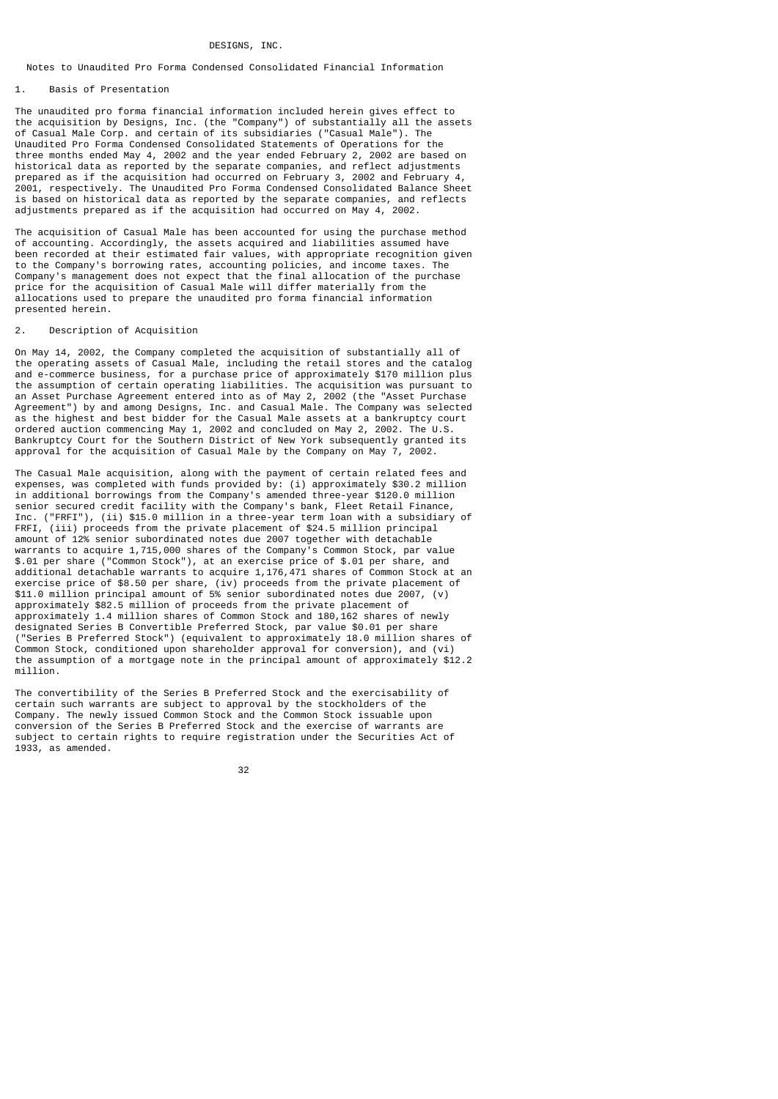#### DESIGNS, INC.

### Notes to Unaudited Pro Forma Condensed Consolidated Financial Information

#### 1. Basis of Presentation

The unaudited pro forma financial information included herein gives effect to the acquisition by Designs, Inc. (the "Company") of substantially all the assets of Casual Male Corp. and certain of its subsidiaries ("Casual Male"). The Unaudited Pro Forma Condensed Consolidated Statements of Operations for the three months ended May 4, 2002 and the year ended February 2, 2002 are based on historical data as reported by the separate companies, and reflect adjustments prepared as if the acquisition had occurred on February 3, 2002 and February 4, 2001, respectively. The Unaudited Pro Forma Condensed Consolidated Balance Sheet is based on historical data as reported by the separate companies, and reflects adjustments prepared as if the acquisition had occurred on May 4, 2002.

The acquisition of Casual Male has been accounted for using the purchase method of accounting. Accordingly, the assets acquired and liabilities assumed have been recorded at their estimated fair values, with appropriate recognition given to the Company's borrowing rates, accounting policies, and income taxes. The Company's management does not expect that the final allocation of the purchase price for the acquisition of Casual Male will differ materially from the allocations used to prepare the unaudited pro forma financial information presented herein.

#### 2. Description of Acquisition

On May 14, 2002, the Company completed the acquisition of substantially all of the operating assets of Casual Male, including the retail stores and the catalog and e-commerce business, for a purchase price of approximately \$170 million plus the assumption of certain operating liabilities. The acquisition was pursuant to an Asset Purchase Agreement entered into as of May 2, 2002 (the "Asset Purchase Agreement") by and among Designs, Inc. and Casual Male. The Company was selected as the highest and best bidder for the Casual Male assets at a bankruptcy court ordered auction commencing May 1, 2002 and concluded on May 2, 2002. The U.S. Bankruptcy Court for the Southern District of New York subsequently granted its approval for the acquisition of Casual Male by the Company on May 7, 2002.

The Casual Male acquisition, along with the payment of certain related fees and expenses, was completed with funds provided by: (i) approximately \$30.2 million in additional borrowings from the Company's amended three-year \$120.0 million senior secured credit facility with the Company's bank, Fleet Retail Finance, Inc. ("FRFI"), (ii) \$15.0 million in a three-year term loan with a subsidiary of FRFI, (iii) proceeds from the private placement of \$24.5 million principal amount of 12% senior subordinated notes due 2007 together with detachable warrants to acquire 1,715,000 shares of the Company's Common Stock, par value \$.01 per share ("Common Stock"), at an exercise price of \$.01 per share, and additional detachable warrants to acquire 1,176,471 shares of Common Stock at an exercise price of \$8.50 per share, (iv) proceeds from the private placement of \$11.0 million principal amount of 5% senior subordinated notes due 2007, (v) approximately \$82.5 million of proceeds from the private placement of approximately 1.4 million shares of Common Stock and 180,162 shares of newly designated Series B Convertible Preferred Stock, par value \$0.01 per share ("Series B Preferred Stock") (equivalent to approximately 18.0 million shares of Common Stock, conditioned upon shareholder approval for conversion), and (vi) the assumption of a mortgage note in the principal amount of approximately \$12.2 million.

The convertibility of the Series B Preferred Stock and the exercisability of certain such warrants are subject to approval by the stockholders of the Company. The newly issued Common Stock and the Common Stock issuable upon conversion of the Series B Preferred Stock and the exercise of warrants are subject to certain rights to require registration under the Securities Act of 1933, as amended.

#### <u>32 and 2010 and 2010 and 2010 and 2010 and 2010 and 2010 and 2010 and 2010 and 2010 and 2010 and 2010 and 201</u>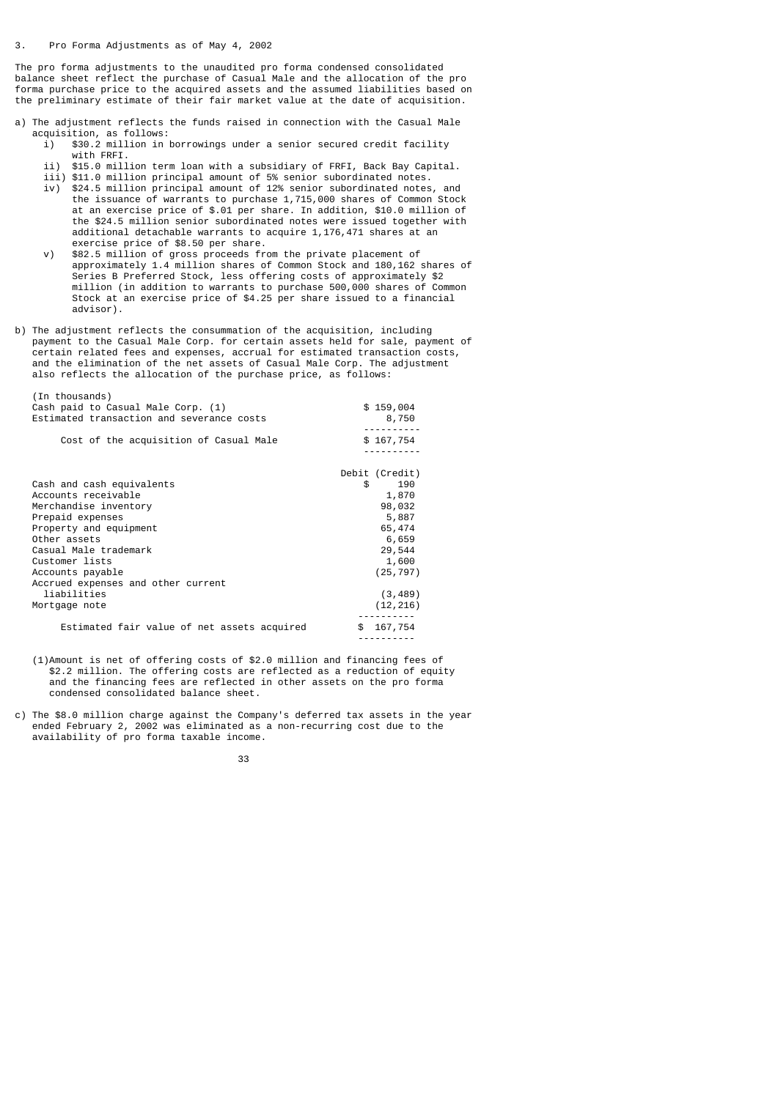The pro forma adjustments to the unaudited pro forma condensed consolidated balance sheet reflect the purchase of Casual Male and the allocation of the pro forma purchase price to the acquired assets and the assumed liabilities based on the preliminary estimate of their fair market value at the date of acquisition.

- a) The adjustment reflects the funds raised in connection with the Casual Male acquisition, as follows:
	- i) \$30.2 million in borrowings under a senior secured credit facility with FRFI.
	- ii) \$15.0 million term loan with a subsidiary of FRFI, Back Bay Capital.
- iii) \$11.0 million principal amount of 5% senior subordinated notes. iv) \$24.5 million principal amount of 12% senior subordinated notes, and the issuance of warrants to purchase 1,715,000 shares of Common Stock at an exercise price of \$.01 per share. In addition, \$10.0 million of the \$24.5 million senior subordinated notes were issued together with additional detachable warrants to acquire 1,176,471 shares at an exercise price of \$8.50 per share.<br>y) \$82.5 million of gross proceeds fr
- \$82.5 million of gross proceeds from the private placement of approximately 1.4 million shares of Common Stock and 180,162 shares of Series B Preferred Stock, less offering costs of approximately \$2 million (in addition to warrants to purchase 500,000 shares of Common Stock at an exercise price of \$4.25 per share issued to a financial advisor).
- b) The adjustment reflects the consummation of the acquisition, including payment to the Casual Male Corp. for certain assets held for sale, payment of certain related fees and expenses, accrual for estimated transaction costs, and the elimination of the net assets of Casual Male Corp. The adjustment also reflects the allocation of the purchase price, as follows:

| (In thousands)                              |                |
|---------------------------------------------|----------------|
| Cash paid to Casual Male Corp. (1)          | \$159,004      |
| Estimated transaction and severance costs   | 8,750          |
|                                             |                |
| Cost of the acquisition of Casual Male      | \$167,754      |
|                                             |                |
|                                             |                |
|                                             | Debit (Credit) |
| Cash and cash equivalents                   | 190<br>\$      |
| Accounts receivable                         | 1,870          |
| Merchandise inventory                       | 98,032         |
| Prepaid expenses                            | 5,887          |
| Property and equipment                      | 65,474         |
| Other assets                                | 6,659          |
| Casual Male trademark                       | 29,544         |
| Customer lists                              | 1,600          |
| Accounts payable                            | (25, 797)      |
|                                             |                |
| Accrued expenses and other current          |                |
| liabilities                                 | (3, 489)       |
| Mortgage note                               | (12, 216)      |
|                                             |                |
| Estimated fair value of net assets acquired | \$167,754      |
|                                             |                |

- (1)Amount is net of offering costs of \$2.0 million and financing fees of \$2.2 million. The offering costs are reflected as a reduction of equity and the financing fees are reflected in other assets on the pro forma condensed consolidated balance sheet.
- c) The \$8.0 million charge against the Company's deferred tax assets in the year ended February 2, 2002 was eliminated as a non-recurring cost due to the availability of pro forma taxable income.

#### 33 and 2012 and 2013 and 2014 and 2014 and 2014 and 2014 and 2014 and 2014 and 2014 and 2014 and 201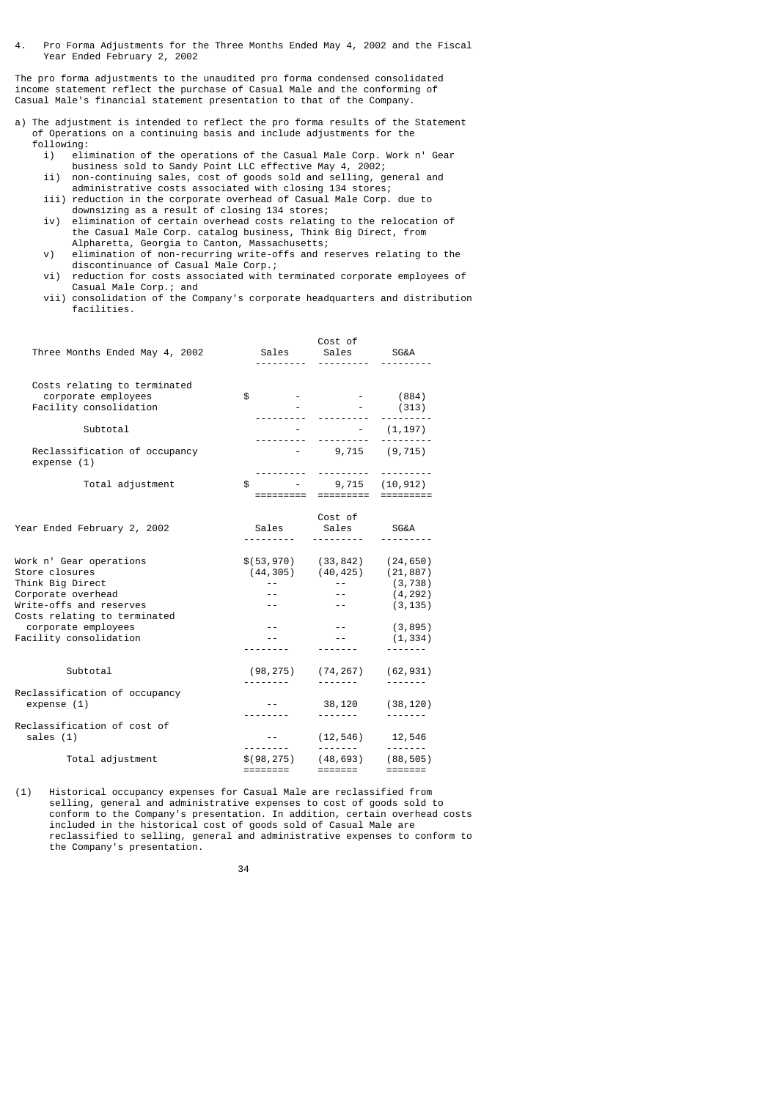4. Pro Forma Adjustments for the Three Months Ended May 4, 2002 and the Fiscal Year Ended February 2, 2002

The pro forma adjustments to the unaudited pro forma condensed consolidated income statement reflect the purchase of Casual Male and the conforming of Casual Male's financial statement presentation to that of the Company.

- a) The adjustment is intended to reflect the pro forma results of the Statement of Operations on a continuing basis and include adjustments for the following:
- i) elimination of the operations of the Casual Male Corp. Work n' Gear business sold to Sandy Point LLC effective May 4, 2002;
- ii) non-continuing sales, cost of goods sold and selling, general and administrative costs associated with closing 134 stores;
- iii) reduction in the corporate overhead of Casual Male Corp. due to downsizing as a result of closing 134 stores;
- iv) elimination of certain overhead costs relating to the relocation of the Casual Male Corp. catalog business, Think Big Direct, from Alpharetta, Georgia to Canton, Massachusetts;
- v) elimination of non-recurring write-offs and reserves relating to the discontinuance of Casual Male Corp.;
- vi) reduction for costs associated with terminated corporate employees of Casual Male Corp.; and
- vii) consolidation of the Company's corporate headquarters and distribution facilities.

| Three Months Ended May 4, 2002                      |                                                  | Cost of                                 | SG&A                        |
|-----------------------------------------------------|--------------------------------------------------|-----------------------------------------|-----------------------------|
|                                                     |                                                  |                                         |                             |
| Costs relating to terminated<br>corporate employees | $\texttt{\$}$ - - (884)                          |                                         |                             |
| Facility consolidation                              |                                                  | $-$ (313)                               |                             |
|                                                     |                                                  | <u>.</u>                                |                             |
| Subtotal                                            |                                                  | (1, 197)                                |                             |
| Reclassification of occupancy<br>expense (1)        |                                                  | $-9,715$ $(9,715)$                      |                             |
| Total adjustment                                    | \$                                               |                                         |                             |
|                                                     | =========                                        | $-9,715(10,912)$<br>=========           |                             |
|                                                     |                                                  | Cost of                                 |                             |
| Year Ended February 2, 2002                         | Sales                                            | Sales                                   | SG&A                        |
|                                                     | ---------                                        | <u>.</u>                                |                             |
| Work n' Gear operations                             | $\$(53,970)$ $(33,842)$ $(24,650)$               |                                         |                             |
| Store closures                                      | $(44, 305)$ $(40, 425)$ $(21, 887)$              |                                         |                             |
| Think Big Direct                                    | $\sim 10^{-10}$                                  | $\sigma = 0.000$                        | (3, 738)                    |
| Corporate overhead                                  | $\sim 10^{-11}$                                  | $\sim$ $ -$                             | (4, 292)                    |
| Write-offs and reserves                             | $\sim$ $ -$                                      | $\sim$ $\sim$ $-$                       | (3, 135)                    |
| Costs relating to terminated                        |                                                  |                                         |                             |
| corporate employees                                 | $ -$                                             | $\sim$ $  -$                            | (3, 895)                    |
| Facility consolidation                              |                                                  | <b>Service State</b><br>$- - - - - - -$ | (1, 334)                    |
|                                                     |                                                  |                                         |                             |
| Subtotal                                            |                                                  | $(98, 275)$ $(74, 267)$                 | (62, 931)                   |
|                                                     |                                                  |                                         |                             |
| Reclassification of occupancy                       |                                                  |                                         |                             |
| expense (1)                                         |                                                  | 38,120<br>-------                       | (38, 120)                   |
| Reclassification of cost of                         |                                                  |                                         |                             |
| sales (1)                                           | and the second control of the                    | $(12, 546)$ 12,546                      |                             |
|                                                     | ---------                                        | -------                                 | -------                     |
| Total adjustment                                    | $$(98, 275)$ $(48, 693)$ $(88, 505)$<br>======== | =======                                 | $=$ $=$ $=$ $=$ $=$ $=$ $=$ |
|                                                     |                                                  |                                         |                             |

(1) Historical occupancy expenses for Casual Male are reclassified from selling, general and administrative expenses to cost of goods sold to conform to the Company's presentation. In addition, certain overhead costs included in the historical cost of goods sold of Casual Male are reclassified to selling, general and administrative expenses to conform to the Company's presentation.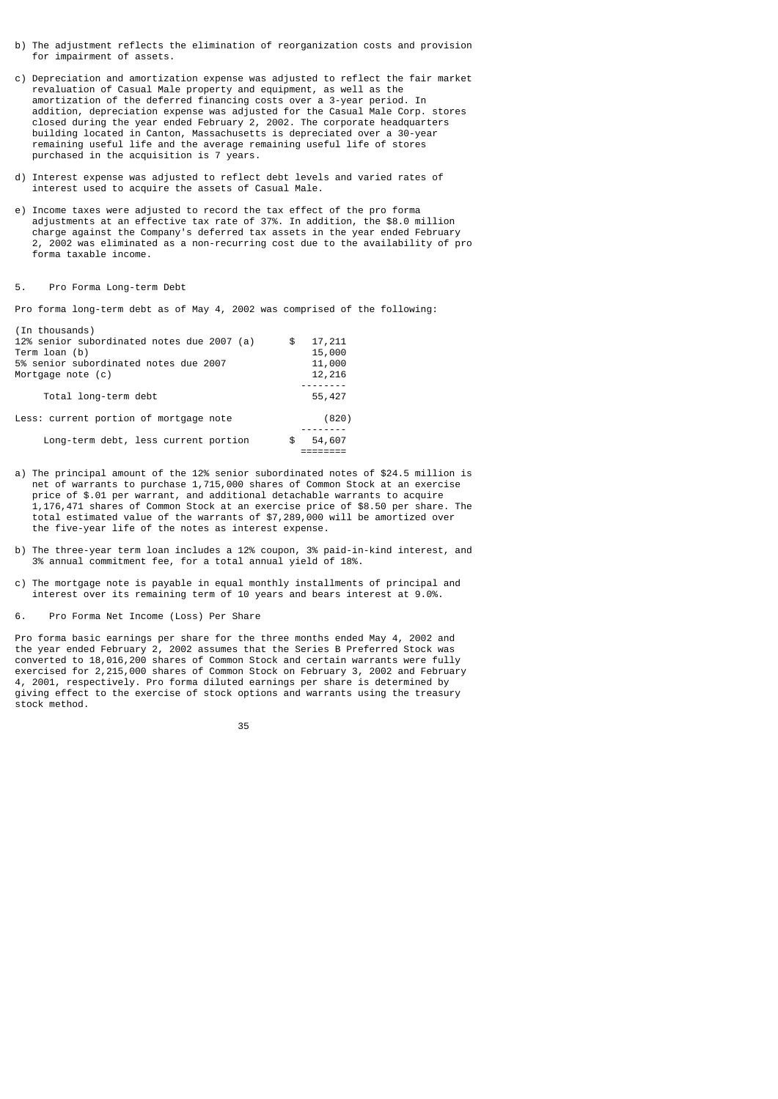- b) The adjustment reflects the elimination of reorganization costs and provision for impairment of assets.
- c) Depreciation and amortization expense was adjusted to reflect the fair market revaluation of Casual Male property and equipment, as well as the amortization of the deferred financing costs over a 3-year period. In addition, depreciation expense was adjusted for the Casual Male Corp. stores closed during the year ended February 2, 2002. The corporate headquarters building located in Canton, Massachusetts is depreciated over a 30-year remaining useful life and the average remaining useful life of stores purchased in the acquisition is 7 years.
- d) Interest expense was adjusted to reflect debt levels and varied rates of interest used to acquire the assets of Casual Male.
- e) Income taxes were adjusted to record the tax effect of the pro forma adjustments at an effective tax rate of 37%. In addition, the \$8.0 million charge against the Company's deferred tax assets in the year ended February 2, 2002 was eliminated as a non-recurring cost due to the availability of pro forma taxable income.

## 5. Pro Forma Long-term Debt

Pro forma long-term debt as of May 4, 2002 was comprised of the following:

| (In thousands)<br>12% senior subordinated notes due 2007 (a)<br>Term loan (b)<br>5% senior subordinated notes due 2007 | \$<br>17,211<br>15,000<br>11,000 |
|------------------------------------------------------------------------------------------------------------------------|----------------------------------|
| Mortgage note (c)<br>Total long-term debt                                                                              | 12,216<br>55,427                 |
| Less: current portion of mortgage note                                                                                 | (820)                            |
| Long-term debt, less current portion                                                                                   | \$<br>54,607                     |

- a) The principal amount of the 12% senior subordinated notes of \$24.5 million is net of warrants to purchase 1,715,000 shares of Common Stock at an exercise price of \$.01 per warrant, and additional detachable warrants to acquire 1,176,471 shares of Common Stock at an exercise price of \$8.50 per share. The total estimated value of the warrants of \$7,289,000 will be amortized over the five-year life of the notes as interest expense.
- b) The three-year term loan includes a 12% coupon, 3% paid-in-kind interest, and 3% annual commitment fee, for a total annual yield of 18%.
- c) The mortgage note is payable in equal monthly installments of principal and interest over its remaining term of 10 years and bears interest at 9.0%.
- 6. Pro Forma Net Income (Loss) Per Share

Pro forma basic earnings per share for the three months ended May 4, 2002 and the year ended February 2, 2002 assumes that the Series B Preferred Stock was converted to 18,016,200 shares of Common Stock and certain warrants were fully exercised for 2,215,000 shares of Common Stock on February 3, 2002 and February 4, 2001, respectively. Pro forma diluted earnings per share is determined by giving effect to the exercise of stock options and warrants using the treasury stock method.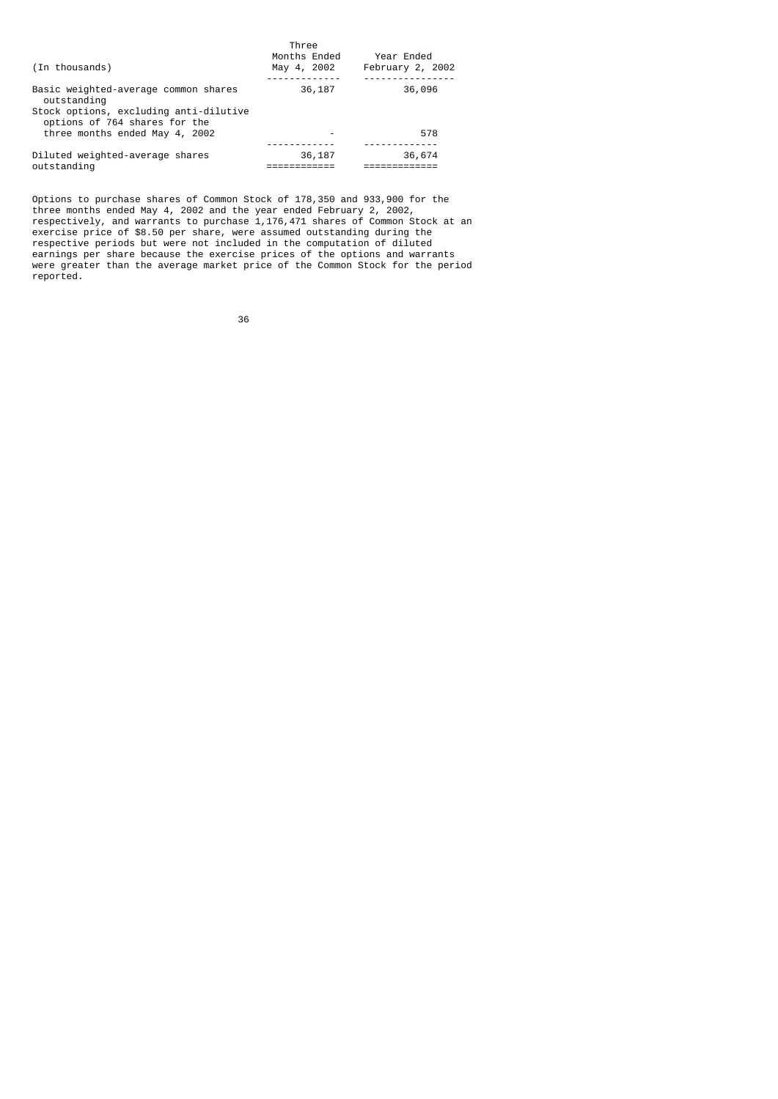| (In thousands)                                                                                                                 | Three<br>Months Ended<br>May 4, 2002 | Year Ended<br>February 2, 2002 |
|--------------------------------------------------------------------------------------------------------------------------------|--------------------------------------|--------------------------------|
| Basic weighted-average common shares<br>outstanding<br>Stock options, excluding anti-dilutive<br>options of 764 shares for the | 36,187                               | 36,096                         |
| three months ended May 4, 2002                                                                                                 |                                      | 578                            |
| Diluted weighted-average shares<br>outstanding                                                                                 | 36,187                               | 36,674                         |

 Options to purchase shares of Common Stock of 178,350 and 933,900 for the three months ended May 4, 2002 and the year ended February 2, 2002, respectively, and warrants to purchase 1,176,471 shares of Common Stock at an exercise price of \$8.50 per share, were assumed outstanding during the respective periods but were not included in the computation of diluted earnings per share because the exercise prices of the options and warrants were greater than the average market price of the Common Stock for the period reported.

 $36$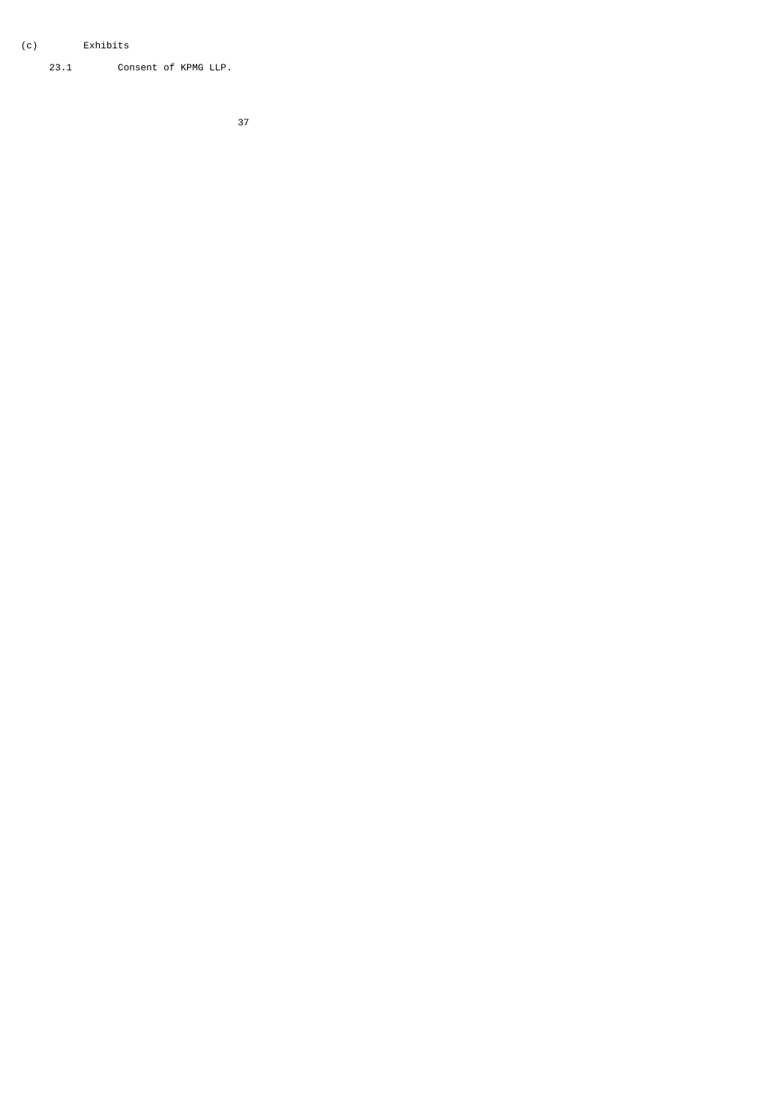# (c) Exhibits

23.1 Consent of KPMG LLP.

а в село во село во село во 1972 година во 1972 година во 1972 година, како е од 1972 година од 1973 година од<br>Во 1972 година од 1972 година од 1972 година од 1972 година од 1972 година од 1972 година од 1972 година од 19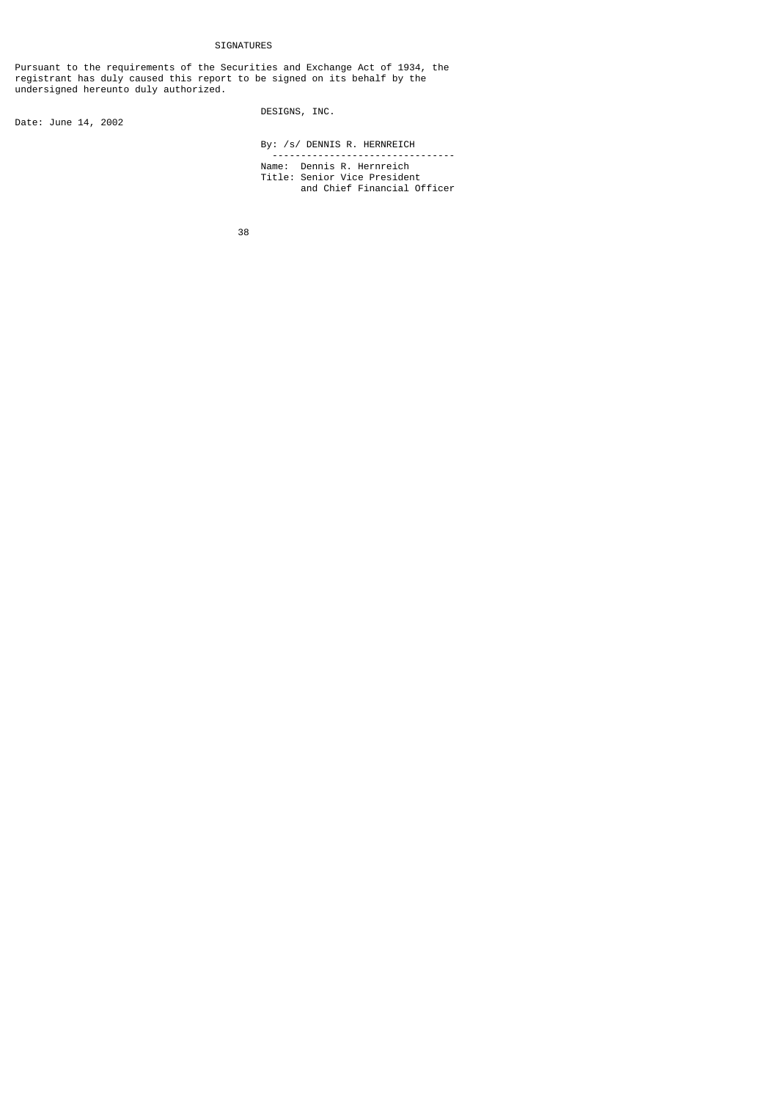Pursuant to the requirements of the Securities and Exchange Act of 1934, the registrant has duly caused this report to be signed on its behalf by the undersigned hereunto duly authorized.

Date: June 14, 2002

## DESIGNS, INC.

By: /s/ DENNIS R. HERNREICH

 -------------------------------- Name: Dennis R. Hernreich Title: Senior Vice President and Chief Financial Officer

38 - 200 - 200 - 200 - 200 - 200 - 200 - 200 - 200 - 200 - 200 - 200 - 200 - 200 - 200 - 200 - 200 - 200 - 200